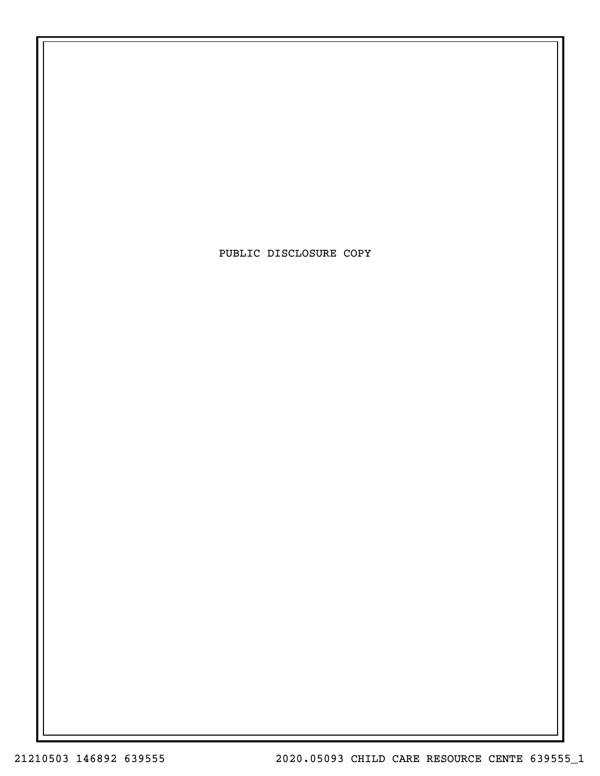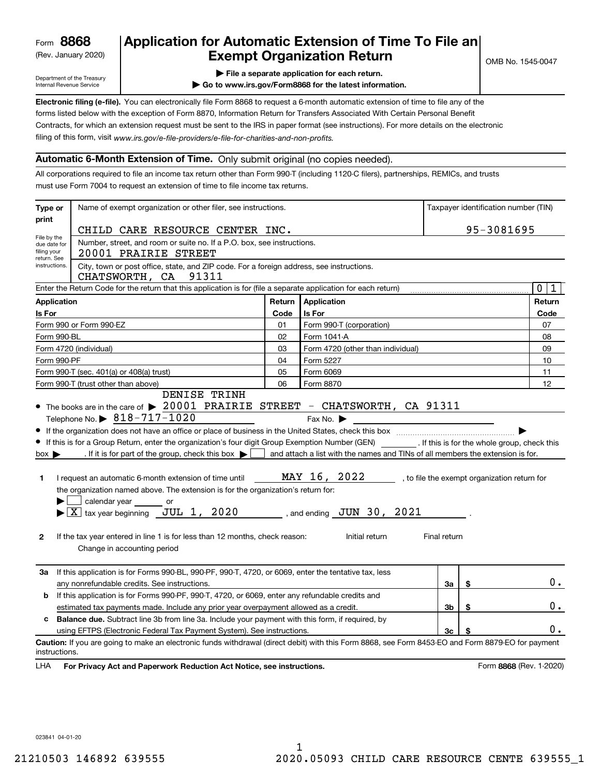(Rev. January 2020)

# **Application for Automatic Extension of Time To File an Exempt Organization Return**

Department of the Treasury Internal Revenue Service

**| File a separate application for each return.**

**| Go to www.irs.gov/Form8868 for the latest information.**

**Electronic filing (e-file).**  You can electronically file Form 8868 to request a 6-month automatic extension of time to file any of the filing of this form, visit www.irs.gov/e-file-providers/e-file-for-charities-and-non-profits. forms listed below with the exception of Form 8870, Information Return for Transfers Associated With Certain Personal Benefit Contracts, for which an extension request must be sent to the IRS in paper format (see instructions). For more details on the electronic

### **Automatic 6-Month Extension of Time.** Only submit original (no copies needed).

All corporations required to file an income tax return other than Form 990-T (including 1120-C filers), partnerships, REMICs, and trusts must use Form 7004 to request an extension of time to file income tax returns.

| print                                      |                                                                                                                                                                                                                                                                                                                                                                                                                                                                                                                                                                                                                                                                                                                                                                                                                 |        |                                                                                                                                                                                                |              |                                              | Taxpayer identification number (TIN) |
|--------------------------------------------|-----------------------------------------------------------------------------------------------------------------------------------------------------------------------------------------------------------------------------------------------------------------------------------------------------------------------------------------------------------------------------------------------------------------------------------------------------------------------------------------------------------------------------------------------------------------------------------------------------------------------------------------------------------------------------------------------------------------------------------------------------------------------------------------------------------------|--------|------------------------------------------------------------------------------------------------------------------------------------------------------------------------------------------------|--------------|----------------------------------------------|--------------------------------------|
|                                            | CHILD CARE RESOURCE CENTER INC.                                                                                                                                                                                                                                                                                                                                                                                                                                                                                                                                                                                                                                                                                                                                                                                 |        |                                                                                                                                                                                                |              | 95-3081695                                   |                                      |
| File by the<br>due date for<br>filing your | Number, street, and room or suite no. If a P.O. box, see instructions.<br>20001 PRAIRIE STREET                                                                                                                                                                                                                                                                                                                                                                                                                                                                                                                                                                                                                                                                                                                  |        |                                                                                                                                                                                                |              |                                              |                                      |
| return. See<br>instructions.               | City, town or post office, state, and ZIP code. For a foreign address, see instructions.<br>CHATSWORTH, CA 91311                                                                                                                                                                                                                                                                                                                                                                                                                                                                                                                                                                                                                                                                                                |        |                                                                                                                                                                                                |              |                                              |                                      |
|                                            | Enter the Return Code for the return that this application is for (file a separate application for each return)                                                                                                                                                                                                                                                                                                                                                                                                                                                                                                                                                                                                                                                                                                 |        |                                                                                                                                                                                                |              |                                              | $\mathbf 0$<br>1                     |
| <b>Application</b>                         |                                                                                                                                                                                                                                                                                                                                                                                                                                                                                                                                                                                                                                                                                                                                                                                                                 | Return | Application                                                                                                                                                                                    |              |                                              | Return                               |
| Is For                                     |                                                                                                                                                                                                                                                                                                                                                                                                                                                                                                                                                                                                                                                                                                                                                                                                                 | Code   | Is For                                                                                                                                                                                         |              |                                              | Code                                 |
|                                            | Form 990 or Form 990-EZ                                                                                                                                                                                                                                                                                                                                                                                                                                                                                                                                                                                                                                                                                                                                                                                         | 01     | Form 990-T (corporation)                                                                                                                                                                       |              |                                              | 07                                   |
| Form 990-BL                                |                                                                                                                                                                                                                                                                                                                                                                                                                                                                                                                                                                                                                                                                                                                                                                                                                 | 02     | Form 1041-A                                                                                                                                                                                    |              |                                              | 08                                   |
|                                            | Form 4720 (individual)                                                                                                                                                                                                                                                                                                                                                                                                                                                                                                                                                                                                                                                                                                                                                                                          | 03     | Form 4720 (other than individual)                                                                                                                                                              |              |                                              | 09                                   |
| Form 990-PF                                |                                                                                                                                                                                                                                                                                                                                                                                                                                                                                                                                                                                                                                                                                                                                                                                                                 | 04     | Form 5227                                                                                                                                                                                      |              |                                              | 10                                   |
|                                            | Form 990-T (sec. 401(a) or 408(a) trust)                                                                                                                                                                                                                                                                                                                                                                                                                                                                                                                                                                                                                                                                                                                                                                        | 05     | Form 6069                                                                                                                                                                                      |              |                                              | 11                                   |
|                                            | Form 990-T (trust other than above)<br>DENISE TRINH                                                                                                                                                                                                                                                                                                                                                                                                                                                                                                                                                                                                                                                                                                                                                             | 06     | Form 8870                                                                                                                                                                                      |              |                                              | 12                                   |
| $box \blacktriangleright$<br>1<br>2        | Telephone No. $\triangleright$ 818-717-1020<br>If the organization does not have an office or place of business in the United States, check this box manufaction contents that the United States, check this box<br>If this is for a Group Return, enter the organization's four digit Group Exemption Number (GEN) [If this is for the whole group, check this<br>. If it is for part of the group, check this box $\blacktriangleright$<br>I request an automatic 6-month extension of time until<br>the organization named above. The extension is for the organization's return for:<br>$\Box$ calendar year<br>or<br>$\blacktriangleright$ $\boxed{\text{X}}$ tax year beginning JUL 1, 2020<br>If the tax year entered in line 1 is for less than 12 months, check reason:<br>Change in accounting period |        | Fax No. $\blacktriangleright$<br>and attach a list with the names and TINs of all members the extension is for.<br>MAY 16, 2022<br>$\sim$ , and ending $\sigma$ JUN 30, 2021<br>Initial return | Final return | , to file the exempt organization return for |                                      |
|                                            | 3a If this application is for Forms 990-BL, 990-PF, 990-T, 4720, or 6069, enter the tentative tax, less<br>any nonrefundable credits. See instructions.                                                                                                                                                                                                                                                                                                                                                                                                                                                                                                                                                                                                                                                         |        |                                                                                                                                                                                                | За           | \$                                           | 0.                                   |
| b                                          | If this application is for Forms 990-PF, 990-T, 4720, or 6069, enter any refundable credits and                                                                                                                                                                                                                                                                                                                                                                                                                                                                                                                                                                                                                                                                                                                 |        |                                                                                                                                                                                                |              |                                              |                                      |
|                                            | estimated tax payments made. Include any prior year overpayment allowed as a credit.                                                                                                                                                                                                                                                                                                                                                                                                                                                                                                                                                                                                                                                                                                                            |        |                                                                                                                                                                                                | Зb           | \$                                           | 0.                                   |
|                                            | <b>Balance due.</b> Subtract line 3b from line 3a. Include your payment with this form, if required, by                                                                                                                                                                                                                                                                                                                                                                                                                                                                                                                                                                                                                                                                                                         |        |                                                                                                                                                                                                | Зc           |                                              | 0.                                   |
| instructions.                              | using EFTPS (Electronic Federal Tax Payment System). See instructions.<br>Caution: If you are going to make an electronic funds withdrawal (direct debit) with this Form 8868, see Form 8453-EO and Form 8879-EO for payment                                                                                                                                                                                                                                                                                                                                                                                                                                                                                                                                                                                    |        |                                                                                                                                                                                                |              |                                              |                                      |

**HA** For Privacy Act and Paperwork Reduction Act Notice, see instructions. **But a struction of the Constantion Constant** Form 8868 (Rev. 1-2020) LHA

023841 04-01-20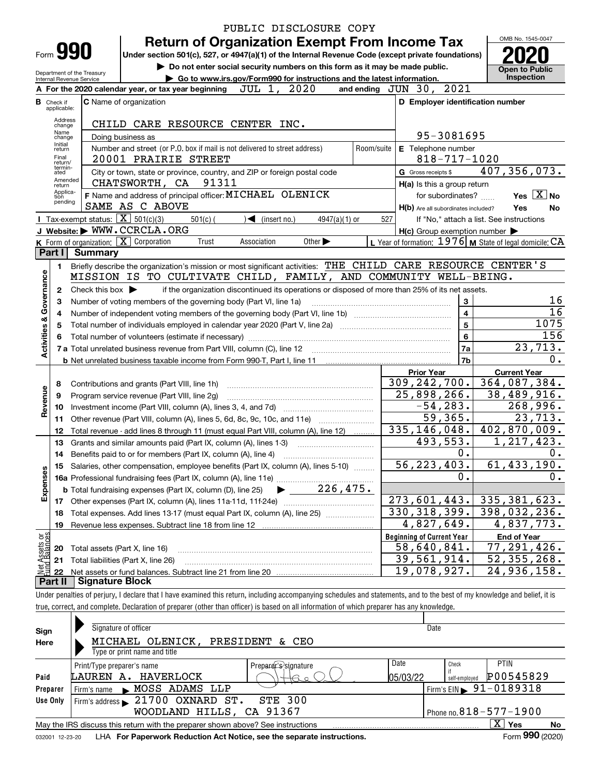|                           |                             |                                                                                                                                                                            |                                                                                                    | PUBLIC DISCLOSURE COPY      |            |                                                                                                                  |                                   |
|---------------------------|-----------------------------|----------------------------------------------------------------------------------------------------------------------------------------------------------------------------|----------------------------------------------------------------------------------------------------|-----------------------------|------------|------------------------------------------------------------------------------------------------------------------|-----------------------------------|
|                           |                             |                                                                                                                                                                            | <b>Return of Organization Exempt From Income Tax</b>                                               |                             |            |                                                                                                                  | OMB No. 1545-0047                 |
|                           |                             | Form 990                                                                                                                                                                   | Under section 501(c), 527, or 4947(a)(1) of the Internal Revenue Code (except private foundations) |                             |            |                                                                                                                  |                                   |
|                           |                             |                                                                                                                                                                            | Do not enter social security numbers on this form as it may be made public.                        |                             |            |                                                                                                                  | <b>Open to Public</b>             |
|                           |                             | Department of the Treasury<br>Internal Revenue Service                                                                                                                     | Go to www.irs.gov/Form990 for instructions and the latest information.                             |                             |            |                                                                                                                  | Inspection                        |
|                           |                             | A For the 2020 calendar year, or tax year beginning $JUL$ 1, $2020$                                                                                                        |                                                                                                    |                             |            | 2021<br>and ending $JUN$ 30,                                                                                     |                                   |
|                           | <b>B</b> Check if           | <b>C</b> Name of organization                                                                                                                                              |                                                                                                    |                             |            | D Employer identification number                                                                                 |                                   |
|                           | applicable:                 |                                                                                                                                                                            |                                                                                                    |                             |            |                                                                                                                  |                                   |
|                           | Address<br>change           | CHILD CARE RESOURCE CENTER INC.                                                                                                                                            |                                                                                                    |                             |            |                                                                                                                  |                                   |
|                           | Name<br>change              | Doing business as                                                                                                                                                          |                                                                                                    |                             |            | 95-3081695                                                                                                       |                                   |
|                           | Initial<br>return           | Number and street (or P.O. box if mail is not delivered to street address)                                                                                                 |                                                                                                    |                             | Room/suite | E Telephone number                                                                                               |                                   |
|                           | Final<br>return/<br>termin- | 20001 PRAIRIE STREET                                                                                                                                                       |                                                                                                    |                             |            | $818 - 717 - 1020$                                                                                               |                                   |
|                           | ated<br>Amended             | City or town, state or province, country, and ZIP or foreign postal code                                                                                                   |                                                                                                    |                             |            | G Gross receipts \$                                                                                              | 407,356,073.                      |
|                           | return<br>Applica-          | CHATSWORTH, CA 91311                                                                                                                                                       |                                                                                                    |                             |            | H(a) Is this a group return                                                                                      |                                   |
|                           | tion<br>pending             | F Name and address of principal officer: MICHAEL OLENICK                                                                                                                   |                                                                                                    |                             |            | for subordinates?                                                                                                | Yes $X$ No                        |
|                           |                             | SAME AS C ABOVE                                                                                                                                                            |                                                                                                    |                             |            | H(b) Are all subordinates included?                                                                              | Yes<br>No                         |
|                           |                             | <b>I</b> Tax-exempt status: $\boxed{\mathbf{X}}$ 501(c)(3)<br>J Website: WWW.CCRCLA.ORG                                                                                    | $\sqrt{\frac{1}{1}}$ (insert no.)<br>$501(c)$ (                                                    | 4947(a)(1) or               | 527        | If "No," attach a list. See instructions                                                                         |                                   |
|                           |                             | K Form of organization: X Corporation                                                                                                                                      | Trust<br>Association                                                                               | Other $\blacktriangleright$ |            | $H(c)$ Group exemption number $\blacktriangleright$<br>L Year of formation: $1976$ M State of legal domicile: CA |                                   |
|                           | Part I                      | Summary                                                                                                                                                                    |                                                                                                    |                             |            |                                                                                                                  |                                   |
|                           | 1.                          | Briefly describe the organization's mission or most significant activities: THE CHILD CARE RESOURCE CENTER'S                                                               |                                                                                                    |                             |            |                                                                                                                  |                                   |
|                           |                             | MISSION IS TO CULTIVATE CHILD, FAMILY, AND COMMUNITY WELL-BEING.                                                                                                           |                                                                                                    |                             |            |                                                                                                                  |                                   |
|                           | $\mathbf{2}$                | Check this box $\blacktriangleright$                                                                                                                                       | if the organization discontinued its operations or disposed of more than 25% of its net assets.    |                             |            |                                                                                                                  |                                   |
|                           | 3                           | Number of voting members of the governing body (Part VI, line 1a)                                                                                                          |                                                                                                    |                             |            | 3                                                                                                                | 16                                |
| Governance                | 4                           |                                                                                                                                                                            |                                                                                                    |                             |            | $\overline{\mathbf{4}}$                                                                                          | $\overline{16}$                   |
|                           | 5                           |                                                                                                                                                                            |                                                                                                    |                             |            | 5                                                                                                                | 1075                              |
| <b>Activities &amp;</b>   | 6                           |                                                                                                                                                                            |                                                                                                    |                             |            | 6                                                                                                                | 156                               |
|                           |                             |                                                                                                                                                                            |                                                                                                    |                             |            | 7a                                                                                                               | 23,713.                           |
|                           |                             |                                                                                                                                                                            |                                                                                                    |                             |            | 7b                                                                                                               | 0.                                |
|                           |                             |                                                                                                                                                                            |                                                                                                    |                             |            | <b>Prior Year</b>                                                                                                | <b>Current Year</b>               |
|                           | 8                           | Contributions and grants (Part VIII, line 1h)                                                                                                                              |                                                                                                    |                             |            | 309, 242, 700.                                                                                                   | 364,087,384.                      |
| Revenue                   | 9                           | Program service revenue (Part VIII, line 2g)                                                                                                                               |                                                                                                    |                             |            | 25,898,266.                                                                                                      | 38,489,916.                       |
|                           | 10                          |                                                                                                                                                                            |                                                                                                    |                             |            | $-54, 283.$                                                                                                      | 268,996.                          |
|                           | 11                          | Other revenue (Part VIII, column (A), lines 5, 6d, 8c, 9c, 10c, and 11e)                                                                                                   |                                                                                                    |                             |            | $\overline{59}$ , 365.                                                                                           | 23,713.                           |
|                           | 12                          | Total revenue - add lines 8 through 11 (must equal Part VIII, column (A), line 12)                                                                                         |                                                                                                    |                             |            | 335, 146, 048.                                                                                                   | 402,870,009.                      |
|                           | 13                          | Grants and similar amounts paid (Part IX, column (A), lines 1-3)                                                                                                           |                                                                                                    |                             |            | 493,553.                                                                                                         | 1, 217, 423.                      |
|                           | 14                          | Benefits paid to or for members (Part IX, column (A), line 4)                                                                                                              |                                                                                                    |                             |            | 0.                                                                                                               | 0.                                |
|                           | 15                          | Salaries, other compensation, employee benefits (Part IX, column (A), lines 5-10)                                                                                          |                                                                                                    |                             |            | 56,223,403.                                                                                                      | 61, 433, 190.                     |
| Expenses                  |                             |                                                                                                                                                                            |                                                                                                    |                             |            | Ο.                                                                                                               | 0.                                |
|                           |                             |                                                                                                                                                                            |                                                                                                    |                             |            | 273,601,443.                                                                                                     |                                   |
|                           | 17                          | Other expenses (Part IX, column (A), lines 11a-11d, 11f-24e)                                                                                                               |                                                                                                    |                             |            | 330, 318, 399.                                                                                                   | 335, 381, 623.<br>398,032,236.    |
|                           | 18                          | Total expenses. Add lines 13-17 (must equal Part IX, column (A), line 25)                                                                                                  |                                                                                                    |                             |            | $\overline{4}$ , 827, 649.                                                                                       | 4,837,773.                        |
|                           | 19                          |                                                                                                                                                                            |                                                                                                    |                             |            | <b>Beginning of Current Year</b>                                                                                 |                                   |
| : Assets or<br>d Balances |                             |                                                                                                                                                                            |                                                                                                    |                             |            | 58,640,841.                                                                                                      | <b>End of Year</b><br>77,291,426. |
|                           | 20<br>21                    | Total assets (Part X, line 16)<br>Total liabilities (Part X, line 26)                                                                                                      |                                                                                                    |                             |            | 39,561,914.                                                                                                      | 52, 355, 268.                     |
| Net                       | 22                          |                                                                                                                                                                            |                                                                                                    |                             |            | 19,078,927.                                                                                                      | 24,936,158.                       |
|                           | Part II                     | <b>Signature Block</b>                                                                                                                                                     |                                                                                                    |                             |            |                                                                                                                  |                                   |
|                           |                             | Under penalties of perjury, I declare that I have examined this return, including accompanying schedules and statements, and to the best of my knowledge and belief, it is |                                                                                                    |                             |            |                                                                                                                  |                                   |

true, correct, and complete. Declaration of preparer (other than officer) is based on all information of which preparer has any knowledge.

| Sign<br>Here    | Signature of officer<br>MICHAEL OLENICK,<br>Type or print name and title        | PRESIDENT & CEO      | Date              |                        |                                        |    |
|-----------------|---------------------------------------------------------------------------------|----------------------|-------------------|------------------------|----------------------------------------|----|
| Paid            | Print/Type preparer's name<br>LAUREN A. HAVERLOCK                               | Preparer's signature | Date<br> 05/03/22 | Check<br>self-employed | <b>PTIN</b><br>P00545829               |    |
| Preparer        | MOSS ADAMS LLP<br>Firm's name                                                   |                      |                   |                        | Firm's EIN $\triangleright$ 91-0189318 |    |
| Use Only        | Firm's address $\geq 21700$ OXNARD $ST$ .                                       | <b>STE 300</b>       |                   |                        |                                        |    |
|                 | WOODLAND HILLS, CA 91367                                                        |                      |                   |                        | Phone no. $818 - 577 - 1900$           |    |
|                 | May the IRS discuss this return with the preparer shown above? See instructions |                      |                   |                        | $\mathbf{x}$<br>∣ Yes                  | No |
| 032001 12-23-20 | LHA For Paperwork Reduction Act Notice, see the separate instructions.          |                      |                   |                        | Form 990 (2020)                        |    |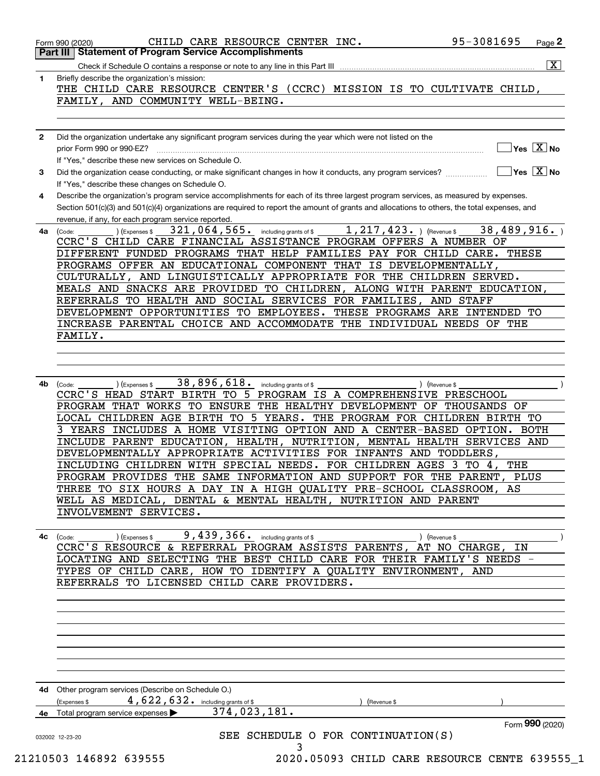|              | $\overline{\mathbf{x}}$<br>Briefly describe the organization's mission:                                                                                                                             |
|--------------|-----------------------------------------------------------------------------------------------------------------------------------------------------------------------------------------------------|
| 1            | THE CHILD CARE RESOURCE CENTER'S (CCRC) MISSION IS TO CULTIVATE CHILD,                                                                                                                              |
|              | FAMILY, AND COMMUNITY WELL-BEING.                                                                                                                                                                   |
|              |                                                                                                                                                                                                     |
|              |                                                                                                                                                                                                     |
| $\mathbf{2}$ | Did the organization undertake any significant program services during the year which were not listed on the<br>$\Box$ Yes $[\overline{\mathrm{X}}]$ No                                             |
|              | If "Yes." describe these new services on Schedule O.                                                                                                                                                |
| 3            | $\boxed{\phantom{1}}$ Yes $\boxed{\text{X}}$ No<br>Did the organization cease conducting, or make significant changes in how it conducts, any program services?                                     |
|              | If "Yes," describe these changes on Schedule O.                                                                                                                                                     |
| 4            | Describe the organization's program service accomplishments for each of its three largest program services, as measured by expenses.                                                                |
|              | Section 501(c)(3) and 501(c)(4) organizations are required to report the amount of grants and allocations to others, the total expenses, and<br>revenue, if any, for each program service reported. |
| 4a           | 321, 064, 565. including grants of $$1, 217, 423.$ $$$ (Revenue $$38, 489, 916.$ )<br>) (Expenses \$<br>(Code:                                                                                      |
|              | CCRC'S CHILD CARE FINANCIAL ASSISTANCE PROGRAM OFFERS A NUMBER OF                                                                                                                                   |
|              | DIFFERENT FUNDED PROGRAMS THAT HELP FAMILIES PAY FOR CHILD CARE. THESE                                                                                                                              |
|              | PROGRAMS OFFER AN EDUCATIONAL COMPONENT THAT IS DEVELOPMENTALLY,                                                                                                                                    |
|              | CULTURALLY, AND LINGUISTICALLY APPROPRIATE FOR THE CHILDREN SERVED.<br>MEALS AND SNACKS ARE PROVIDED TO CHILDREN, ALONG WITH PARENT EDUCATION,                                                      |
|              | REFERRALS TO HEALTH AND SOCIAL SERVICES FOR FAMILIES, AND STAFF                                                                                                                                     |
|              | DEVELOPMENT OPPORTUNITIES TO EMPLOYEES. THESE PROGRAMS ARE INTENDED TO                                                                                                                              |
|              | INCREASE PARENTAL CHOICE AND ACCOMMODATE THE INDIVIDUAL NEEDS OF THE                                                                                                                                |
|              | FAMILY.                                                                                                                                                                                             |
|              |                                                                                                                                                                                                     |
|              |                                                                                                                                                                                                     |
| 4b           | 38, 896, 618. including grants of \$<br>(Expenses \$<br>(Code:<br>) (Revenue \$                                                                                                                     |
|              | CCRC'S HEAD START BIRTH TO 5 PROGRAM IS A COMPREHENSIVE PRESCHOOL                                                                                                                                   |
|              | PROGRAM THAT WORKS TO ENSURE THE HEALTHY DEVELOPMENT OF THOUSANDS OF                                                                                                                                |
|              | LOCAL CHILDREN AGE BIRTH TO 5 YEARS. THE PROGRAM FOR CHILDREN BIRTH TO<br>3 YEARS INCLUDES A HOME VISITING OPTION AND A CENTER-BASED OPTION. BOTH                                                   |
|              | INCLUDE PARENT EDUCATION, HEALTH, NUTRITION, MENTAL HEALTH SERVICES AND                                                                                                                             |
|              |                                                                                                                                                                                                     |
|              | DEVELOPMENTALLY APPROPRIATE ACTIVITIES FOR INFANTS AND TODDLERS,                                                                                                                                    |
|              | INCLUDING CHILDREN WITH SPECIAL NEEDS. FOR CHILDREN AGES 3 TO 4, THE                                                                                                                                |
|              | PROGRAM PROVIDES THE SAME INFORMATION AND SUPPORT FOR THE PARENT, PLUS                                                                                                                              |
|              | THREE TO SIX HOURS A DAY IN A HIGH QUALITY PRE-SCHOOL CLASSROOM, AS                                                                                                                                 |
|              | WELL AS MEDICAL, DENTAL & MENTAL HEALTH, NUTRITION AND PARENT                                                                                                                                       |
|              | INVOLVEMENT SERVICES.                                                                                                                                                                               |
| 4с           | $9,439,366$ including grants of \$<br>) (Revenue \$<br>(Expenses \$<br>(Code:                                                                                                                       |
|              | CCRC'S RESOURCE & REFERRAL PROGRAM ASSISTS PARENTS, AT NO CHARGE,<br>ΙN                                                                                                                             |
|              | LOCATING AND SELECTING THE BEST CHILD CARE FOR THEIR FAMILY'S NEEDS -                                                                                                                               |
|              | TYPES OF CHILD CARE, HOW TO IDENTIFY A QUALITY ENVIRONMENT, AND                                                                                                                                     |
|              | REFERRALS TO LICENSED CHILD CARE PROVIDERS.                                                                                                                                                         |
|              |                                                                                                                                                                                                     |
|              |                                                                                                                                                                                                     |
|              |                                                                                                                                                                                                     |
|              |                                                                                                                                                                                                     |
|              |                                                                                                                                                                                                     |
|              |                                                                                                                                                                                                     |
|              | 4d Other program services (Describe on Schedule O.)                                                                                                                                                 |
|              | 4,622,632. including grants of \$<br>(Expenses \$<br>(Revenue \$<br>374,023,181.<br>Total program service expenses                                                                                  |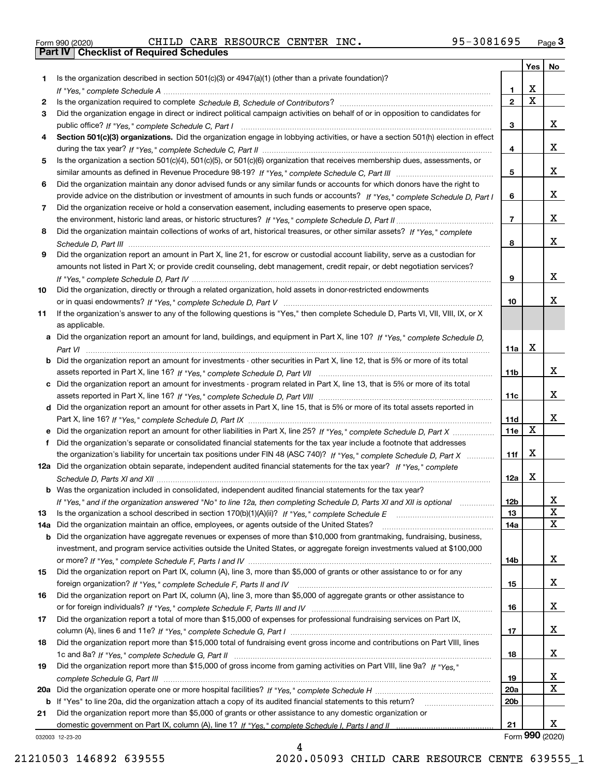|  | Form 990 (2020) |  |
|--|-----------------|--|

Form 990 (2020) Page **3Part IV Checklist of Required Schedules** CHILD CARE RESOURCE CENTER INC. 95-3081695

|     |                                                                                                                                                 |                 | Yes                   | No          |
|-----|-------------------------------------------------------------------------------------------------------------------------------------------------|-----------------|-----------------------|-------------|
| 1.  | Is the organization described in section $501(c)(3)$ or $4947(a)(1)$ (other than a private foundation)?                                         |                 |                       |             |
|     |                                                                                                                                                 | 1               | х                     |             |
| 2   |                                                                                                                                                 | $\mathbf{2}$    | $\overline{\text{x}}$ |             |
| 3   | Did the organization engage in direct or indirect political campaign activities on behalf of or in opposition to candidates for                 |                 |                       |             |
|     |                                                                                                                                                 | 3               |                       | x           |
| 4   | Section 501(c)(3) organizations. Did the organization engage in lobbying activities, or have a section 501(h) election in effect                |                 |                       |             |
|     |                                                                                                                                                 | 4               |                       | x           |
| 5   | Is the organization a section 501(c)(4), 501(c)(5), or 501(c)(6) organization that receives membership dues, assessments, or                    |                 |                       |             |
|     |                                                                                                                                                 | 5               |                       | x           |
| 6   | Did the organization maintain any donor advised funds or any similar funds or accounts for which donors have the right to                       |                 |                       |             |
|     | provide advice on the distribution or investment of amounts in such funds or accounts? If "Yes," complete Schedule D, Part I                    | 6               |                       | x           |
| 7   | Did the organization receive or hold a conservation easement, including easements to preserve open space,                                       |                 |                       |             |
|     |                                                                                                                                                 | $\overline{7}$  |                       | x           |
| 8   | Did the organization maintain collections of works of art, historical treasures, or other similar assets? If "Yes," complete                    |                 |                       |             |
|     |                                                                                                                                                 | 8               |                       | x           |
| 9   | Did the organization report an amount in Part X, line 21, for escrow or custodial account liability, serve as a custodian for                   |                 |                       |             |
|     | amounts not listed in Part X; or provide credit counseling, debt management, credit repair, or debt negotiation services?                       |                 |                       |             |
|     |                                                                                                                                                 | 9               |                       | x           |
| 10  | Did the organization, directly or through a related organization, hold assets in donor-restricted endowments                                    |                 |                       | x.          |
|     |                                                                                                                                                 | 10              |                       |             |
| 11  | If the organization's answer to any of the following questions is "Yes," then complete Schedule D, Parts VI, VII, VIII, IX, or X                |                 |                       |             |
|     | as applicable.<br>a Did the organization report an amount for land, buildings, and equipment in Part X, line 10? If "Yes," complete Schedule D. |                 |                       |             |
|     |                                                                                                                                                 | 11a             | X                     |             |
|     | <b>b</b> Did the organization report an amount for investments - other securities in Part X, line 12, that is 5% or more of its total           |                 |                       |             |
|     |                                                                                                                                                 | 11b             |                       | x           |
|     | c Did the organization report an amount for investments - program related in Part X, line 13, that is 5% or more of its total                   |                 |                       |             |
|     |                                                                                                                                                 | 11c             |                       | x           |
|     | d Did the organization report an amount for other assets in Part X, line 15, that is 5% or more of its total assets reported in                 |                 |                       |             |
|     |                                                                                                                                                 | 11d             |                       | x           |
|     |                                                                                                                                                 | 11e             | X                     |             |
| f   | Did the organization's separate or consolidated financial statements for the tax year include a footnote that addresses                         |                 |                       |             |
|     | the organization's liability for uncertain tax positions under FIN 48 (ASC 740)? If "Yes," complete Schedule D, Part X                          | 11f             | X                     |             |
|     | 12a Did the organization obtain separate, independent audited financial statements for the tax year? If "Yes," complete                         |                 |                       |             |
|     |                                                                                                                                                 | 12a             | X                     |             |
|     | <b>b</b> Was the organization included in consolidated, independent audited financial statements for the tax year?                              |                 |                       |             |
|     | If "Yes," and if the organization answered "No" to line 12a, then completing Schedule D, Parts XI and XII is optional                           | 12b             |                       | Y           |
| 13  |                                                                                                                                                 | 13              |                       | X           |
| 14a | Did the organization maintain an office, employees, or agents outside of the United States?                                                     | 14a             |                       | $\mathbf X$ |
|     | <b>b</b> Did the organization have aggregate revenues or expenses of more than \$10,000 from grantmaking, fundraising, business,                |                 |                       |             |
|     | investment, and program service activities outside the United States, or aggregate foreign investments valued at \$100,000                      |                 |                       |             |
|     |                                                                                                                                                 | 14b             |                       | x           |
| 15  | Did the organization report on Part IX, column (A), line 3, more than \$5,000 of grants or other assistance to or for any                       |                 |                       |             |
|     |                                                                                                                                                 | 15              |                       | x           |
| 16  | Did the organization report on Part IX, column (A), line 3, more than \$5,000 of aggregate grants or other assistance to                        |                 |                       |             |
|     |                                                                                                                                                 | 16              |                       | x           |
| 17  | Did the organization report a total of more than \$15,000 of expenses for professional fundraising services on Part IX,                         |                 |                       |             |
|     |                                                                                                                                                 | 17              |                       | x           |
| 18  | Did the organization report more than \$15,000 total of fundraising event gross income and contributions on Part VIII, lines                    |                 |                       |             |
|     |                                                                                                                                                 | 18              |                       | x           |
| 19  | Did the organization report more than \$15,000 of gross income from gaming activities on Part VIII, line 9a? If "Yes."                          |                 |                       |             |
|     |                                                                                                                                                 | 19              |                       | X           |
|     |                                                                                                                                                 | <b>20a</b>      |                       | X           |
|     | b If "Yes" to line 20a, did the organization attach a copy of its audited financial statements to this return?                                  | 20 <sub>b</sub> |                       |             |
| 21  | Did the organization report more than \$5,000 of grants or other assistance to any domestic organization or                                     |                 |                       |             |
|     |                                                                                                                                                 | 21              |                       | X.          |
|     | 032003 12-23-20                                                                                                                                 |                 | Form 990 (2020)       |             |

032003 12-23-20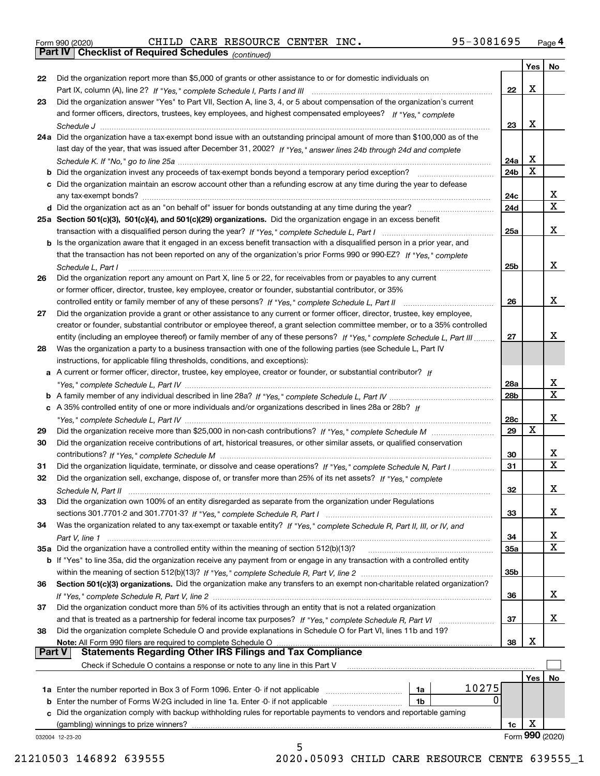|  | Form 990 (2020) |
|--|-----------------|
|  |                 |

Form 990 (2020) Page **4Part IV Checklist of Required Schedules** CHILD CARE RESOURCE CENTER INC. 95-3081695

*(continued)*

|          |                                                                                                                                   |                 | Yes | No              |
|----------|-----------------------------------------------------------------------------------------------------------------------------------|-----------------|-----|-----------------|
| 22       | Did the organization report more than \$5,000 of grants or other assistance to or for domestic individuals on                     |                 |     |                 |
|          |                                                                                                                                   | 22              | X   |                 |
| 23       | Did the organization answer "Yes" to Part VII, Section A, line 3, 4, or 5 about compensation of the organization's current        |                 |     |                 |
|          | and former officers, directors, trustees, key employees, and highest compensated employees? If "Yes," complete                    |                 |     |                 |
|          |                                                                                                                                   | 23              | X   |                 |
|          | 24a Did the organization have a tax-exempt bond issue with an outstanding principal amount of more than \$100,000 as of the       |                 |     |                 |
|          | last day of the year, that was issued after December 31, 2002? If "Yes," answer lines 24b through 24d and complete                |                 |     |                 |
|          |                                                                                                                                   | 24a             | х   |                 |
|          | <b>b</b> Did the organization invest any proceeds of tax-exempt bonds beyond a temporary period exception?                        | 24 <sub>b</sub> | X   |                 |
|          | c Did the organization maintain an escrow account other than a refunding escrow at any time during the year to defease            |                 |     |                 |
|          |                                                                                                                                   | 24c             |     | x               |
|          |                                                                                                                                   | 24d             |     | $\mathbf X$     |
|          | 25a Section 501(c)(3), 501(c)(4), and 501(c)(29) organizations. Did the organization engage in an excess benefit                  |                 |     |                 |
|          |                                                                                                                                   | 25a             |     | х               |
|          | b Is the organization aware that it engaged in an excess benefit transaction with a disqualified person in a prior year, and      |                 |     |                 |
|          | that the transaction has not been reported on any of the organization's prior Forms 990 or 990-EZ? If "Yes." complete             |                 |     |                 |
|          | Schedule L, Part I                                                                                                                | 25b             |     | х               |
| 26       | Did the organization report any amount on Part X, line 5 or 22, for receivables from or payables to any current                   |                 |     |                 |
|          | or former officer, director, trustee, key employee, creator or founder, substantial contributor, or 35%                           |                 |     |                 |
|          |                                                                                                                                   | 26              |     | х               |
| 27       | Did the organization provide a grant or other assistance to any current or former officer, director, trustee, key employee,       |                 |     |                 |
|          | creator or founder, substantial contributor or employee thereof, a grant selection committee member, or to a 35% controlled       |                 |     |                 |
|          | entity (including an employee thereof) or family member of any of these persons? If "Yes," complete Schedule L, Part III          | 27              |     | x               |
| 28       | Was the organization a party to a business transaction with one of the following parties (see Schedule L, Part IV                 |                 |     |                 |
|          | instructions, for applicable filing thresholds, conditions, and exceptions):                                                      |                 |     |                 |
|          | a A current or former officer, director, trustee, key employee, creator or founder, or substantial contributor? If                |                 |     |                 |
|          |                                                                                                                                   | 28a             |     | х               |
|          |                                                                                                                                   | 28b             |     | $\mathbf X$     |
|          | c A 35% controlled entity of one or more individuals and/or organizations described in lines 28a or 28b? If                       |                 |     |                 |
|          |                                                                                                                                   | 28c             |     | х               |
| 29       |                                                                                                                                   | 29              | Χ   |                 |
| 30       | Did the organization receive contributions of art, historical treasures, or other similar assets, or qualified conservation       |                 |     |                 |
|          |                                                                                                                                   | 30              |     | x               |
| 31       | Did the organization liquidate, terminate, or dissolve and cease operations? If "Yes," complete Schedule N, Part I                | 31              |     | $\mathbf X$     |
| 32       | Did the organization sell, exchange, dispose of, or transfer more than 25% of its net assets? If "Yes," complete                  |                 |     |                 |
|          |                                                                                                                                   | 32              |     | X               |
|          | Schedule N, Part II                                                                                                               |                 |     |                 |
| 33       | Did the organization own 100% of an entity disregarded as separate from the organization under Regulations                        |                 |     | х               |
|          |                                                                                                                                   | 33              |     |                 |
| 34       | Was the organization related to any tax-exempt or taxable entity? If "Yes," complete Schedule R, Part II, III, or IV, and         |                 |     | х               |
|          |                                                                                                                                   | 34              |     | $\mathbf X$     |
|          | 35a Did the organization have a controlled entity within the meaning of section 512(b)(13)?                                       | 35a             |     |                 |
|          | b If "Yes" to line 35a, did the organization receive any payment from or engage in any transaction with a controlled entity       |                 |     |                 |
|          |                                                                                                                                   | 35b             |     |                 |
| 36       | Section 501(c)(3) organizations. Did the organization make any transfers to an exempt non-charitable related organization?        |                 |     | x               |
|          |                                                                                                                                   | 36              |     |                 |
| 37       | Did the organization conduct more than 5% of its activities through an entity that is not a related organization                  |                 |     |                 |
|          | and that is treated as a partnership for federal income tax purposes? If "Yes," complete Schedule R, Part VI                      | 37              |     | X               |
| 38       | Did the organization complete Schedule O and provide explanations in Schedule O for Part VI, lines 11b and 19?                    |                 | х   |                 |
| ∣ Part V | Note: All Form 990 filers are required to complete Schedule O<br><b>Statements Regarding Other IRS Filings and Tax Compliance</b> | 38              |     |                 |
|          |                                                                                                                                   |                 |     |                 |
|          | Check if Schedule O contains a response or note to any line in this Part V                                                        |                 |     |                 |
|          |                                                                                                                                   |                 | Yes | No              |
|          | 10275<br>1a Enter the number reported in Box 3 of Form 1096. Enter -0- if not applicable<br>1a                                    |                 |     |                 |
|          | 0<br><b>b</b> Enter the number of Forms W-2G included in line 1a. Enter -0- if not applicable<br>1b                               |                 |     |                 |
|          | c Did the organization comply with backup withholding rules for reportable payments to vendors and reportable gaming              |                 |     |                 |
|          | (gambling) winnings to prize winners?                                                                                             | 1c              | X   |                 |
|          | 032004 12-23-20<br>5                                                                                                              |                 |     | Form 990 (2020) |
|          |                                                                                                                                   |                 |     |                 |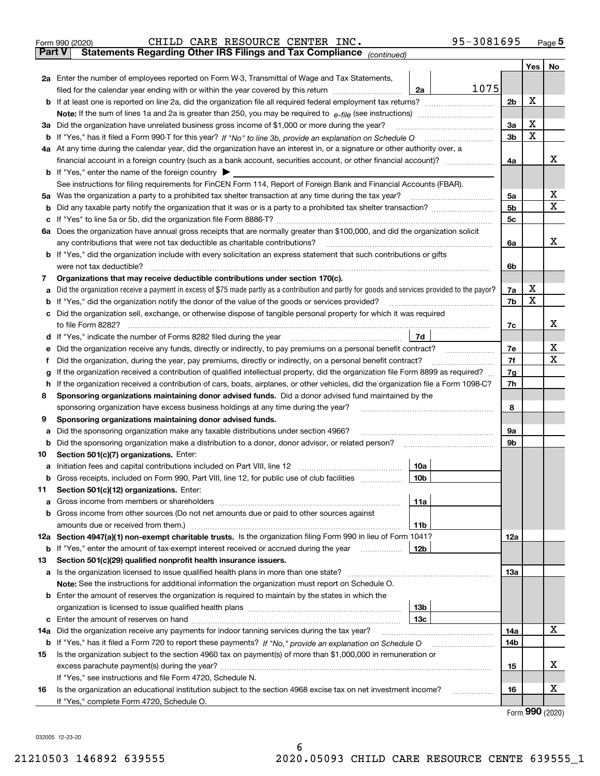| Form 990 (2020)                                                                          | CHILD CARE RESOURCE CENTER INC. |  |  | 95-3081695 | Page $5$ |
|------------------------------------------------------------------------------------------|---------------------------------|--|--|------------|----------|
| <b>Part V</b> Statements Regarding Other IRS Filings and Tax Compliance $_{(continued)}$ |                                 |  |  |            |          |

|     |                                                                                                                                                                                            |     | Yes         | No               |
|-----|--------------------------------------------------------------------------------------------------------------------------------------------------------------------------------------------|-----|-------------|------------------|
|     | 2a Enter the number of employees reported on Form W-3, Transmittal of Wage and Tax Statements,                                                                                             |     |             |                  |
|     | 1075<br>2a<br>filed for the calendar year ending with or within the year covered by this return                                                                                            |     |             |                  |
|     |                                                                                                                                                                                            | 2b  | X           |                  |
|     |                                                                                                                                                                                            |     |             |                  |
|     | 3a Did the organization have unrelated business gross income of \$1,000 or more during the year?                                                                                           | 3a  | Х           |                  |
| b   |                                                                                                                                                                                            | 3b  | $\mathbf X$ |                  |
|     | 4a At any time during the calendar year, did the organization have an interest in, or a signature or other authority over, a                                                               |     |             |                  |
|     |                                                                                                                                                                                            | 4a  |             | x                |
|     | <b>b</b> If "Yes," enter the name of the foreign country $\blacktriangleright$                                                                                                             |     |             |                  |
|     | See instructions for filing requirements for FinCEN Form 114, Report of Foreign Bank and Financial Accounts (FBAR).                                                                        |     |             |                  |
|     | 5a Was the organization a party to a prohibited tax shelter transaction at any time during the tax year?                                                                                   | 5a  |             | х                |
| b   | Did any taxable party notify the organization that it was or is a party to a prohibited tax shelter transaction?                                                                           | 5b  |             | $\mathbf x$      |
|     |                                                                                                                                                                                            | 5c  |             |                  |
| 6а  | Does the organization have annual gross receipts that are normally greater than \$100,000, and did the organization solicit                                                                |     |             |                  |
|     | any contributions that were not tax deductible as charitable contributions?                                                                                                                | 6a  |             | x                |
| b   | If "Yes," did the organization include with every solicitation an express statement that such contributions or gifts                                                                       |     |             |                  |
|     | were not tax deductible?                                                                                                                                                                   | 6b  |             |                  |
| 7   | Organizations that may receive deductible contributions under section 170(c).                                                                                                              |     |             |                  |
|     | Did the organization receive a payment in excess of \$75 made partly as a contribution and partly for goods and services provided to the payor?                                            | 7a  | х           |                  |
| b   | If "Yes," did the organization notify the donor of the value of the goods or services provided?                                                                                            | 7b  | X           |                  |
|     | Did the organization sell, exchange, or otherwise dispose of tangible personal property for which it was required                                                                          |     |             |                  |
|     |                                                                                                                                                                                            | 7c  |             | x                |
| d   | 7d                                                                                                                                                                                         |     |             |                  |
|     | Did the organization receive any funds, directly or indirectly, to pay premiums on a personal benefit contract?                                                                            | 7e  |             | х<br>$\mathbf X$ |
|     | Did the organization, during the year, pay premiums, directly or indirectly, on a personal benefit contract?                                                                               | 7f  |             |                  |
|     | If the organization received a contribution of qualified intellectual property, did the organization file Form 8899 as required?                                                           | 7g  |             |                  |
| h.  | If the organization received a contribution of cars, boats, airplanes, or other vehicles, did the organization file a Form 1098-C?                                                         | 7h  |             |                  |
| 8   | Sponsoring organizations maintaining donor advised funds. Did a donor advised fund maintained by the<br>sponsoring organization have excess business holdings at any time during the year? | 8   |             |                  |
| 9   | Sponsoring organizations maintaining donor advised funds.                                                                                                                                  |     |             |                  |
| а   | Did the sponsoring organization make any taxable distributions under section 4966?                                                                                                         | 9а  |             |                  |
| b   | Did the sponsoring organization make a distribution to a donor, donor advisor, or related person?                                                                                          | 9b  |             |                  |
| 10  | Section 501(c)(7) organizations. Enter:                                                                                                                                                    |     |             |                  |
| а   | 10a                                                                                                                                                                                        |     |             |                  |
|     | 10 <sub>b</sub><br>Gross receipts, included on Form 990, Part VIII, line 12, for public use of club facilities                                                                             |     |             |                  |
| 11  | Section 501(c)(12) organizations. Enter:                                                                                                                                                   |     |             |                  |
|     | 11a                                                                                                                                                                                        |     |             |                  |
| b   | Gross income from other sources (Do not net amounts due or paid to other sources against                                                                                                   |     |             |                  |
|     | amounts due or received from them.)<br>11b                                                                                                                                                 |     |             |                  |
|     | 12a Section 4947(a)(1) non-exempt charitable trusts. Is the organization filing Form 990 in lieu of Form 1041?                                                                             | 12a |             |                  |
| b   | 12b<br>If "Yes," enter the amount of tax-exempt interest received or accrued during the year                                                                                               |     |             |                  |
| 13  | Section 501(c)(29) qualified nonprofit health insurance issuers.                                                                                                                           |     |             |                  |
| а   | Is the organization licensed to issue qualified health plans in more than one state?                                                                                                       | 13а |             |                  |
|     | Note: See the instructions for additional information the organization must report on Schedule O.                                                                                          |     |             |                  |
|     | <b>b</b> Enter the amount of reserves the organization is required to maintain by the states in which the                                                                                  |     |             |                  |
|     | 13b                                                                                                                                                                                        |     |             |                  |
| c   | Enter the amount of reserves on hand<br>13с                                                                                                                                                |     |             |                  |
| 14a | Did the organization receive any payments for indoor tanning services during the tax year?                                                                                                 | 14a |             | x                |
| b   |                                                                                                                                                                                            | 14b |             |                  |
| 15  | Is the organization subject to the section 4960 tax on payment(s) of more than \$1,000,000 in remuneration or                                                                              |     |             |                  |
|     |                                                                                                                                                                                            | 15  |             | х                |
|     | If "Yes," see instructions and file Form 4720, Schedule N.                                                                                                                                 |     |             |                  |
| 16  | Is the organization an educational institution subject to the section 4968 excise tax on net investment income?                                                                            | 16  |             | х                |
|     | If "Yes," complete Form 4720, Schedule O.                                                                                                                                                  |     |             |                  |
|     |                                                                                                                                                                                            |     |             | Form 990 (2020)  |

6

032005 12-23-20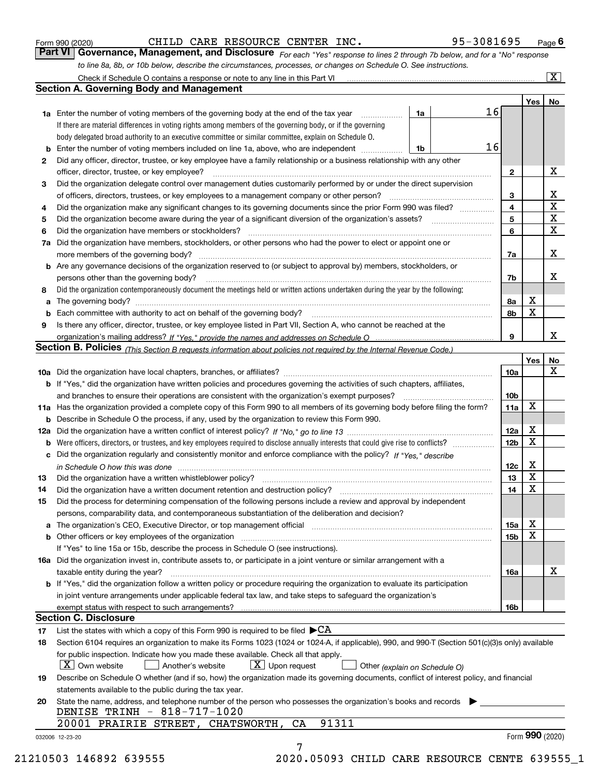|  | Form 990 (2020) |
|--|-----------------|
|  |                 |

CHILD CARE RESOURCE CENTER INC. 95-3081695

*For each "Yes" response to lines 2 through 7b below, and for a "No" response to line 8a, 8b, or 10b below, describe the circumstances, processes, or changes on Schedule O. See instructions.* Form 990 (2020) **CHILD CARE RESOURCE CENTER INC.** 95 - 3081695 Page 6<br>**Part VI Governance, Management, and Disclosure** *For each "Yes" response to lines 2 through 7b below, and for a "No" response* 

|    | <b>1a</b> Enter the number of voting members of the governing body at the end of the tax year                                                                                 | 1a                            | 16 |                         |                 |                         |
|----|-------------------------------------------------------------------------------------------------------------------------------------------------------------------------------|-------------------------------|----|-------------------------|-----------------|-------------------------|
|    | If there are material differences in voting rights among members of the governing body, or if the governing                                                                   |                               |    |                         |                 |                         |
|    | body delegated broad authority to an executive committee or similar committee, explain on Schedule O.                                                                         |                               |    |                         |                 |                         |
|    |                                                                                                                                                                               | 1b                            | 16 |                         |                 |                         |
| 2  | Did any officer, director, trustee, or key employee have a family relationship or a business relationship with any other                                                      |                               |    |                         |                 |                         |
|    | officer, director, trustee, or key employee?                                                                                                                                  |                               |    | $\mathbf{2}$            |                 | X                       |
| 3  | Did the organization delegate control over management duties customarily performed by or under the direct supervision                                                         |                               |    |                         |                 |                         |
|    |                                                                                                                                                                               |                               |    | 3                       |                 | X                       |
| 4  | Did the organization make any significant changes to its governing documents since the prior Form 990 was filed?                                                              |                               |    | $\overline{\mathbf{4}}$ |                 | $\overline{\textbf{X}}$ |
| 5  |                                                                                                                                                                               |                               |    | 5                       |                 | $\mathbf X$             |
| 6  | Did the organization have members or stockholders?                                                                                                                            |                               |    | 6                       |                 | $\mathbf x$             |
|    | 7a Did the organization have members, stockholders, or other persons who had the power to elect or appoint one or                                                             |                               |    |                         |                 |                         |
|    |                                                                                                                                                                               |                               |    | 7a                      |                 | x                       |
|    | <b>b</b> Are any governance decisions of the organization reserved to (or subject to approval by) members, stockholders, or                                                   |                               |    |                         |                 |                         |
|    | persons other than the governing body?                                                                                                                                        |                               |    | 7b                      |                 | х                       |
| 8  | Did the organization contemporaneously document the meetings held or written actions undertaken during the year by the following:                                             |                               |    |                         |                 |                         |
| a  |                                                                                                                                                                               |                               |    | 8a                      | X               |                         |
|    |                                                                                                                                                                               |                               |    | 8b                      | X               |                         |
| 9  | Is there any officer, director, trustee, or key employee listed in Part VII, Section A, who cannot be reached at the                                                          |                               |    |                         |                 |                         |
|    |                                                                                                                                                                               |                               |    | 9                       |                 | х                       |
|    | Section B. Policies (This Section B requests information about policies not required by the Internal Revenue Code.)                                                           |                               |    |                         |                 |                         |
|    |                                                                                                                                                                               |                               |    |                         |                 |                         |
|    |                                                                                                                                                                               |                               |    |                         | Yes             | No<br>X                 |
|    |                                                                                                                                                                               |                               |    | 10a                     |                 |                         |
|    | <b>b</b> If "Yes," did the organization have written policies and procedures governing the activities of such chapters, affiliates,                                           |                               |    |                         |                 |                         |
|    |                                                                                                                                                                               |                               |    | 10 <sub>b</sub>         |                 |                         |
|    | 11a Has the organization provided a complete copy of this Form 990 to all members of its governing body before filing the form?                                               |                               |    | 11a                     | X               |                         |
|    | <b>b</b> Describe in Schedule O the process, if any, used by the organization to review this Form 990.                                                                        |                               |    |                         |                 |                         |
|    |                                                                                                                                                                               |                               |    | 12a                     | X               |                         |
| b  |                                                                                                                                                                               |                               |    | 12b                     | X               |                         |
|    | c Did the organization regularly and consistently monitor and enforce compliance with the policy? If "Yes," describe                                                          |                               |    |                         |                 |                         |
|    | in Schedule O how this was done manufactured and continuum control of the Schedule O how this was done manufactured and continuum control of the Schedule O how this was done |                               |    | 12c                     | х               |                         |
| 13 |                                                                                                                                                                               |                               |    | 13                      | X               |                         |
| 14 | Did the organization have a written document retention and destruction policy? manufactured and the organization have a written document retention and destruction policy?    |                               |    | 14                      | X               |                         |
| 15 | Did the process for determining compensation of the following persons include a review and approval by independent                                                            |                               |    |                         |                 |                         |
|    | persons, comparability data, and contemporaneous substantiation of the deliberation and decision?                                                                             |                               |    |                         |                 |                         |
|    |                                                                                                                                                                               |                               |    | 15a                     | X               |                         |
|    |                                                                                                                                                                               |                               |    | 15b                     | X               |                         |
|    | If "Yes" to line 15a or 15b, describe the process in Schedule O (see instructions).                                                                                           |                               |    |                         |                 |                         |
|    | 16a Did the organization invest in, contribute assets to, or participate in a joint venture or similar arrangement with a                                                     |                               |    |                         |                 |                         |
|    | taxable entity during the year?                                                                                                                                               |                               |    | 16a                     |                 | X                       |
|    | b If "Yes," did the organization follow a written policy or procedure requiring the organization to evaluate its participation                                                |                               |    |                         |                 |                         |
|    | in joint venture arrangements under applicable federal tax law, and take steps to safeguard the organization's                                                                |                               |    |                         |                 |                         |
|    |                                                                                                                                                                               |                               |    | 16b                     |                 |                         |
|    | <b>Section C. Disclosure</b>                                                                                                                                                  |                               |    |                         |                 |                         |
| 17 | List the states with which a copy of this Form 990 is required to be filed $\blacktriangleright$ CA                                                                           |                               |    |                         |                 |                         |
| 18 | Section 6104 requires an organization to make its Forms 1023 (1024 or 1024-A, if applicable), 990, and 990-T (Section 501(c)(3)s only) available                              |                               |    |                         |                 |                         |
|    | for public inspection. Indicate how you made these available. Check all that apply.                                                                                           |                               |    |                         |                 |                         |
|    | $\lfloor X \rfloor$ Own website<br>$X$ Upon request<br>  Another's website                                                                                                    | Other (explain on Schedule O) |    |                         |                 |                         |
| 19 | Describe on Schedule O whether (and if so, how) the organization made its governing documents, conflict of interest policy, and financial                                     |                               |    |                         |                 |                         |
|    | statements available to the public during the tax year.                                                                                                                       |                               |    |                         |                 |                         |
| 20 | State the name, address, and telephone number of the person who possesses the organization's books and records                                                                |                               |    |                         |                 |                         |
|    | DENISE TRINH - 818-717-1020                                                                                                                                                   |                               |    |                         |                 |                         |
|    | 91311<br>20001 PRAIRIE STREET, CHATSWORTH,<br>CA                                                                                                                              |                               |    |                         |                 |                         |
|    | 032006 12-23-20                                                                                                                                                               |                               |    |                         | Form 990 (2020) |                         |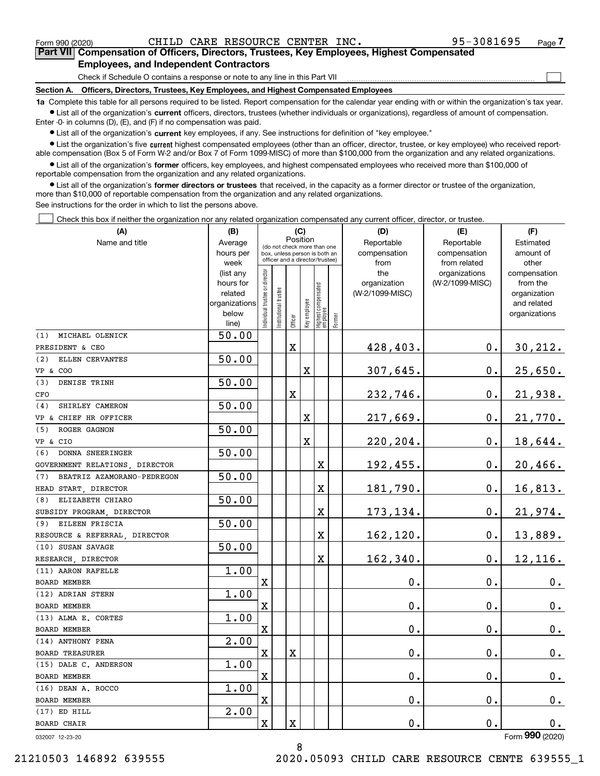$\mathcal{L}^{\text{max}}$ 

**7Part VII Compensation of Officers, Directors, Trustees, Key Employees, Highest Compensated Employees, and Independent Contractors**

Check if Schedule O contains a response or note to any line in this Part VII

**Section A. Officers, Directors, Trustees, Key Employees, and Highest Compensated Employees**

**1a**  Complete this table for all persons required to be listed. Report compensation for the calendar year ending with or within the organization's tax year. **•** List all of the organization's current officers, directors, trustees (whether individuals or organizations), regardless of amount of compensation.

Enter -0- in columns (D), (E), and (F) if no compensation was paid.

 $\bullet$  List all of the organization's  $\,$ current key employees, if any. See instructions for definition of "key employee."

**•** List the organization's five current highest compensated employees (other than an officer, director, trustee, or key employee) who received reportable compensation (Box 5 of Form W-2 and/or Box 7 of Form 1099-MISC) of more than \$100,000 from the organization and any related organizations.

**•** List all of the organization's former officers, key employees, and highest compensated employees who received more than \$100,000 of reportable compensation from the organization and any related organizations.

**former directors or trustees**  ¥ List all of the organization's that received, in the capacity as a former director or trustee of the organization, more than \$10,000 of reportable compensation from the organization and any related organizations.

See instructions for the order in which to list the persons above.

Check this box if neither the organization nor any related organization compensated any current officer, director, or trustee.  $\mathcal{L}^{\text{max}}$ 

| (A)                               | (B)                      | (C)                           |                                 |                                         |             |                                                            | (D)    | (E)                | (F)                |                             |
|-----------------------------------|--------------------------|-------------------------------|---------------------------------|-----------------------------------------|-------------|------------------------------------------------------------|--------|--------------------|--------------------|-----------------------------|
| Name and title                    | Average                  |                               |                                 | Position<br>(do not check more than one |             |                                                            |        | Reportable         | Reportable         | Estimated                   |
|                                   | hours per                | box, unless person is both an |                                 |                                         |             |                                                            |        | compensation       | compensation       | amount of                   |
|                                   | week                     |                               | officer and a director/trustee) |                                         |             |                                                            |        | from               | from related       | other                       |
|                                   | (list any                |                               |                                 |                                         |             |                                                            |        | the                | organizations      | compensation                |
|                                   | hours for                |                               |                                 |                                         |             |                                                            |        | organization       | (W-2/1099-MISC)    | from the                    |
|                                   | related<br>organizations |                               |                                 |                                         |             |                                                            |        | (W-2/1099-MISC)    |                    | organization<br>and related |
|                                   | below                    |                               |                                 |                                         |             |                                                            |        |                    |                    | organizations               |
|                                   | line)                    | ndividual trustee or director | nstitutional trustee            |                                         |             | Officer<br>Key employee<br>Highest compensated<br>employee | Former |                    |                    |                             |
| MICHAEL OLENICK<br>(1)            | 50.00                    |                               |                                 |                                         |             |                                                            |        |                    |                    |                             |
| PRESIDENT & CEO                   |                          |                               |                                 | X                                       |             |                                                            |        | 428,403.           | 0.                 | <u>30,212.</u>              |
| ELLEN CERVANTES<br>(2)            | 50.00                    |                               |                                 |                                         |             |                                                            |        |                    |                    |                             |
| <b>VP &amp; COO</b>               |                          |                               |                                 |                                         | $\mathbf X$ |                                                            |        | 307,645.           | 0.                 | 25,650.                     |
| DENISE TRINH<br>(3)               | 50.00                    |                               |                                 |                                         |             |                                                            |        |                    |                    |                             |
| CFO                               |                          |                               |                                 | $\mathbf X$                             |             |                                                            |        | 232,746.           | 0.                 | 21,938.                     |
| SHIRLEY CAMERON<br>(4)            | 50.00                    |                               |                                 |                                         |             |                                                            |        |                    |                    |                             |
| VP & CHIEF HR OFFICER             |                          |                               |                                 |                                         | $\mathbf X$ |                                                            |        | 217,669.           | 0.                 | 21,770.                     |
| ROGER GAGNON<br>(5)               | 50.00                    |                               |                                 |                                         |             |                                                            |        |                    |                    |                             |
| VP & CIO                          |                          |                               |                                 |                                         | $\mathbf X$ |                                                            |        | 220,204.           | 0.                 | 18,644.                     |
| DONNA SNEERINGER<br>(6)           | 50.00                    |                               |                                 |                                         |             |                                                            |        |                    |                    |                             |
| GOVERNMENT RELATIONS, DIRECTOR    |                          |                               |                                 |                                         |             | X                                                          |        | 192,455.           | 0.                 | 20,466.                     |
| BEATRIZ AZAMORANO-PEDREGON<br>(7) | 50.00                    |                               |                                 |                                         |             |                                                            |        |                    |                    |                             |
| HEAD START, DIRECTOR              |                          |                               |                                 |                                         |             | X                                                          |        | 181,790.           | $\mathbf 0$ .      | 16,813.                     |
| ELIZABETH CHIARO<br>(8)           | 50.00                    |                               |                                 |                                         |             |                                                            |        |                    |                    |                             |
| SUBSIDY PROGRAM, DIRECTOR         |                          |                               |                                 |                                         |             | X                                                          |        | 173,134.           | 0.                 | 21,974.                     |
| EILEEN FRISCIA<br>(9)             | 50.00                    |                               |                                 |                                         |             |                                                            |        |                    |                    |                             |
| RESOURCE & REFERRAL, DIRECTOR     |                          |                               |                                 |                                         |             | X                                                          |        | 162,120.           | $\mathbf 0$ .      | 13,889.                     |
| (10) SUSAN SAVAGE                 | 50.00                    |                               |                                 |                                         |             |                                                            |        |                    |                    |                             |
| RESEARCH, DIRECTOR                |                          |                               |                                 |                                         |             | X                                                          |        | 162,340.           | $\mathbf 0$ .      | 12,116.                     |
| (11) AARON RAFELLE                | 1.00                     |                               |                                 |                                         |             |                                                            |        |                    |                    |                             |
| BOARD MEMBER                      |                          | X                             |                                 |                                         |             |                                                            |        | $\mathbf 0$ .      | $\mathbf 0$ .      | 0.                          |
| (12) ADRIAN STERN                 | 1.00                     |                               |                                 |                                         |             |                                                            |        |                    |                    |                             |
| BOARD MEMBER                      |                          | $\mathbf X$                   |                                 |                                         |             |                                                            |        | $\mathbf 0$ .      | $\mathbf 0$ .      | 0.                          |
| (13) ALMA E. CORTES               | 1.00                     |                               |                                 |                                         |             |                                                            |        |                    |                    |                             |
| BOARD MEMBER                      |                          | $\mathbf X$                   |                                 |                                         |             |                                                            |        | $\mathbf 0$ .      | $\mathbf 0$ .      | 0.                          |
| (14) ANTHONY PENA                 | $\overline{2}$ .00       |                               |                                 |                                         |             |                                                            |        |                    |                    |                             |
| <b>BOARD TREASURER</b>            |                          | X                             |                                 | X                                       |             |                                                            |        | $\mathbf 0$ .      | 0.                 | $0_{.}$                     |
| (15) DALE C. ANDERSON             | 1.00                     |                               |                                 |                                         |             |                                                            |        |                    |                    |                             |
| BOARD MEMBER                      |                          | Χ                             |                                 |                                         |             |                                                            |        | $\mathbf 0$ .      | $\mathbf 0$ .      | 0.                          |
| (16) DEAN A. ROCCO                | 1.00                     |                               |                                 |                                         |             |                                                            |        |                    |                    |                             |
| BOARD MEMBER                      |                          | Χ                             |                                 |                                         |             |                                                            |        | $\boldsymbol{0}$ . | $\boldsymbol{0}$ . | $0_{.}$                     |
| $(17)$ ED HILL                    | 2.00                     |                               |                                 |                                         |             |                                                            |        |                    |                    |                             |
| BOARD CHAIR                       |                          | X                             |                                 | $\mathbf X$                             |             |                                                            |        | 0.                 | $\boldsymbol{0}$ . | 0.                          |
| 032007 12-23-20                   |                          |                               |                                 |                                         |             |                                                            |        |                    |                    | Form 990 (2020)             |

8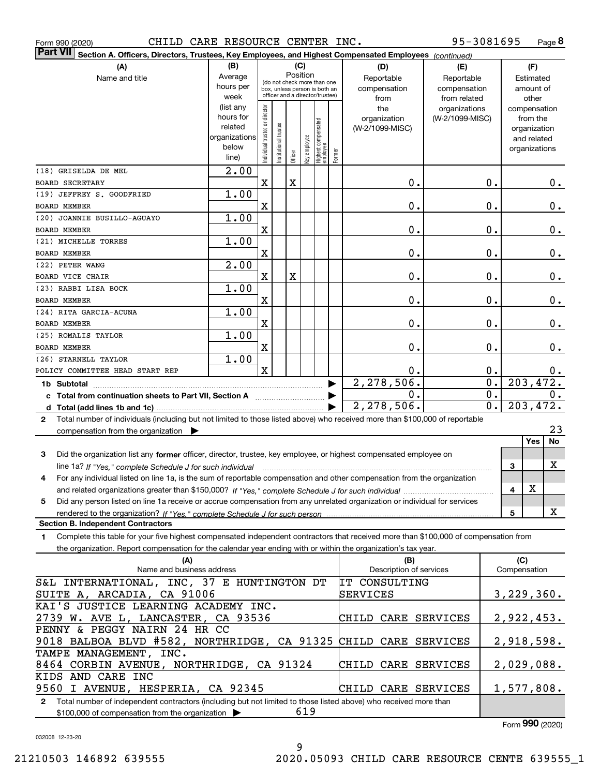|  | Form 990 (2020) |
|--|-----------------|
|  |                 |

Form 990 (2020) Page CHILD CARE RESOURCE CENTER INC.

**8** 95-3081695

| <b>Part VII</b> Section A. Officers, Directors, Trustees, Key Employees, and Highest Compensated Employees (continued)<br>(B)                |                        |                               |                                                              |         |              |                                 |        |                         |                 |                  |                  |       |
|----------------------------------------------------------------------------------------------------------------------------------------------|------------------------|-------------------------------|--------------------------------------------------------------|---------|--------------|---------------------------------|--------|-------------------------|-----------------|------------------|------------------|-------|
| (A)                                                                                                                                          |                        | (D)                           | (E)                                                          |         | (F)          |                                 |        |                         |                 |                  |                  |       |
| Name and title                                                                                                                               | Average                |                               |                                                              |         | Position     |                                 |        | Reportable              | Reportable      |                  | Estimated        |       |
|                                                                                                                                              | hours per              |                               | (do not check more than one<br>box, unless person is both an |         |              |                                 |        | compensation            | compensation    |                  | amount of        |       |
|                                                                                                                                              | week                   |                               | officer and a director/trustee)                              |         |              |                                 |        | from                    | from related    |                  | other            |       |
|                                                                                                                                              | (list any              |                               |                                                              |         |              |                                 |        | the                     | organizations   |                  | compensation     |       |
|                                                                                                                                              | hours for              |                               |                                                              |         |              |                                 |        | organization            | (W-2/1099-MISC) |                  | from the         |       |
|                                                                                                                                              | related                |                               |                                                              |         |              |                                 |        | (W-2/1099-MISC)         |                 |                  | organization     |       |
|                                                                                                                                              | organizations<br>below |                               |                                                              |         |              |                                 |        |                         |                 |                  | and related      |       |
|                                                                                                                                              | line)                  | ndividual trustee or director | nstitutional trustee                                         | Officer | key employee | Highest compensated<br>employee | Former |                         |                 |                  | organizations    |       |
| (18) GRISELDA DE MEL                                                                                                                         | 2.00                   |                               |                                                              |         |              |                                 |        |                         |                 |                  |                  |       |
| <b>BOARD SECRETARY</b>                                                                                                                       |                        | $\mathbf X$                   |                                                              | X       |              |                                 |        | $\mathbf{0}$ .          |                 | 0.               |                  | $0$ . |
| (19) JEFFREY S. GOODFRIED                                                                                                                    | 1.00                   |                               |                                                              |         |              |                                 |        |                         |                 |                  |                  |       |
| <b>BOARD MEMBER</b>                                                                                                                          |                        | X                             |                                                              |         |              |                                 |        | $\mathbf{0}$ .          |                 | 0.               |                  | 0.    |
| (20) JOANNIE BUSILLO-AGUAYO                                                                                                                  | 1.00                   |                               |                                                              |         |              |                                 |        |                         |                 |                  |                  |       |
| <b>BOARD MEMBER</b>                                                                                                                          |                        | X                             |                                                              |         |              |                                 |        | $\mathbf 0$ .           |                 | 0.               |                  | 0.    |
| (21) MICHELLE TORRES                                                                                                                         | 1.00                   |                               |                                                              |         |              |                                 |        |                         |                 |                  |                  |       |
| <b>BOARD MEMBER</b>                                                                                                                          |                        | X                             |                                                              |         |              |                                 |        | $\mathbf 0$ .           |                 | 0.               |                  | 0.    |
| (22) PETER WANG                                                                                                                              | 2.00                   |                               |                                                              |         |              |                                 |        |                         |                 |                  |                  |       |
| BOARD VICE CHAIR                                                                                                                             |                        | $\mathbf X$                   |                                                              | X       |              |                                 |        | $\mathbf 0$ .           |                 | 0.               |                  | 0.    |
| (23) RABBI LISA BOCK                                                                                                                         | 1.00                   |                               |                                                              |         |              |                                 |        |                         |                 |                  |                  |       |
| <b>BOARD MEMBER</b>                                                                                                                          |                        | X                             |                                                              |         |              |                                 |        | $\mathbf 0$ .           |                 | 0.               |                  | 0.    |
| (24) RITA GARCIA-ACUNA                                                                                                                       | 1.00                   |                               |                                                              |         |              |                                 |        |                         |                 |                  |                  |       |
| <b>BOARD MEMBER</b>                                                                                                                          |                        | X                             |                                                              |         |              |                                 |        | $\mathbf 0$ .           |                 | 0.               |                  | 0.    |
| (25) ROMALIS TAYLOR                                                                                                                          | 1.00                   |                               |                                                              |         |              |                                 |        |                         |                 |                  |                  |       |
| <b>BOARD MEMBER</b>                                                                                                                          |                        | X                             |                                                              |         |              |                                 |        | $\mathbf 0$ .           |                 | 0.               |                  | $0$ . |
| (26) STARNELL TAYLOR                                                                                                                         | 1.00                   |                               |                                                              |         |              |                                 |        |                         |                 |                  |                  |       |
| POLICY COMMITTEE HEAD START REP                                                                                                              |                        | $\mathbf x$                   |                                                              |         |              |                                 |        | 0.                      |                 | $0$ .            |                  | $0$ . |
| 1b Subtotal                                                                                                                                  |                        |                               |                                                              |         |              |                                 |        | 2, 278, 506.            |                 | $\overline{0}$ . | 203, 472.        |       |
|                                                                                                                                              |                        |                               |                                                              |         |              |                                 |        | О.                      |                 | 0.               |                  | 0.    |
|                                                                                                                                              |                        |                               |                                                              |         |              |                                 |        | 2, 278, 506.            |                 | 0.               | 203,472.         |       |
| Total number of individuals (including but not limited to those listed above) who received more than \$100,000 of reportable<br>$\mathbf{2}$ |                        |                               |                                                              |         |              |                                 |        |                         |                 |                  |                  |       |
| compensation from the organization                                                                                                           |                        |                               |                                                              |         |              |                                 |        |                         |                 |                  |                  | 23    |
|                                                                                                                                              |                        |                               |                                                              |         |              |                                 |        |                         |                 |                  | <b>Yes</b>       | No    |
| Did the organization list any former officer, director, trustee, key employee, or highest compensated employee on<br>3                       |                        |                               |                                                              |         |              |                                 |        |                         |                 |                  |                  |       |
|                                                                                                                                              |                        |                               |                                                              |         |              |                                 |        |                         |                 |                  | 3                | х     |
| For any individual listed on line 1a, is the sum of reportable compensation and other compensation from the organization<br>4                |                        |                               |                                                              |         |              |                                 |        |                         |                 |                  |                  |       |
|                                                                                                                                              |                        |                               |                                                              |         |              |                                 |        |                         |                 |                  | $\mathbf X$<br>4 |       |
| Did any person listed on line 1a receive or accrue compensation from any unrelated organization or individual for services<br>5              |                        |                               |                                                              |         |              |                                 |        |                         |                 |                  |                  |       |
| rendered to the organization? If "Yes." complete Schedule J for such person                                                                  |                        |                               |                                                              |         |              |                                 |        |                         |                 |                  | 5                | x     |
| <b>Section B. Independent Contractors</b>                                                                                                    |                        |                               |                                                              |         |              |                                 |        |                         |                 |                  |                  |       |
| Complete this table for your five highest compensated independent contractors that received more than \$100,000 of compensation from<br>1    |                        |                               |                                                              |         |              |                                 |        |                         |                 |                  |                  |       |
| the organization. Report compensation for the calendar year ending with or within the organization's tax year.                               |                        |                               |                                                              |         |              |                                 |        |                         |                 |                  |                  |       |
| (A)                                                                                                                                          |                        |                               |                                                              |         |              |                                 |        | (B)                     |                 |                  | (C)              |       |
| Name and business address                                                                                                                    |                        |                               |                                                              |         |              |                                 |        | Description of services |                 |                  | Compensation     |       |
| S&L INTERNATIONAL, INC, 37 E HUNTINGTON DT                                                                                                   |                        |                               |                                                              |         |              |                                 |        | <b>IT CONSULTING</b>    |                 |                  |                  |       |
| SUITE A, ARCADIA, CA 91006                                                                                                                   |                        |                               |                                                              |         |              |                                 |        | SERVICES                |                 |                  | 3,229,360.       |       |
| KAI'S JUSTICE LEARNING ACADEMY INC.                                                                                                          |                        |                               |                                                              |         |              |                                 |        |                         |                 |                  |                  |       |
| 2739 W. AVE L, LANCASTER, CA 93536                                                                                                           |                        |                               |                                                              |         |              |                                 |        | CHILD CARE SERVICES     |                 |                  | 2,922,453.       |       |
| PENNY & PEGGY NAIRN 24 HR CC                                                                                                                 |                        |                               |                                                              |         |              |                                 |        |                         |                 |                  |                  |       |
| 9018 BALBOA BLVD #582, NORTHRIDGE, CA 91325<br>TAMPE MANAGEMENT, INC.                                                                        |                        |                               |                                                              |         |              |                                 |        | CHILD CARE SERVICES     |                 |                  | 2,918,598.       |       |
| 8464 CORBIN AVENUE, NORTHRIDGE, CA 91324                                                                                                     |                        |                               |                                                              |         |              |                                 |        | CHILD CARE SERVICES     |                 |                  | 2,029,088.       |       |
| KIDS AND CARE INC                                                                                                                            |                        |                               |                                                              |         |              |                                 |        |                         |                 |                  |                  |       |
| 9560 I AVENUE, HESPERIA, CA 92345                                                                                                            |                        |                               |                                                              |         |              |                                 |        | CHILD CARE SERVICES     |                 |                  | 1,577,808.       |       |

**2**Total number of independent contractors (including but not limited to those listed above) who received more than \$100,000 of compensation from the organization  $\blacktriangleright$ 619

Form (2020) **990**

032008 12-23-20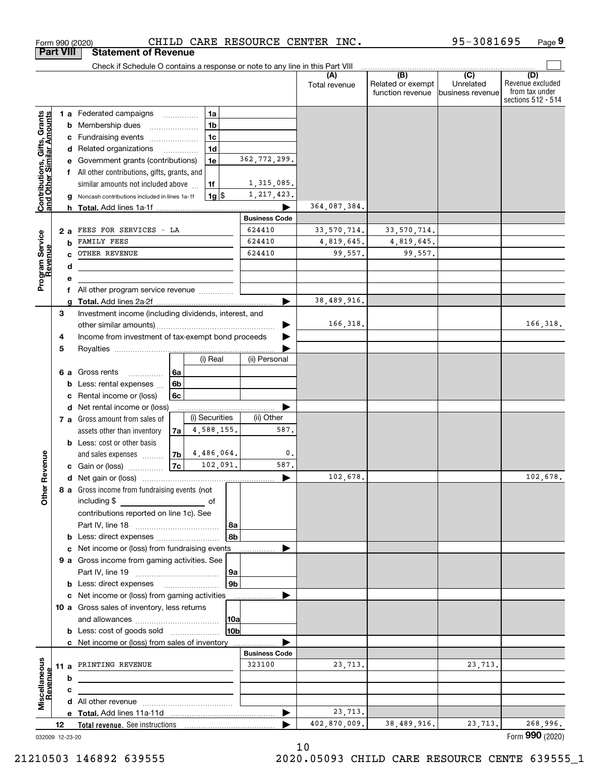|                                                           |    |     | Form 990 (2020)                                                                                                                                                                                                                                            |                          |                |                |                                | CHILD CARE RESOURCE CENTER INC. |                                                           | 95-3081695                                        | Page 9                                                          |
|-----------------------------------------------------------|----|-----|------------------------------------------------------------------------------------------------------------------------------------------------------------------------------------------------------------------------------------------------------------|--------------------------|----------------|----------------|--------------------------------|---------------------------------|-----------------------------------------------------------|---------------------------------------------------|-----------------------------------------------------------------|
| <b>Part VIII</b>                                          |    |     | <b>Statement of Revenue</b>                                                                                                                                                                                                                                |                          |                |                |                                |                                 |                                                           |                                                   |                                                                 |
|                                                           |    |     | Check if Schedule O contains a response or note to any line in this Part VIII                                                                                                                                                                              |                          |                |                |                                |                                 |                                                           |                                                   |                                                                 |
|                                                           |    |     |                                                                                                                                                                                                                                                            |                          |                |                |                                | Total revenue                   | $\overline{(B)}$<br>Related or exempt<br>function revenue | $\overline{(C)}$<br>Unrelated<br>business revenue | (D)<br>Revenue excluded<br>from tax under<br>sections 512 - 514 |
|                                                           |    |     | <b>1 a</b> Federated campaigns                                                                                                                                                                                                                             |                          | 1a             |                |                                |                                 |                                                           |                                                   |                                                                 |
| Contributions, Gifts, Grants<br>and Other Similar Amounts |    | b   | Membership dues                                                                                                                                                                                                                                            |                          | 1 <sub>b</sub> |                |                                |                                 |                                                           |                                                   |                                                                 |
|                                                           |    | с   | Fundraising events <i></i>                                                                                                                                                                                                                                 |                          | 1 <sub>c</sub> |                |                                |                                 |                                                           |                                                   |                                                                 |
|                                                           |    | d   | Related organizations                                                                                                                                                                                                                                      | $\overline{\phantom{a}}$ | 1 <sub>d</sub> |                |                                |                                 |                                                           |                                                   |                                                                 |
|                                                           |    |     | Government grants (contributions)                                                                                                                                                                                                                          |                          | 1e             |                | 362, 772, 299.                 |                                 |                                                           |                                                   |                                                                 |
|                                                           |    |     | All other contributions, gifts, grants, and                                                                                                                                                                                                                |                          |                |                |                                |                                 |                                                           |                                                   |                                                                 |
|                                                           |    |     | similar amounts not included above                                                                                                                                                                                                                         |                          | 1f             |                | 1,315,085.                     |                                 |                                                           |                                                   |                                                                 |
|                                                           |    | g   | Noncash contributions included in lines 1a-1f                                                                                                                                                                                                              |                          | $1g$ \$        |                | 1, 217, 423.                   |                                 |                                                           |                                                   |                                                                 |
|                                                           |    |     | <b>h</b> Total. Add lines 1a-1f                                                                                                                                                                                                                            |                          |                |                | <b>Business Code</b>           | 364,087,384.                    |                                                           |                                                   |                                                                 |
|                                                           |    | 2 a | FEES FOR SERVICES - LA                                                                                                                                                                                                                                     |                          |                |                | 624410                         | 33,570,714.                     | 33, 570, 714.                                             |                                                   |                                                                 |
|                                                           |    | b   | FAMILY FEES                                                                                                                                                                                                                                                |                          |                |                | 624410                         | 4,819,645.                      | 4,819,645.                                                |                                                   |                                                                 |
|                                                           |    |     | OTHER REVENUE                                                                                                                                                                                                                                              |                          |                |                | 624410                         | 99.557.                         | 99.557.                                                   |                                                   |                                                                 |
|                                                           |    | d   |                                                                                                                                                                                                                                                            |                          |                |                |                                |                                 |                                                           |                                                   |                                                                 |
| Program Service<br>Revenue                                |    |     |                                                                                                                                                                                                                                                            |                          |                |                |                                |                                 |                                                           |                                                   |                                                                 |
|                                                           |    | f   | All other program service revenue                                                                                                                                                                                                                          |                          |                |                |                                |                                 |                                                           |                                                   |                                                                 |
|                                                           |    |     |                                                                                                                                                                                                                                                            |                          |                |                |                                | 38,489,916.                     |                                                           |                                                   |                                                                 |
|                                                           | 3  |     | Investment income (including dividends, interest, and                                                                                                                                                                                                      |                          |                |                |                                |                                 |                                                           |                                                   |                                                                 |
|                                                           |    |     |                                                                                                                                                                                                                                                            |                          |                |                |                                | 166,318.                        |                                                           |                                                   | 166,318.                                                        |
|                                                           | 4  |     | Income from investment of tax-exempt bond proceeds                                                                                                                                                                                                         |                          |                |                |                                |                                 |                                                           |                                                   |                                                                 |
|                                                           | 5  |     |                                                                                                                                                                                                                                                            |                          | (i) Real       |                | (ii) Personal                  |                                 |                                                           |                                                   |                                                                 |
|                                                           |    |     |                                                                                                                                                                                                                                                            |                          |                |                |                                |                                 |                                                           |                                                   |                                                                 |
|                                                           |    | 6а  | Gross rents<br>.<br>Less: rental expenses                                                                                                                                                                                                                  | 6a<br>6b                 |                |                |                                |                                 |                                                           |                                                   |                                                                 |
|                                                           |    |     | Rental income or (loss)                                                                                                                                                                                                                                    | 6c                       |                |                |                                |                                 |                                                           |                                                   |                                                                 |
|                                                           |    |     | d Net rental income or (loss)                                                                                                                                                                                                                              |                          |                |                |                                |                                 |                                                           |                                                   |                                                                 |
|                                                           |    |     | 7 a Gross amount from sales of                                                                                                                                                                                                                             |                          | (i) Securities |                | (ii) Other                     |                                 |                                                           |                                                   |                                                                 |
|                                                           |    |     | assets other than inventory                                                                                                                                                                                                                                | 7a                       | 4,588,155.     |                | 587.                           |                                 |                                                           |                                                   |                                                                 |
|                                                           |    |     | <b>b</b> Less: cost or other basis                                                                                                                                                                                                                         |                          |                |                |                                |                                 |                                                           |                                                   |                                                                 |
|                                                           |    |     | and sales expenses                                                                                                                                                                                                                                         | 7b                       | 4,486,064.     |                | $\mathfrak{o}$ .               |                                 |                                                           |                                                   |                                                                 |
| evenue                                                    |    |     | <b>c</b> Gain or (loss)                                                                                                                                                                                                                                    | 7c                       | 102,091.       |                | 587.                           |                                 |                                                           |                                                   |                                                                 |
| č                                                         |    |     |                                                                                                                                                                                                                                                            |                          |                |                |                                | 102,678.                        |                                                           |                                                   | 102,678.                                                        |
| Other <sup>1</sup>                                        |    |     | 8 a Gross income from fundraising events (not                                                                                                                                                                                                              |                          |                |                |                                |                                 |                                                           |                                                   |                                                                 |
|                                                           |    |     | including \$<br><b><i>Contract Contract Contract Contract Contract Contract Contract Contract Contract Contract Contract Contract Contract Contract Contract Contract Contract Contract Contract Contract Contract Contract Contract Contract Cont</i></b> |                          |                |                |                                |                                 |                                                           |                                                   |                                                                 |
|                                                           |    |     | contributions reported on line 1c). See                                                                                                                                                                                                                    |                          |                | 8a             |                                |                                 |                                                           |                                                   |                                                                 |
|                                                           |    |     |                                                                                                                                                                                                                                                            |                          |                | 8 <sub>b</sub> |                                |                                 |                                                           |                                                   |                                                                 |
|                                                           |    |     | c Net income or (loss) from fundraising events                                                                                                                                                                                                             |                          |                |                |                                |                                 |                                                           |                                                   |                                                                 |
|                                                           |    |     | 9 a Gross income from gaming activities. See                                                                                                                                                                                                               |                          |                |                |                                |                                 |                                                           |                                                   |                                                                 |
|                                                           |    |     |                                                                                                                                                                                                                                                            |                          |                | 9a             |                                |                                 |                                                           |                                                   |                                                                 |
|                                                           |    |     |                                                                                                                                                                                                                                                            |                          |                | 9 <sub>b</sub> |                                |                                 |                                                           |                                                   |                                                                 |
|                                                           |    |     | c Net income or (loss) from gaming activities                                                                                                                                                                                                              |                          |                |                |                                |                                 |                                                           |                                                   |                                                                 |
|                                                           |    |     | 10 a Gross sales of inventory, less returns                                                                                                                                                                                                                |                          |                |                |                                |                                 |                                                           |                                                   |                                                                 |
|                                                           |    |     |                                                                                                                                                                                                                                                            |                          |                | 10a            |                                |                                 |                                                           |                                                   |                                                                 |
|                                                           |    |     | <b>b</b> Less: cost of goods sold                                                                                                                                                                                                                          |                          |                | 10bl           |                                |                                 |                                                           |                                                   |                                                                 |
|                                                           |    |     | c Net income or (loss) from sales of inventory                                                                                                                                                                                                             |                          |                |                |                                |                                 |                                                           |                                                   |                                                                 |
|                                                           |    |     | 11 a PRINTING REVENUE                                                                                                                                                                                                                                      |                          |                |                | <b>Business Code</b><br>323100 | 23,713.                         |                                                           | 23,713.                                           |                                                                 |
|                                                           |    | b   |                                                                                                                                                                                                                                                            |                          |                |                |                                |                                 |                                                           |                                                   |                                                                 |
| Revenue                                                   |    | с   |                                                                                                                                                                                                                                                            |                          |                |                |                                |                                 |                                                           |                                                   |                                                                 |
| Miscellaneous                                             |    |     |                                                                                                                                                                                                                                                            |                          |                |                |                                |                                 |                                                           |                                                   |                                                                 |
|                                                           |    |     |                                                                                                                                                                                                                                                            |                          |                |                |                                | 23,713.                         |                                                           |                                                   |                                                                 |
|                                                           | 12 |     |                                                                                                                                                                                                                                                            |                          |                |                |                                | 402,870,009.                    | 38,489,916.                                               | 23, 713.                                          | 268,996.                                                        |
| 032009 12-23-20                                           |    |     |                                                                                                                                                                                                                                                            |                          |                |                |                                |                                 |                                                           |                                                   | Form 990 (2020)                                                 |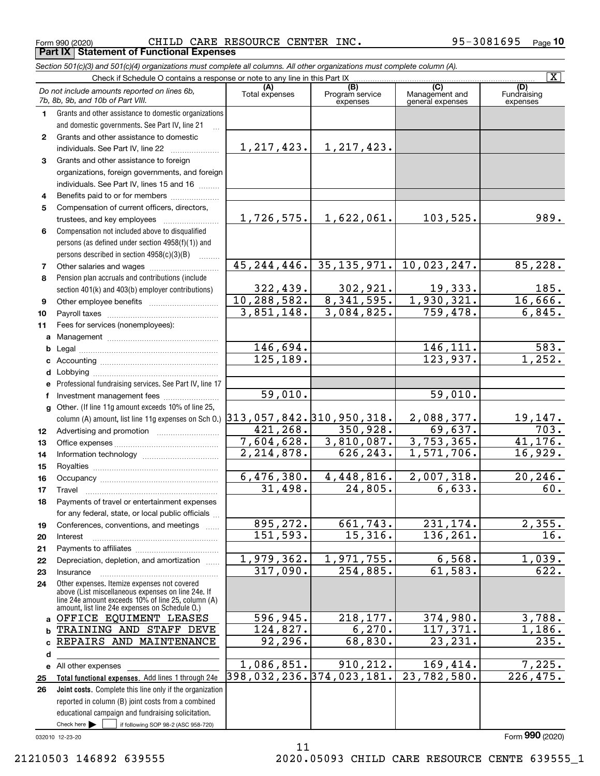Form 990 (2020) Page **Part IX Statement of Functional Expenses** CHILD CARE RESOURCE CENTER INC. 95-3081695

*Section 501(c)(3) and 501(c)(4) organizations must complete all columns. All other organizations must complete column (A).*

|              | $\overline{\mathbf{x}}$                                                                                  |                                           |                                    |                                           |                                |  |  |  |  |  |  |  |
|--------------|----------------------------------------------------------------------------------------------------------|-------------------------------------------|------------------------------------|-------------------------------------------|--------------------------------|--|--|--|--|--|--|--|
|              | Do not include amounts reported on lines 6b,<br>7b, 8b, 9b, and 10b of Part VIII.                        | (A)<br>Total expenses                     | (B)<br>Program service<br>expenses | (C)<br>Management and<br>general expenses | (D)<br>Fundraising<br>expenses |  |  |  |  |  |  |  |
| 1.           | Grants and other assistance to domestic organizations                                                    |                                           |                                    |                                           |                                |  |  |  |  |  |  |  |
|              | and domestic governments. See Part IV, line 21                                                           |                                           |                                    |                                           |                                |  |  |  |  |  |  |  |
| $\mathbf{2}$ | Grants and other assistance to domestic                                                                  |                                           |                                    |                                           |                                |  |  |  |  |  |  |  |
|              | individuals. See Part IV, line 22                                                                        | 1, 217, 423.                              | 1, 217, 423.                       |                                           |                                |  |  |  |  |  |  |  |
| 3            | Grants and other assistance to foreign                                                                   |                                           |                                    |                                           |                                |  |  |  |  |  |  |  |
|              | organizations, foreign governments, and foreign                                                          |                                           |                                    |                                           |                                |  |  |  |  |  |  |  |
|              | individuals. See Part IV, lines 15 and 16                                                                |                                           |                                    |                                           |                                |  |  |  |  |  |  |  |
| 4            | Benefits paid to or for members                                                                          |                                           |                                    |                                           |                                |  |  |  |  |  |  |  |
| 5            | Compensation of current officers, directors,                                                             |                                           |                                    |                                           |                                |  |  |  |  |  |  |  |
|              | trustees, and key employees                                                                              | 1,726,575.                                | 1,622,061.                         | 103,525.                                  | 989.                           |  |  |  |  |  |  |  |
| 6            | Compensation not included above to disqualified                                                          |                                           |                                    |                                           |                                |  |  |  |  |  |  |  |
|              | persons (as defined under section 4958(f)(1)) and                                                        |                                           |                                    |                                           |                                |  |  |  |  |  |  |  |
|              | persons described in section $4958(c)(3)(B)$                                                             |                                           |                                    |                                           |                                |  |  |  |  |  |  |  |
| 7            |                                                                                                          | 45, 244, 446.                             | 35, 135, 971.                      | 10,023,247.                               | 85,228.                        |  |  |  |  |  |  |  |
| 8            | Pension plan accruals and contributions (include                                                         |                                           |                                    |                                           |                                |  |  |  |  |  |  |  |
|              | section 401(k) and 403(b) employer contributions)                                                        | 322, 439.                                 | 302,921.                           | 19,333.                                   | 185.                           |  |  |  |  |  |  |  |
| 9            |                                                                                                          | 10,288,582.                               | 8,341,595.                         | 1,930,321.                                | 16,666.                        |  |  |  |  |  |  |  |
| 10           |                                                                                                          | 3,851,148.                                | 3,084,825.                         | 759,478.                                  | 6,845.                         |  |  |  |  |  |  |  |
| 11           | Fees for services (nonemployees):                                                                        |                                           |                                    |                                           |                                |  |  |  |  |  |  |  |
|              |                                                                                                          |                                           |                                    |                                           |                                |  |  |  |  |  |  |  |
|              |                                                                                                          | 146,694.                                  |                                    | 146, 111.                                 | 583.                           |  |  |  |  |  |  |  |
|              |                                                                                                          | 125, 189.                                 |                                    | 123,937.                                  | 1,252.                         |  |  |  |  |  |  |  |
|              |                                                                                                          |                                           |                                    |                                           |                                |  |  |  |  |  |  |  |
|              | e Professional fundraising services. See Part IV, line 17                                                |                                           |                                    |                                           |                                |  |  |  |  |  |  |  |
| f            | Investment management fees                                                                               | 59,010.                                   |                                    | 59,010.                                   |                                |  |  |  |  |  |  |  |
|              | g Other. (If line 11g amount exceeds 10% of line 25,                                                     |                                           |                                    |                                           |                                |  |  |  |  |  |  |  |
|              | column (A) amount, list line 11g expenses on Sch O.)                                                     | 313, 057, 842. 310, 950, 318.<br>421,268. | 350, 928.                          | 2,088,377.<br>69,637.                     | 19,147.<br>703.                |  |  |  |  |  |  |  |
| 12           |                                                                                                          | 7,604,628.                                | 3,810,087.                         | 3,753,365.                                | 41, 176.                       |  |  |  |  |  |  |  |
| 13           |                                                                                                          | $\overline{2,214,878}$ .                  | 626, 243.                          | $\overline{1,571,706}$ .                  | 16,929.                        |  |  |  |  |  |  |  |
| 14<br>15     |                                                                                                          |                                           |                                    |                                           |                                |  |  |  |  |  |  |  |
| 16           |                                                                                                          | 6,476,380.                                | 4,448,816.                         | 2,007,318.                                | 20, 246.                       |  |  |  |  |  |  |  |
| 17           | Travel                                                                                                   | 31,498.                                   | $\overline{24,805}$ .              | 6,633.                                    | 60.                            |  |  |  |  |  |  |  |
| 18           | Payments of travel or entertainment expenses                                                             |                                           |                                    |                                           |                                |  |  |  |  |  |  |  |
|              | for any federal, state, or local public officials                                                        |                                           |                                    |                                           |                                |  |  |  |  |  |  |  |
| 19           | Conferences, conventions, and meetings                                                                   | 895, 272.                                 | 661, 743.                          | 231, 174.                                 | 2,355.                         |  |  |  |  |  |  |  |
| 20           | Interest                                                                                                 | 151,593.                                  | 15,316.                            | 136,261.                                  | 16.                            |  |  |  |  |  |  |  |
| 21           |                                                                                                          |                                           |                                    |                                           |                                |  |  |  |  |  |  |  |
| 22           | Depreciation, depletion, and amortization                                                                | 1,979,362.                                | 1,971,755.                         | 6,568.                                    | 1,039.                         |  |  |  |  |  |  |  |
| 23           | Insurance                                                                                                | 317,090.                                  | 254,885.                           | 61, 583.                                  | 622.                           |  |  |  |  |  |  |  |
| 24           | Other expenses. Itemize expenses not covered                                                             |                                           |                                    |                                           |                                |  |  |  |  |  |  |  |
|              | above (List miscellaneous expenses on line 24e. If<br>line 24e amount exceeds 10% of line 25, column (A) |                                           |                                    |                                           |                                |  |  |  |  |  |  |  |
|              | amount, list line 24e expenses on Schedule O.)                                                           |                                           |                                    |                                           |                                |  |  |  |  |  |  |  |
|              | a OFFICE EQUIMENT LEASES                                                                                 | 596,945.                                  | 218, 177.                          | 374,980.                                  | 3,788.                         |  |  |  |  |  |  |  |
| b            | TRAINING AND STAFF DEVE                                                                                  | 124,827.                                  | 6,270.                             | 117,371.                                  | 1,186.                         |  |  |  |  |  |  |  |
| c            | REPAIRS AND MAINTENANCE                                                                                  | 92, 296.                                  | 68,830.                            | 23, 231.                                  | 235.                           |  |  |  |  |  |  |  |
| d            |                                                                                                          |                                           |                                    |                                           |                                |  |  |  |  |  |  |  |
|              | e All other expenses                                                                                     | 1,086,851.                                | 910, 212.                          | 169,414.                                  | 7,225.                         |  |  |  |  |  |  |  |
| 25           | Total functional expenses. Add lines 1 through 24e                                                       | 398,032,236.374,023,181.                  |                                    | 23,782,580.                               | 226, 475.                      |  |  |  |  |  |  |  |
| 26           | Joint costs. Complete this line only if the organization                                                 |                                           |                                    |                                           |                                |  |  |  |  |  |  |  |
|              | reported in column (B) joint costs from a combined                                                       |                                           |                                    |                                           |                                |  |  |  |  |  |  |  |
|              | educational campaign and fundraising solicitation.                                                       |                                           |                                    |                                           |                                |  |  |  |  |  |  |  |
|              | Check here $\blacktriangleright$<br>if following SOP 98-2 (ASC 958-720)                                  |                                           |                                    |                                           |                                |  |  |  |  |  |  |  |

11

032010 12-23-20

Form (2020) **990**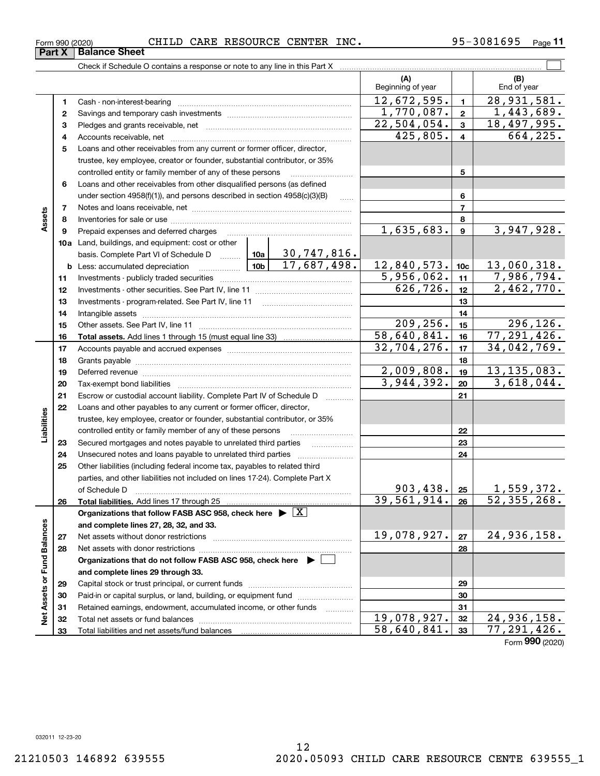**Part X Balance Sheet**

### Form 990 (2020) CHILD CARE RESOURCE CENTER INC 95-3081695 Page

**11**

|                             |          |                                                                                            |             |                 | (A)<br>Beginning of year     |                  | (B)<br>End of year                        |
|-----------------------------|----------|--------------------------------------------------------------------------------------------|-------------|-----------------|------------------------------|------------------|-------------------------------------------|
|                             | 1        |                                                                                            |             |                 | 12,672,595.                  | $\mathbf{1}$     | 28,931,581.                               |
|                             | 2        |                                                                                            |             |                 | $\overline{1,770}$ , 087.    | $\mathbf{2}$     | 1,443,689.                                |
|                             | з        |                                                                                            |             |                 | $\overline{22,504,054}$ .    | 3                | 18,497,995.                               |
|                             | 4        |                                                                                            |             |                 | 425,805.                     | $\overline{4}$   | 664,225.                                  |
|                             | 5        | Loans and other receivables from any current or former officer, director,                  |             |                 |                              |                  |                                           |
|                             |          | trustee, key employee, creator or founder, substantial contributor, or 35%                 |             |                 |                              |                  |                                           |
|                             |          | controlled entity or family member of any of these persons                                 |             |                 |                              | 5                |                                           |
|                             | 6        | Loans and other receivables from other disqualified persons (as defined                    |             |                 |                              |                  |                                           |
|                             |          | under section $4958(f)(1)$ , and persons described in section $4958(c)(3)(B)$              |             | $\ldots$        |                              | 6                |                                           |
|                             | 7        |                                                                                            |             | $\overline{7}$  |                              |                  |                                           |
| Assets                      | 8        |                                                                                            |             |                 |                              | 8                |                                           |
|                             | 9        | Prepaid expenses and deferred charges                                                      |             |                 | $\overline{1,635}$ , 683.    | $\boldsymbol{9}$ | 3,947,928.                                |
|                             |          | 10a Land, buildings, and equipment: cost or other                                          |             |                 |                              |                  |                                           |
|                             |          | basis. Complete Part VI of Schedule D  10a                                                 |             | 30,747,816.     |                              |                  |                                           |
|                             |          | <b>b</b> Less: accumulated depreciation $\frac{10b}{10b}$ 17, 687, 498.                    | 12,840,573. | 10 <sub>c</sub> | 13,060,318.                  |                  |                                           |
|                             | 11       |                                                                                            |             |                 | 5,956,062.                   | 11               | 7,986,794.                                |
|                             | 12       |                                                                                            |             | 626, 726.       | 12                           | 2,462,770.       |                                           |
|                             | 13       |                                                                                            |             | 13              |                              |                  |                                           |
|                             | 14       |                                                                                            |             | 14              |                              |                  |                                           |
|                             | 15       |                                                                                            |             | 209, 256.       | 15                           | 296,126.         |                                           |
|                             | 16       |                                                                                            |             |                 | 58,640,841.                  | 16               | 77, 291, 426.                             |
|                             | 17       |                                                                                            |             |                 | 32,704,276.                  | 17               | 34,042,769.                               |
|                             | 18       |                                                                                            |             | 18              |                              |                  |                                           |
|                             | 19       |                                                                                            |             |                 | 2,009,808.                   | 19               | 13, 135, 083.                             |
|                             | 20       |                                                                                            | 3,944,392.  | 20              | 3,618,044.                   |                  |                                           |
|                             | 21       | Escrow or custodial account liability. Complete Part IV of Schedule D                      |             |                 |                              | 21               |                                           |
|                             | 22       | Loans and other payables to any current or former officer, director,                       |             |                 |                              |                  |                                           |
|                             |          | trustee, key employee, creator or founder, substantial contributor, or 35%                 |             |                 |                              |                  |                                           |
| Liabilities                 |          | controlled entity or family member of any of these persons                                 |             |                 |                              | 22               |                                           |
|                             | 23       | Secured mortgages and notes payable to unrelated third parties                             |             |                 |                              | 23               |                                           |
|                             | 24       |                                                                                            |             |                 |                              | 24               |                                           |
|                             | 25       | Other liabilities (including federal income tax, payables to related third                 |             |                 |                              |                  |                                           |
|                             |          | parties, and other liabilities not included on lines 17-24). Complete Part X               |             |                 |                              |                  |                                           |
|                             |          | of Schedule D                                                                              |             |                 | 903, 438.  25<br>39,561,914. |                  | 1,559,372.<br>$\overline{52, 355, 268}$ . |
|                             | 26       |                                                                                            |             |                 |                              | 26               |                                           |
|                             |          | Organizations that follow FASB ASC 958, check here $\blacktriangleright \lfloor X \rfloor$ |             |                 |                              |                  |                                           |
|                             |          | and complete lines 27, 28, 32, and 33.                                                     |             |                 | 19,078,927.                  | 27               | 24,936,158.                               |
|                             | 27       |                                                                                            |             |                 |                              | 28               |                                           |
|                             | 28       |                                                                                            |             |                 |                              |                  |                                           |
|                             |          | Organizations that do not follow FASB ASC 958, check here ▶ [                              |             |                 |                              |                  |                                           |
|                             |          | and complete lines 29 through 33.                                                          |             |                 |                              | 29               |                                           |
| Net Assets or Fund Balances | 29<br>30 | Paid-in or capital surplus, or land, building, or equipment fund                           |             |                 |                              | 30               |                                           |
|                             | 31       | Retained earnings, endowment, accumulated income, or other funds                           |             |                 |                              | 31               |                                           |
|                             | 32       |                                                                                            |             |                 | 19,078,927.                  | 32               | 24,936,158.                               |
|                             | 33       |                                                                                            |             |                 | 58,640,841.                  | 33               | $\overline{77,}$ 291, 426.                |
|                             |          |                                                                                            |             |                 |                              |                  |                                           |

Form (2020) **990**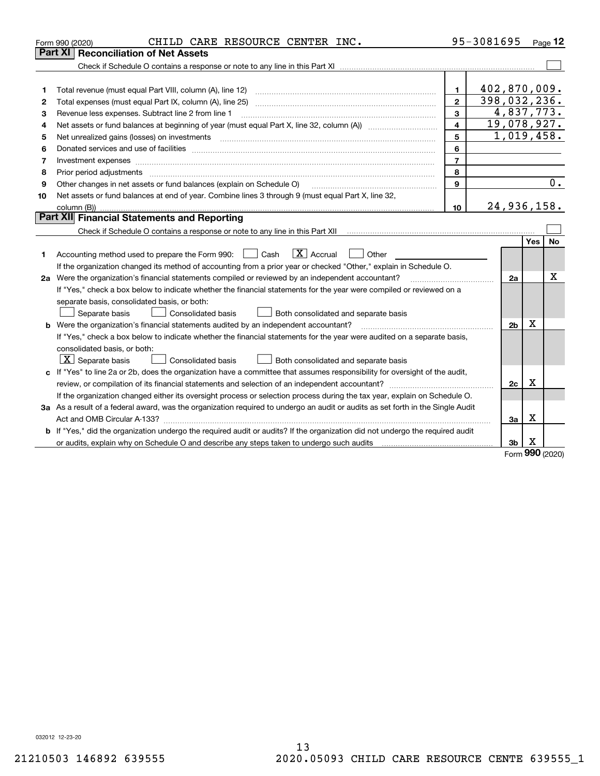|    | CHILD CARE RESOURCE CENTER INC.<br>Form 990 (2020)                                                                                                                                                                             |                | 95-3081695     |          | Page $12$  |  |  |  |  |  |  |
|----|--------------------------------------------------------------------------------------------------------------------------------------------------------------------------------------------------------------------------------|----------------|----------------|----------|------------|--|--|--|--|--|--|
|    | Part XI   Reconciliation of Net Assets                                                                                                                                                                                         |                |                |          |            |  |  |  |  |  |  |
|    |                                                                                                                                                                                                                                |                |                |          |            |  |  |  |  |  |  |
|    |                                                                                                                                                                                                                                |                |                |          |            |  |  |  |  |  |  |
| 1  | Total revenue (must equal Part VIII, column (A), line 12)                                                                                                                                                                      | $\mathbf{1}$   | 402,870,009.   |          |            |  |  |  |  |  |  |
| 2  | 398,032,236.<br>$\mathbf{2}$<br>Total expenses (must equal Part IX, column (A), line 25)                                                                                                                                       |                |                |          |            |  |  |  |  |  |  |
| з  | 4,837,773.<br>3<br>Revenue less expenses. Subtract line 2 from line 1                                                                                                                                                          |                |                |          |            |  |  |  |  |  |  |
| 4  | 19,078,927.<br>$\overline{\mathbf{4}}$                                                                                                                                                                                         |                |                |          |            |  |  |  |  |  |  |
| 5  | Net unrealized gains (losses) on investments                                                                                                                                                                                   | 5              |                |          | 1,019,458. |  |  |  |  |  |  |
| 6  | Donated services and use of facilities [111] Donated and the service of facilities [11] Donated services and use of facilities [11] Donated and the service of the service of the service of the service of the service of the | 6              |                |          |            |  |  |  |  |  |  |
| 7  | Investment expenses www.communication.com/www.communication.com/www.communication.com/www.communication.com                                                                                                                    | $\overline{7}$ |                |          |            |  |  |  |  |  |  |
| 8  | Prior period adjustments                                                                                                                                                                                                       | 8              |                |          |            |  |  |  |  |  |  |
| 9  | Other changes in net assets or fund balances (explain on Schedule O)                                                                                                                                                           | 9              |                | 0.       |            |  |  |  |  |  |  |
| 10 | Net assets or fund balances at end of year. Combine lines 3 through 9 (must equal Part X, line 32,                                                                                                                             |                |                |          |            |  |  |  |  |  |  |
|    | 24,936,158.<br>10                                                                                                                                                                                                              |                |                |          |            |  |  |  |  |  |  |
|    | Part XII Financial Statements and Reporting                                                                                                                                                                                    |                |                |          |            |  |  |  |  |  |  |
|    |                                                                                                                                                                                                                                |                |                |          |            |  |  |  |  |  |  |
|    |                                                                                                                                                                                                                                |                |                | Yes      | No         |  |  |  |  |  |  |
| 1  | $\boxed{\mathbf{X}}$ Accrual<br>Accounting method used to prepare the Form 990: <u>I</u> Cash<br>Other                                                                                                                         |                |                |          |            |  |  |  |  |  |  |
|    | If the organization changed its method of accounting from a prior year or checked "Other," explain in Schedule O.                                                                                                              |                |                |          |            |  |  |  |  |  |  |
|    | 2a Were the organization's financial statements compiled or reviewed by an independent accountant?                                                                                                                             |                | 2a             |          | x          |  |  |  |  |  |  |
|    | If "Yes," check a box below to indicate whether the financial statements for the year were compiled or reviewed on a                                                                                                           |                |                |          |            |  |  |  |  |  |  |
|    | separate basis, consolidated basis, or both:                                                                                                                                                                                   |                |                |          |            |  |  |  |  |  |  |
|    | Separate basis<br><b>Consolidated basis</b><br>Both consolidated and separate basis                                                                                                                                            |                |                |          |            |  |  |  |  |  |  |
|    | <b>b</b> Were the organization's financial statements audited by an independent accountant?                                                                                                                                    |                | 2 <sub>b</sub> | Х        |            |  |  |  |  |  |  |
|    | If "Yes," check a box below to indicate whether the financial statements for the year were audited on a separate basis,                                                                                                        |                |                |          |            |  |  |  |  |  |  |
|    | consolidated basis, or both:                                                                                                                                                                                                   |                |                |          |            |  |  |  |  |  |  |
|    | $X$ Separate basis<br>Consolidated basis<br>Both consolidated and separate basis                                                                                                                                               |                |                |          |            |  |  |  |  |  |  |
|    | c If "Yes" to line 2a or 2b, does the organization have a committee that assumes responsibility for oversight of the audit,                                                                                                    |                |                |          |            |  |  |  |  |  |  |
|    |                                                                                                                                                                                                                                |                | 2c             | x        |            |  |  |  |  |  |  |
|    | If the organization changed either its oversight process or selection process during the tax year, explain on Schedule O.                                                                                                      |                |                |          |            |  |  |  |  |  |  |
|    | 3a As a result of a federal award, was the organization required to undergo an audit or audits as set forth in the Single Audit                                                                                                |                |                |          |            |  |  |  |  |  |  |
|    |                                                                                                                                                                                                                                |                | За             | X        |            |  |  |  |  |  |  |
| b  | If "Yes," did the organization undergo the required audit or audits? If the organization did not undergo the required audit                                                                                                    |                |                |          |            |  |  |  |  |  |  |
|    |                                                                                                                                                                                                                                |                | 3b             | Х<br>nnn |            |  |  |  |  |  |  |

Form (2020) **990**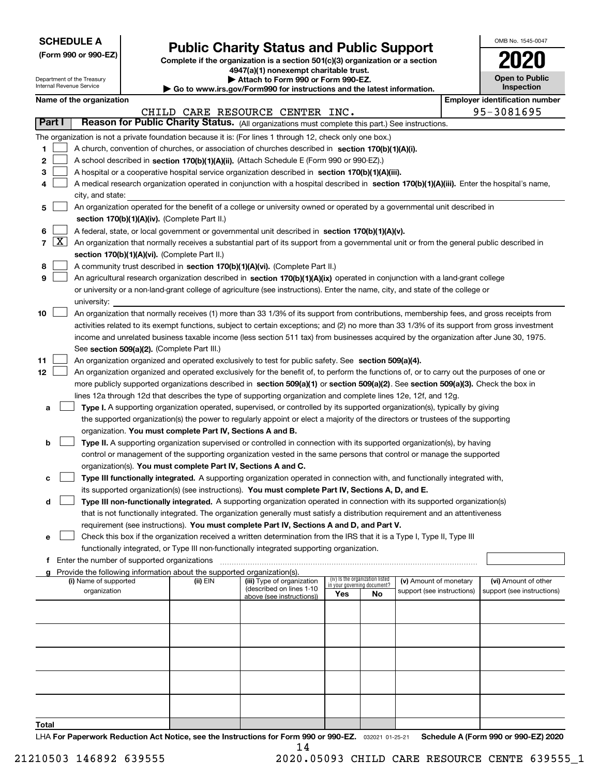| <b>SCHEDULE A</b> |
|-------------------|
|-------------------|

**(Form 990 or 990-EZ)**

# **Public Charity Status and Public Support**

**Complete if the organization is a section 501(c)(3) organization or a section 4947(a)(1) nonexempt charitable trust.**

| Attach to Form 990 or Form 990-EZ. |  |  |  |
|------------------------------------|--|--|--|
|------------------------------------|--|--|--|

| OMB No 1545-0047                    |
|-------------------------------------|
| 2020                                |
| <b>Open to Public</b><br>Inspection |

|                |                                                                                                                                                                  | Department of the Treasury<br>Internal Revenue Service                                                                                                                               |                                             | Attach to Form 990 or Form 990-EZ.<br>$\blacktriangleright$ Go to www.irs.gov/Form990 for instructions and the latest information. | <b>Open to Public</b><br>Inspection                                                                                                          |     |                                                                |                            |  |                                       |  |  |
|----------------|------------------------------------------------------------------------------------------------------------------------------------------------------------------|--------------------------------------------------------------------------------------------------------------------------------------------------------------------------------------|---------------------------------------------|------------------------------------------------------------------------------------------------------------------------------------|----------------------------------------------------------------------------------------------------------------------------------------------|-----|----------------------------------------------------------------|----------------------------|--|---------------------------------------|--|--|
|                |                                                                                                                                                                  | Name of the organization                                                                                                                                                             |                                             |                                                                                                                                    |                                                                                                                                              |     |                                                                |                            |  | <b>Employer identification number</b> |  |  |
|                |                                                                                                                                                                  |                                                                                                                                                                                      |                                             |                                                                                                                                    | CHILD CARE RESOURCE CENTER INC.                                                                                                              |     |                                                                |                            |  | 95-3081695                            |  |  |
| Part I         |                                                                                                                                                                  |                                                                                                                                                                                      |                                             |                                                                                                                                    | Reason for Public Charity Status. (All organizations must complete this part.) See instructions.                                             |     |                                                                |                            |  |                                       |  |  |
|                |                                                                                                                                                                  |                                                                                                                                                                                      |                                             |                                                                                                                                    | The organization is not a private foundation because it is: (For lines 1 through 12, check only one box.)                                    |     |                                                                |                            |  |                                       |  |  |
| 1              |                                                                                                                                                                  |                                                                                                                                                                                      |                                             |                                                                                                                                    | A church, convention of churches, or association of churches described in section $170(b)(1)(A)(i)$ .                                        |     |                                                                |                            |  |                                       |  |  |
| 2              |                                                                                                                                                                  |                                                                                                                                                                                      |                                             |                                                                                                                                    |                                                                                                                                              |     |                                                                |                            |  |                                       |  |  |
|                |                                                                                                                                                                  |                                                                                                                                                                                      |                                             |                                                                                                                                    | A school described in section 170(b)(1)(A)(ii). (Attach Schedule E (Form 990 or 990-EZ).)                                                    |     |                                                                |                            |  |                                       |  |  |
| 3              |                                                                                                                                                                  |                                                                                                                                                                                      |                                             |                                                                                                                                    | A hospital or a cooperative hospital service organization described in section 170(b)(1)(A)(iii).                                            |     |                                                                |                            |  |                                       |  |  |
| 4              |                                                                                                                                                                  |                                                                                                                                                                                      |                                             |                                                                                                                                    | A medical research organization operated in conjunction with a hospital described in section 170(b)(1)(A)(iii). Enter the hospital's name,   |     |                                                                |                            |  |                                       |  |  |
|                |                                                                                                                                                                  | city, and state:                                                                                                                                                                     |                                             |                                                                                                                                    |                                                                                                                                              |     |                                                                |                            |  |                                       |  |  |
| 5              |                                                                                                                                                                  |                                                                                                                                                                                      |                                             |                                                                                                                                    | An organization operated for the benefit of a college or university owned or operated by a governmental unit described in                    |     |                                                                |                            |  |                                       |  |  |
|                |                                                                                                                                                                  |                                                                                                                                                                                      |                                             | section 170(b)(1)(A)(iv). (Complete Part II.)                                                                                      |                                                                                                                                              |     |                                                                |                            |  |                                       |  |  |
| 6              |                                                                                                                                                                  |                                                                                                                                                                                      |                                             |                                                                                                                                    | A federal, state, or local government or governmental unit described in section 170(b)(1)(A)(v).                                             |     |                                                                |                            |  |                                       |  |  |
| $\overline{7}$ | $\lfloor x \rfloor$<br>An organization that normally receives a substantial part of its support from a governmental unit or from the general public described in |                                                                                                                                                                                      |                                             |                                                                                                                                    |                                                                                                                                              |     |                                                                |                            |  |                                       |  |  |
|                | section 170(b)(1)(A)(vi). (Complete Part II.)                                                                                                                    |                                                                                                                                                                                      |                                             |                                                                                                                                    |                                                                                                                                              |     |                                                                |                            |  |                                       |  |  |
| 8              |                                                                                                                                                                  |                                                                                                                                                                                      |                                             |                                                                                                                                    | A community trust described in section 170(b)(1)(A)(vi). (Complete Part II.)                                                                 |     |                                                                |                            |  |                                       |  |  |
| 9              |                                                                                                                                                                  |                                                                                                                                                                                      |                                             |                                                                                                                                    | An agricultural research organization described in section 170(b)(1)(A)(ix) operated in conjunction with a land-grant college                |     |                                                                |                            |  |                                       |  |  |
|                |                                                                                                                                                                  |                                                                                                                                                                                      |                                             |                                                                                                                                    | or university or a non-land-grant college of agriculture (see instructions). Enter the name, city, and state of the college or               |     |                                                                |                            |  |                                       |  |  |
|                |                                                                                                                                                                  | university:                                                                                                                                                                          |                                             |                                                                                                                                    |                                                                                                                                              |     |                                                                |                            |  |                                       |  |  |
| 10             |                                                                                                                                                                  |                                                                                                                                                                                      |                                             |                                                                                                                                    | An organization that normally receives (1) more than 33 1/3% of its support from contributions, membership fees, and gross receipts from     |     |                                                                |                            |  |                                       |  |  |
|                |                                                                                                                                                                  |                                                                                                                                                                                      |                                             |                                                                                                                                    | activities related to its exempt functions, subject to certain exceptions; and (2) no more than 33 1/3% of its support from gross investment |     |                                                                |                            |  |                                       |  |  |
|                |                                                                                                                                                                  |                                                                                                                                                                                      |                                             |                                                                                                                                    |                                                                                                                                              |     |                                                                |                            |  |                                       |  |  |
|                |                                                                                                                                                                  | income and unrelated business taxable income (less section 511 tax) from businesses acquired by the organization after June 30, 1975.<br>See section 509(a)(2). (Complete Part III.) |                                             |                                                                                                                                    |                                                                                                                                              |     |                                                                |                            |  |                                       |  |  |
| 11             |                                                                                                                                                                  |                                                                                                                                                                                      |                                             |                                                                                                                                    | An organization organized and operated exclusively to test for public safety. See section 509(a)(4).                                         |     |                                                                |                            |  |                                       |  |  |
| 12             |                                                                                                                                                                  |                                                                                                                                                                                      |                                             |                                                                                                                                    | An organization organized and operated exclusively for the benefit of, to perform the functions of, or to carry out the purposes of one or   |     |                                                                |                            |  |                                       |  |  |
|                |                                                                                                                                                                  |                                                                                                                                                                                      |                                             |                                                                                                                                    | more publicly supported organizations described in section 509(a)(1) or section 509(a)(2). See section 509(a)(3). Check the box in           |     |                                                                |                            |  |                                       |  |  |
|                |                                                                                                                                                                  |                                                                                                                                                                                      |                                             |                                                                                                                                    | lines 12a through 12d that describes the type of supporting organization and complete lines 12e, 12f, and 12g.                               |     |                                                                |                            |  |                                       |  |  |
| а              |                                                                                                                                                                  |                                                                                                                                                                                      |                                             |                                                                                                                                    | Type I. A supporting organization operated, supervised, or controlled by its supported organization(s), typically by giving                  |     |                                                                |                            |  |                                       |  |  |
|                |                                                                                                                                                                  |                                                                                                                                                                                      |                                             |                                                                                                                                    | the supported organization(s) the power to regularly appoint or elect a majority of the directors or trustees of the supporting              |     |                                                                |                            |  |                                       |  |  |
|                |                                                                                                                                                                  |                                                                                                                                                                                      |                                             | organization. You must complete Part IV, Sections A and B.                                                                         |                                                                                                                                              |     |                                                                |                            |  |                                       |  |  |
| b              |                                                                                                                                                                  |                                                                                                                                                                                      |                                             |                                                                                                                                    | Type II. A supporting organization supervised or controlled in connection with its supported organization(s), by having                      |     |                                                                |                            |  |                                       |  |  |
|                |                                                                                                                                                                  |                                                                                                                                                                                      |                                             |                                                                                                                                    | control or management of the supporting organization vested in the same persons that control or manage the supported                         |     |                                                                |                            |  |                                       |  |  |
|                |                                                                                                                                                                  |                                                                                                                                                                                      |                                             | organization(s). You must complete Part IV, Sections A and C.                                                                      |                                                                                                                                              |     |                                                                |                            |  |                                       |  |  |
| с              |                                                                                                                                                                  |                                                                                                                                                                                      |                                             |                                                                                                                                    | Type III functionally integrated. A supporting organization operated in connection with, and functionally integrated with,                   |     |                                                                |                            |  |                                       |  |  |
|                |                                                                                                                                                                  |                                                                                                                                                                                      |                                             |                                                                                                                                    | its supported organization(s) (see instructions). You must complete Part IV, Sections A, D, and E.                                           |     |                                                                |                            |  |                                       |  |  |
| d              |                                                                                                                                                                  |                                                                                                                                                                                      |                                             |                                                                                                                                    | Type III non-functionally integrated. A supporting organization operated in connection with its supported organization(s)                    |     |                                                                |                            |  |                                       |  |  |
|                |                                                                                                                                                                  |                                                                                                                                                                                      |                                             |                                                                                                                                    | that is not functionally integrated. The organization generally must satisfy a distribution requirement and an attentiveness                 |     |                                                                |                            |  |                                       |  |  |
|                |                                                                                                                                                                  |                                                                                                                                                                                      |                                             |                                                                                                                                    | requirement (see instructions). You must complete Part IV, Sections A and D, and Part V.                                                     |     |                                                                |                            |  |                                       |  |  |
| е              |                                                                                                                                                                  |                                                                                                                                                                                      |                                             |                                                                                                                                    | Check this box if the organization received a written determination from the IRS that it is a Type I, Type II, Type III                      |     |                                                                |                            |  |                                       |  |  |
|                |                                                                                                                                                                  |                                                                                                                                                                                      |                                             |                                                                                                                                    | functionally integrated, or Type III non-functionally integrated supporting organization.                                                    |     |                                                                |                            |  |                                       |  |  |
| f              |                                                                                                                                                                  |                                                                                                                                                                                      | Enter the number of supported organizations |                                                                                                                                    |                                                                                                                                              |     |                                                                |                            |  |                                       |  |  |
| a              |                                                                                                                                                                  |                                                                                                                                                                                      |                                             | Provide the following information about the supported organization(s).                                                             |                                                                                                                                              |     |                                                                |                            |  |                                       |  |  |
|                |                                                                                                                                                                  | (i) Name of supported                                                                                                                                                                |                                             | (ii) EIN                                                                                                                           | (iii) Type of organization                                                                                                                   |     | (iv) Is the organization listed<br>in your governing document? | (v) Amount of monetary     |  | (vi) Amount of other                  |  |  |
|                |                                                                                                                                                                  | organization                                                                                                                                                                         |                                             |                                                                                                                                    | (described on lines 1-10                                                                                                                     | Yes | No                                                             | support (see instructions) |  | support (see instructions)            |  |  |
|                |                                                                                                                                                                  |                                                                                                                                                                                      |                                             |                                                                                                                                    | above (see instructions))                                                                                                                    |     |                                                                |                            |  |                                       |  |  |
|                |                                                                                                                                                                  |                                                                                                                                                                                      |                                             |                                                                                                                                    |                                                                                                                                              |     |                                                                |                            |  |                                       |  |  |
|                |                                                                                                                                                                  |                                                                                                                                                                                      |                                             |                                                                                                                                    |                                                                                                                                              |     |                                                                |                            |  |                                       |  |  |
|                |                                                                                                                                                                  |                                                                                                                                                                                      |                                             |                                                                                                                                    |                                                                                                                                              |     |                                                                |                            |  |                                       |  |  |
|                |                                                                                                                                                                  |                                                                                                                                                                                      |                                             |                                                                                                                                    |                                                                                                                                              |     |                                                                |                            |  |                                       |  |  |
|                |                                                                                                                                                                  |                                                                                                                                                                                      |                                             |                                                                                                                                    |                                                                                                                                              |     |                                                                |                            |  |                                       |  |  |
|                |                                                                                                                                                                  |                                                                                                                                                                                      |                                             |                                                                                                                                    |                                                                                                                                              |     |                                                                |                            |  |                                       |  |  |
|                |                                                                                                                                                                  |                                                                                                                                                                                      |                                             |                                                                                                                                    |                                                                                                                                              |     |                                                                |                            |  |                                       |  |  |
|                |                                                                                                                                                                  |                                                                                                                                                                                      |                                             |                                                                                                                                    |                                                                                                                                              |     |                                                                |                            |  |                                       |  |  |
|                |                                                                                                                                                                  |                                                                                                                                                                                      |                                             |                                                                                                                                    |                                                                                                                                              |     |                                                                |                            |  |                                       |  |  |
|                |                                                                                                                                                                  |                                                                                                                                                                                      |                                             |                                                                                                                                    |                                                                                                                                              |     |                                                                |                            |  |                                       |  |  |

**Total**

LHA For Paperwork Reduction Act Notice, see the Instructions for Form 990 or 990-EZ. <sub>032021</sub> o1-25-21 Schedule A (Form 990 or 990-EZ) 2020 14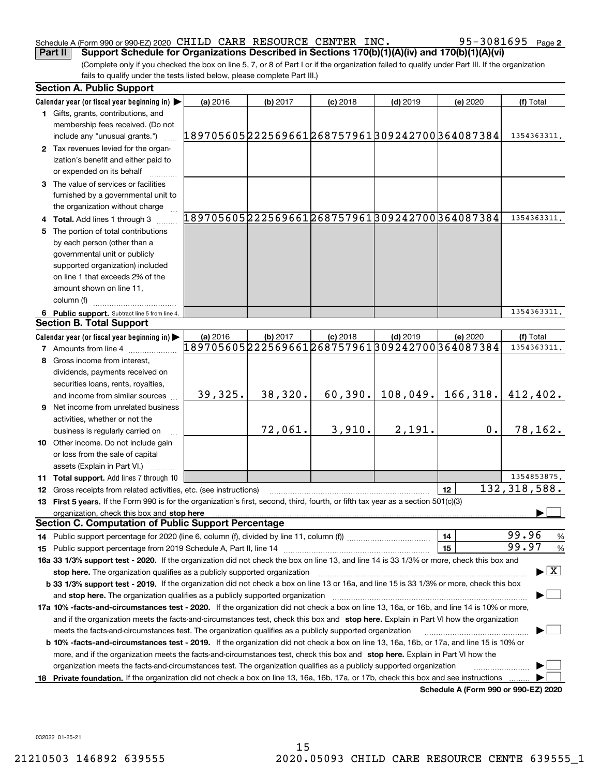### Schedule A (Form 990 or 990-EZ) 2020 <code>CHILD CARE RESOURCE CENTER INC</code> .  $95-3081695$  <code>Page</code> **Part II Support Schedule for Organizations Described in Sections 170(b)(1)(A)(iv) and 170(b)(1)(A)(vi)**

**2**

(Complete only if you checked the box on line 5, 7, or 8 of Part I or if the organization failed to qualify under Part III. If the organization fails to qualify under the tests listed below, please complete Part III.)

|     | <b>Section A. Public Support</b>                                                                                                               |                                               |            |                                                             |            |                                      |                                          |
|-----|------------------------------------------------------------------------------------------------------------------------------------------------|-----------------------------------------------|------------|-------------------------------------------------------------|------------|--------------------------------------|------------------------------------------|
|     | Calendar year (or fiscal year beginning in)                                                                                                    | (a) 2016                                      | $(b)$ 2017 | $(c)$ 2018                                                  | $(d)$ 2019 | (e) 2020                             | (f) Total                                |
|     | 1 Gifts, grants, contributions, and<br>membership fees received. (Do not                                                                       |                                               |            |                                                             |            |                                      |                                          |
|     | include any "unusual grants.")                                                                                                                 | 189705605222569661268757961309242700364087384 |            |                                                             |            |                                      | 1354363311.                              |
|     | 2 Tax revenues levied for the organ-                                                                                                           |                                               |            |                                                             |            |                                      |                                          |
|     | ization's benefit and either paid to                                                                                                           |                                               |            |                                                             |            |                                      |                                          |
|     | or expended on its behalf                                                                                                                      |                                               |            |                                                             |            |                                      |                                          |
|     | 3 The value of services or facilities                                                                                                          |                                               |            |                                                             |            |                                      |                                          |
|     | furnished by a governmental unit to                                                                                                            |                                               |            |                                                             |            |                                      |                                          |
|     | the organization without charge                                                                                                                |                                               |            |                                                             |            |                                      |                                          |
|     | 4 Total. Add lines 1 through 3                                                                                                                 |                                               |            | 189705605222569661268757961309242700364087384               |            |                                      | 1354363311.                              |
| 5   | The portion of total contributions                                                                                                             |                                               |            |                                                             |            |                                      |                                          |
|     | by each person (other than a                                                                                                                   |                                               |            |                                                             |            |                                      |                                          |
|     | governmental unit or publicly                                                                                                                  |                                               |            |                                                             |            |                                      |                                          |
|     | supported organization) included                                                                                                               |                                               |            |                                                             |            |                                      |                                          |
|     | on line 1 that exceeds 2% of the                                                                                                               |                                               |            |                                                             |            |                                      |                                          |
|     | amount shown on line 11,                                                                                                                       |                                               |            |                                                             |            |                                      |                                          |
|     | column (f)                                                                                                                                     |                                               |            |                                                             |            |                                      |                                          |
|     | 6 Public support. Subtract line 5 from line 4.                                                                                                 |                                               |            |                                                             |            |                                      | 1354363311.                              |
|     | <b>Section B. Total Support</b>                                                                                                                |                                               |            |                                                             |            |                                      |                                          |
|     | Calendar year (or fiscal year beginning in)                                                                                                    | (a) 2016                                      | (b) 2017   | $(c)$ 2018<br>189705605222569661268757961309242700364087384 | $(d)$ 2019 | (e) 2020                             | (f) Total                                |
|     | <b>7</b> Amounts from line 4                                                                                                                   |                                               |            |                                                             |            |                                      | 1354363311.                              |
|     | Gross income from interest,                                                                                                                    |                                               |            |                                                             |            |                                      |                                          |
|     | dividends, payments received on                                                                                                                |                                               |            |                                                             |            |                                      |                                          |
|     | securities loans, rents, royalties,                                                                                                            |                                               |            |                                                             |            |                                      |                                          |
|     | and income from similar sources                                                                                                                | 39,325.                                       | 38,320.    | 60,390.                                                     | 108,049.   | 166, 318.                            | 412,402.                                 |
|     | <b>9</b> Net income from unrelated business                                                                                                    |                                               |            |                                                             |            |                                      |                                          |
|     | activities, whether or not the                                                                                                                 |                                               |            |                                                             |            |                                      |                                          |
|     | business is regularly carried on                                                                                                               |                                               | 72,061.    | 3,910.                                                      | 2,191.     | 0.                                   | 78,162.                                  |
|     | 10 Other income. Do not include gain                                                                                                           |                                               |            |                                                             |            |                                      |                                          |
|     | or loss from the sale of capital                                                                                                               |                                               |            |                                                             |            |                                      |                                          |
|     | assets (Explain in Part VI.)                                                                                                                   |                                               |            |                                                             |            |                                      |                                          |
|     | 11 Total support. Add lines 7 through 10                                                                                                       |                                               |            |                                                             |            |                                      | 1354853875.                              |
|     | 12 Gross receipts from related activities, etc. (see instructions)                                                                             |                                               |            |                                                             |            | 12                                   | 132, 318, 588.                           |
|     | 13 First 5 years. If the Form 990 is for the organization's first, second, third, fourth, or fifth tax year as a section 501(c)(3)             |                                               |            |                                                             |            |                                      |                                          |
|     | organization, check this box and stop here<br><b>Section C. Computation of Public Support Percentage</b>                                       |                                               |            |                                                             |            |                                      |                                          |
|     |                                                                                                                                                |                                               |            |                                                             |            | 14                                   | 99.96<br>%                               |
|     |                                                                                                                                                |                                               |            |                                                             |            | 15                                   | 99.97<br>$\%$                            |
|     | 16a 33 1/3% support test - 2020. If the organization did not check the box on line 13, and line 14 is 33 1/3% or more, check this box and      |                                               |            |                                                             |            |                                      |                                          |
|     | stop here. The organization qualifies as a publicly supported organization                                                                     |                                               |            |                                                             |            |                                      | $\blacktriangleright$ $\boxed{\text{X}}$ |
|     | b 33 1/3% support test - 2019. If the organization did not check a box on line 13 or 16a, and line 15 is 33 1/3% or more, check this box       |                                               |            |                                                             |            |                                      |                                          |
|     | and stop here. The organization qualifies as a publicly supported organization                                                                 |                                               |            |                                                             |            |                                      |                                          |
|     | 17a 10% -facts-and-circumstances test - 2020. If the organization did not check a box on line 13, 16a, or 16b, and line 14 is 10% or more,     |                                               |            |                                                             |            |                                      |                                          |
|     | and if the organization meets the facts-and-circumstances test, check this box and stop here. Explain in Part VI how the organization          |                                               |            |                                                             |            |                                      |                                          |
|     | meets the facts-and-circumstances test. The organization qualifies as a publicly supported organization                                        |                                               |            |                                                             |            |                                      |                                          |
|     | <b>b 10% -facts-and-circumstances test - 2019.</b> If the organization did not check a box on line 13, 16a, 16b, or 17a, and line 15 is 10% or |                                               |            |                                                             |            |                                      |                                          |
|     | more, and if the organization meets the facts-and-circumstances test, check this box and stop here. Explain in Part VI how the                 |                                               |            |                                                             |            |                                      |                                          |
|     | organization meets the facts-and-circumstances test. The organization qualifies as a publicly supported organization                           |                                               |            |                                                             |            |                                      |                                          |
| 18. | Private foundation. If the organization did not check a box on line 13, 16a, 16b, 17a, or 17b, check this box and see instructions             |                                               |            |                                                             |            |                                      |                                          |
|     |                                                                                                                                                |                                               |            |                                                             |            | Schedule A (Form 990 or 990-EZ) 2020 |                                          |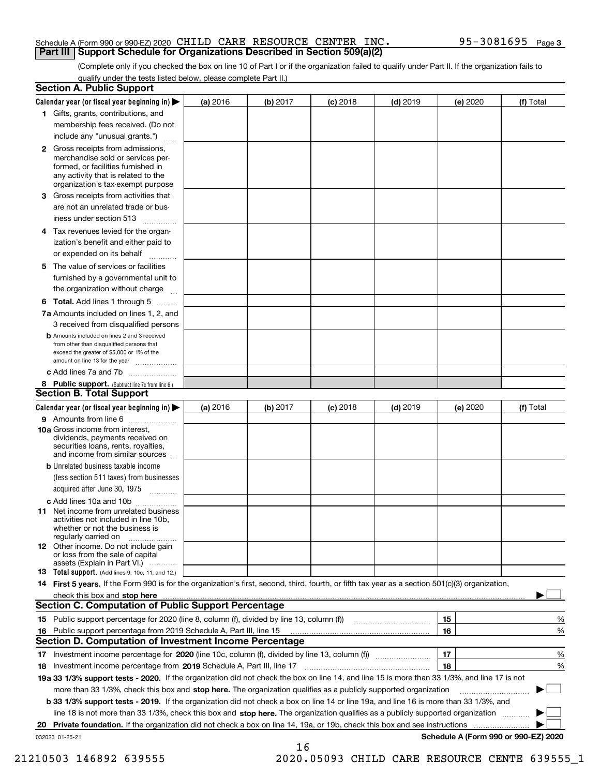### Schedule A (Form 990 or 990-EZ) 2020 <code>CHILD CARE RESOURCE CENTER INC</code> .  $95-3081695$  <code>Page</code> **Part III Support Schedule for Organizations Described in Section 509(a)(2)**

(Complete only if you checked the box on line 10 of Part I or if the organization failed to qualify under Part II. If the organization fails to qualify under the tests listed below, please complete Part II.)

|    | <b>Section A. Public Support</b>                                                                                                                                                                                                    |          |          |            |            |          |                                      |
|----|-------------------------------------------------------------------------------------------------------------------------------------------------------------------------------------------------------------------------------------|----------|----------|------------|------------|----------|--------------------------------------|
|    | Calendar year (or fiscal year beginning in) $\blacktriangleright$                                                                                                                                                                   | (a) 2016 | (b) 2017 | $(c)$ 2018 | $(d)$ 2019 | (e) 2020 | (f) Total                            |
|    | 1 Gifts, grants, contributions, and                                                                                                                                                                                                 |          |          |            |            |          |                                      |
|    | membership fees received. (Do not                                                                                                                                                                                                   |          |          |            |            |          |                                      |
|    | include any "unusual grants.")                                                                                                                                                                                                      |          |          |            |            |          |                                      |
|    | <b>2</b> Gross receipts from admissions,<br>merchandise sold or services per-<br>formed, or facilities furnished in<br>any activity that is related to the<br>organization's tax-exempt purpose                                     |          |          |            |            |          |                                      |
|    | 3 Gross receipts from activities that<br>are not an unrelated trade or bus-                                                                                                                                                         |          |          |            |            |          |                                      |
|    | iness under section 513                                                                                                                                                                                                             |          |          |            |            |          |                                      |
|    | 4 Tax revenues levied for the organ-<br>ization's benefit and either paid to                                                                                                                                                        |          |          |            |            |          |                                      |
|    | or expended on its behalf                                                                                                                                                                                                           |          |          |            |            |          |                                      |
|    | 5 The value of services or facilities<br>furnished by a governmental unit to                                                                                                                                                        |          |          |            |            |          |                                      |
|    | the organization without charge                                                                                                                                                                                                     |          |          |            |            |          |                                      |
|    | <b>6 Total.</b> Add lines 1 through 5                                                                                                                                                                                               |          |          |            |            |          |                                      |
|    | 7a Amounts included on lines 1, 2, and<br>3 received from disqualified persons                                                                                                                                                      |          |          |            |            |          |                                      |
|    | <b>b</b> Amounts included on lines 2 and 3 received<br>from other than disqualified persons that<br>exceed the greater of \$5,000 or 1% of the<br>amount on line 13 for the year                                                    |          |          |            |            |          |                                      |
|    | c Add lines 7a and 7b                                                                                                                                                                                                               |          |          |            |            |          |                                      |
|    | 8 Public support. (Subtract line 7c from line 6.)<br><b>Section B. Total Support</b>                                                                                                                                                |          |          |            |            |          |                                      |
|    | Calendar year (or fiscal year beginning in)                                                                                                                                                                                         | (a) 2016 | (b) 2017 | $(c)$ 2018 | $(d)$ 2019 | (e) 2020 | (f) Total                            |
|    | 9 Amounts from line 6                                                                                                                                                                                                               |          |          |            |            |          |                                      |
|    | <b>10a</b> Gross income from interest,<br>dividends, payments received on<br>securities loans, rents, royalties,<br>and income from similar sources                                                                                 |          |          |            |            |          |                                      |
|    | <b>b</b> Unrelated business taxable income<br>(less section 511 taxes) from businesses                                                                                                                                              |          |          |            |            |          |                                      |
|    | acquired after June 30, 1975                                                                                                                                                                                                        |          |          |            |            |          |                                      |
|    | c Add lines 10a and 10b<br>11 Net income from unrelated business<br>activities not included in line 10b,<br>whether or not the business is<br>regularly carried on                                                                  |          |          |            |            |          |                                      |
|    | <b>12</b> Other income. Do not include gain<br>or loss from the sale of capital<br>assets (Explain in Part VI.)                                                                                                                     |          |          |            |            |          |                                      |
|    | 13 Total support. (Add lines 9, 10c, 11, and 12.)                                                                                                                                                                                   |          |          |            |            |          |                                      |
|    | 14 First 5 years. If the Form 990 is for the organization's first, second, third, fourth, or fifth tax year as a section 501(c)(3) organization,                                                                                    |          |          |            |            |          |                                      |
|    | check this box and <b>stop here</b> with the continuum continuum continuum continuum continuum continuum continuum continuum continuum continuum continuum continuum continuum continuum continuum continuum continuum continuum co |          |          |            |            |          |                                      |
|    | <b>Section C. Computation of Public Support Percentage</b>                                                                                                                                                                          |          |          |            |            |          |                                      |
|    |                                                                                                                                                                                                                                     |          |          |            |            | 15       | %                                    |
| 16 | Public support percentage from 2019 Schedule A, Part III, line 15                                                                                                                                                                   |          |          |            |            | 16       | %                                    |
|    | Section D. Computation of Investment Income Percentage                                                                                                                                                                              |          |          |            |            |          |                                      |
|    | 17 Investment income percentage for 2020 (line 10c, column (f), divided by line 13, column (f))<br>18 Investment income percentage from 2019 Schedule A, Part III, line 17                                                          |          |          |            |            | 17<br>18 | %<br>%                               |
|    | 19a 33 1/3% support tests - 2020. If the organization did not check the box on line 14, and line 15 is more than 33 1/3%, and line 17 is not                                                                                        |          |          |            |            |          |                                      |
|    | more than 33 1/3%, check this box and stop here. The organization qualifies as a publicly supported organization                                                                                                                    |          |          |            |            |          |                                      |
|    | b 33 1/3% support tests - 2019. If the organization did not check a box on line 14 or line 19a, and line 16 is more than 33 1/3%, and                                                                                               |          |          |            |            |          |                                      |
|    | line 18 is not more than 33 1/3%, check this box and stop here. The organization qualifies as a publicly supported organization                                                                                                     |          |          |            |            |          |                                      |
| 20 | <b>Private foundation.</b> If the organization did not check a box on line 14, 19a, or 19b, check this box and see instructions                                                                                                     |          |          |            |            |          | .                                    |
|    | 032023 01-25-21                                                                                                                                                                                                                     |          |          |            |            |          | Schedule A (Form 990 or 990-EZ) 2020 |
|    |                                                                                                                                                                                                                                     |          | 16       |            |            |          |                                      |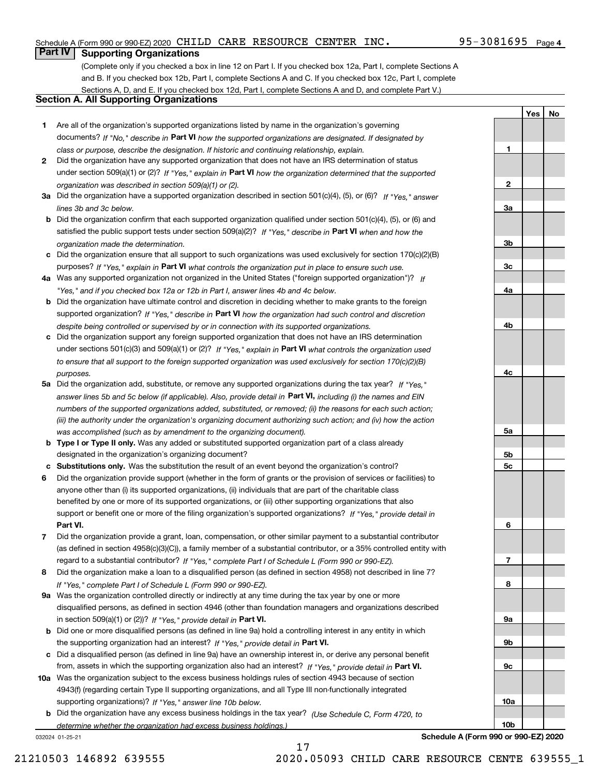### Schedule A (Form 990 or 990-EZ) 2020 <code>CHILD CARE RESOURCE CENTER INC</code> .  $95-3081695$  <code>Page</code>

## 95-3081695 Page 4

**1**

**2**

**3a**

**3b**

**3c**

**4a**

**4b**

**4c**

**5a**

**5b5c**

**6**

**7**

**8**

**9a**

**9b**

**9c**

**10a**

**10b**

**YesNo**

# **Part IV Supporting Organizations**

(Complete only if you checked a box in line 12 on Part I. If you checked box 12a, Part I, complete Sections A and B. If you checked box 12b, Part I, complete Sections A and C. If you checked box 12c, Part I, complete Sections A, D, and E. If you checked box 12d, Part I, complete Sections A and D, and complete Part V.)

## **Section A. All Supporting Organizations**

- **1** Are all of the organization's supported organizations listed by name in the organization's governing documents? If "No," describe in **Part VI** how the supported organizations are designated. If designated by *class or purpose, describe the designation. If historic and continuing relationship, explain.*
- **2** Did the organization have any supported organization that does not have an IRS determination of status under section 509(a)(1) or (2)? If "Yes," explain in Part VI how the organization determined that the supported *organization was described in section 509(a)(1) or (2).*
- **3a** Did the organization have a supported organization described in section 501(c)(4), (5), or (6)? If "Yes," answer *lines 3b and 3c below.*
- **b** Did the organization confirm that each supported organization qualified under section 501(c)(4), (5), or (6) and satisfied the public support tests under section 509(a)(2)? If "Yes," describe in **Part VI** when and how the *organization made the determination.*
- **c**Did the organization ensure that all support to such organizations was used exclusively for section 170(c)(2)(B) purposes? If "Yes," explain in **Part VI** what controls the organization put in place to ensure such use.
- **4a***If* Was any supported organization not organized in the United States ("foreign supported organization")? *"Yes," and if you checked box 12a or 12b in Part I, answer lines 4b and 4c below.*
- **b** Did the organization have ultimate control and discretion in deciding whether to make grants to the foreign supported organization? If "Yes," describe in **Part VI** how the organization had such control and discretion *despite being controlled or supervised by or in connection with its supported organizations.*
- **c** Did the organization support any foreign supported organization that does not have an IRS determination under sections 501(c)(3) and 509(a)(1) or (2)? If "Yes," explain in **Part VI** what controls the organization used *to ensure that all support to the foreign supported organization was used exclusively for section 170(c)(2)(B) purposes.*
- **5a** Did the organization add, substitute, or remove any supported organizations during the tax year? If "Yes," answer lines 5b and 5c below (if applicable). Also, provide detail in **Part VI,** including (i) the names and EIN *numbers of the supported organizations added, substituted, or removed; (ii) the reasons for each such action; (iii) the authority under the organization's organizing document authorizing such action; and (iv) how the action was accomplished (such as by amendment to the organizing document).*
- **b** Type I or Type II only. Was any added or substituted supported organization part of a class already designated in the organization's organizing document?
- **cSubstitutions only.**  Was the substitution the result of an event beyond the organization's control?
- **6** Did the organization provide support (whether in the form of grants or the provision of services or facilities) to **Part VI.** *If "Yes," provide detail in* support or benefit one or more of the filing organization's supported organizations? anyone other than (i) its supported organizations, (ii) individuals that are part of the charitable class benefited by one or more of its supported organizations, or (iii) other supporting organizations that also
- **7**Did the organization provide a grant, loan, compensation, or other similar payment to a substantial contributor *If "Yes," complete Part I of Schedule L (Form 990 or 990-EZ).* regard to a substantial contributor? (as defined in section 4958(c)(3)(C)), a family member of a substantial contributor, or a 35% controlled entity with
- **8** Did the organization make a loan to a disqualified person (as defined in section 4958) not described in line 7? *If "Yes," complete Part I of Schedule L (Form 990 or 990-EZ).*
- **9a** Was the organization controlled directly or indirectly at any time during the tax year by one or more in section 509(a)(1) or (2))? If "Yes," *provide detail in* <code>Part VI.</code> disqualified persons, as defined in section 4946 (other than foundation managers and organizations described
- **b** Did one or more disqualified persons (as defined in line 9a) hold a controlling interest in any entity in which the supporting organization had an interest? If "Yes," provide detail in P**art VI**.
- **c**Did a disqualified person (as defined in line 9a) have an ownership interest in, or derive any personal benefit from, assets in which the supporting organization also had an interest? If "Yes," provide detail in P**art VI.**
- **10a** Was the organization subject to the excess business holdings rules of section 4943 because of section supporting organizations)? If "Yes," answer line 10b below. 4943(f) (regarding certain Type II supporting organizations, and all Type III non-functionally integrated
- **b** Did the organization have any excess business holdings in the tax year? (Use Schedule C, Form 4720, to *determine whether the organization had excess business holdings.)*

17

032024 01-25-21

**Schedule A (Form 990 or 990-EZ) 2020**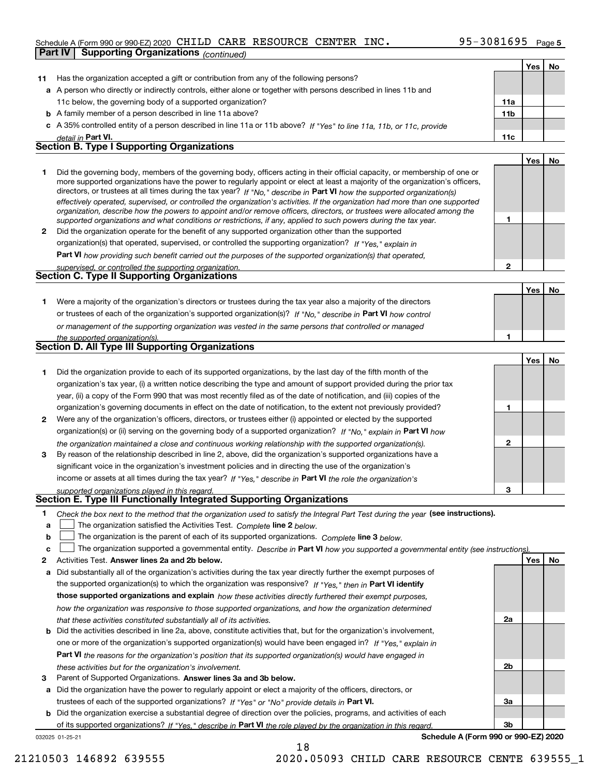## Schedule A (Form 990 or 990-EZ) 2020 <code>CHILD CARE RESOURCE CENTER INC</code> .  $95-3081695$  <code>Page</code> **Part IV Supporting Organizations** *(continued)*

|    |                                                                                                                                                                                                                                                                                                                                                                                            |              | Yes | No |
|----|--------------------------------------------------------------------------------------------------------------------------------------------------------------------------------------------------------------------------------------------------------------------------------------------------------------------------------------------------------------------------------------------|--------------|-----|----|
| 11 | Has the organization accepted a gift or contribution from any of the following persons?                                                                                                                                                                                                                                                                                                    |              |     |    |
|    | a A person who directly or indirectly controls, either alone or together with persons described in lines 11b and                                                                                                                                                                                                                                                                           |              |     |    |
|    | 11c below, the governing body of a supported organization?                                                                                                                                                                                                                                                                                                                                 | 11a          |     |    |
|    | <b>b</b> A family member of a person described in line 11a above?                                                                                                                                                                                                                                                                                                                          | 11b          |     |    |
|    | c A 35% controlled entity of a person described in line 11a or 11b above? If "Yes" to line 11a, 11b, or 11c, provide                                                                                                                                                                                                                                                                       |              |     |    |
|    | detail in Part VI.                                                                                                                                                                                                                                                                                                                                                                         | 11c          |     |    |
|    | <b>Section B. Type I Supporting Organizations</b>                                                                                                                                                                                                                                                                                                                                          |              |     |    |
|    |                                                                                                                                                                                                                                                                                                                                                                                            |              | Yes | No |
| 1  | Did the governing body, members of the governing body, officers acting in their official capacity, or membership of one or                                                                                                                                                                                                                                                                 |              |     |    |
|    | more supported organizations have the power to regularly appoint or elect at least a majority of the organization's officers,<br>directors, or trustees at all times during the tax year? If "No," describe in Part VI how the supported organization(s)<br>effectively operated, supervised, or controlled the organization's activities. If the organization had more than one supported |              |     |    |
|    | organization, describe how the powers to appoint and/or remove officers, directors, or trustees were allocated among the<br>supported organizations and what conditions or restrictions, if any, applied to such powers during the tax year.                                                                                                                                               | 1            |     |    |
| 2  | Did the organization operate for the benefit of any supported organization other than the supported                                                                                                                                                                                                                                                                                        |              |     |    |
|    | organization(s) that operated, supervised, or controlled the supporting organization? If "Yes," explain in                                                                                                                                                                                                                                                                                 |              |     |    |
|    | <b>Part VI</b> how providing such benefit carried out the purposes of the supported organization(s) that operated,                                                                                                                                                                                                                                                                         |              |     |    |
|    |                                                                                                                                                                                                                                                                                                                                                                                            | $\mathbf{2}$ |     |    |
|    | supervised, or controlled the supporting organization.<br><b>Section C. Type II Supporting Organizations</b>                                                                                                                                                                                                                                                                               |              |     |    |
|    |                                                                                                                                                                                                                                                                                                                                                                                            |              |     |    |
|    |                                                                                                                                                                                                                                                                                                                                                                                            |              | Yes | No |
| 1  | Were a majority of the organization's directors or trustees during the tax year also a majority of the directors                                                                                                                                                                                                                                                                           |              |     |    |
|    | or trustees of each of the organization's supported organization(s)? If "No," describe in Part VI how control                                                                                                                                                                                                                                                                              |              |     |    |
|    | or management of the supporting organization was vested in the same persons that controlled or managed                                                                                                                                                                                                                                                                                     |              |     |    |
|    | the supported organization(s).<br><b>Section D. All Type III Supporting Organizations</b>                                                                                                                                                                                                                                                                                                  | 1            |     |    |
|    |                                                                                                                                                                                                                                                                                                                                                                                            |              |     |    |
|    |                                                                                                                                                                                                                                                                                                                                                                                            |              | Yes | No |
| 1  | Did the organization provide to each of its supported organizations, by the last day of the fifth month of the                                                                                                                                                                                                                                                                             |              |     |    |
|    | organization's tax year, (i) a written notice describing the type and amount of support provided during the prior tax                                                                                                                                                                                                                                                                      |              |     |    |
|    | year, (ii) a copy of the Form 990 that was most recently filed as of the date of notification, and (iii) copies of the                                                                                                                                                                                                                                                                     |              |     |    |
|    | organization's governing documents in effect on the date of notification, to the extent not previously provided?                                                                                                                                                                                                                                                                           | 1            |     |    |
| 2  | Were any of the organization's officers, directors, or trustees either (i) appointed or elected by the supported                                                                                                                                                                                                                                                                           |              |     |    |
|    | organization(s) or (ii) serving on the governing body of a supported organization? If "No," explain in Part VI how                                                                                                                                                                                                                                                                         |              |     |    |
|    | the organization maintained a close and continuous working relationship with the supported organization(s).                                                                                                                                                                                                                                                                                | $\mathbf{2}$ |     |    |
| 3  | By reason of the relationship described in line 2, above, did the organization's supported organizations have a                                                                                                                                                                                                                                                                            |              |     |    |
|    | significant voice in the organization's investment policies and in directing the use of the organization's                                                                                                                                                                                                                                                                                 |              |     |    |
|    | income or assets at all times during the tax year? If "Yes," describe in Part VI the role the organization's                                                                                                                                                                                                                                                                               |              |     |    |
|    | supported organizations played in this regard.                                                                                                                                                                                                                                                                                                                                             | 3            |     |    |
|    | Section E. Type III Functionally Integrated Supporting Organizations                                                                                                                                                                                                                                                                                                                       |              |     |    |
| 1  | Check the box next to the method that the organization used to satisfy the Integral Part Test during the year (see instructions).                                                                                                                                                                                                                                                          |              |     |    |
| a  | The organization satisfied the Activities Test. Complete line 2 below.                                                                                                                                                                                                                                                                                                                     |              |     |    |
| b  | The organization is the parent of each of its supported organizations. Complete line 3 below.                                                                                                                                                                                                                                                                                              |              |     |    |
| c  | The organization supported a governmental entity. Describe in Part VI how you supported a governmental entity (see instructions).                                                                                                                                                                                                                                                          |              |     |    |
| 2  | Activities Test. Answer lines 2a and 2b below.                                                                                                                                                                                                                                                                                                                                             |              | Yes | No |
| а  | Did substantially all of the organization's activities during the tax year directly further the exempt purposes of                                                                                                                                                                                                                                                                         |              |     |    |
|    | the supported organization(s) to which the organization was responsive? If "Yes," then in Part VI identify                                                                                                                                                                                                                                                                                 |              |     |    |
|    | those supported organizations and explain how these activities directly furthered their exempt purposes,                                                                                                                                                                                                                                                                                   |              |     |    |
|    | how the organization was responsive to those supported organizations, and how the organization determined                                                                                                                                                                                                                                                                                  |              |     |    |
|    | that these activities constituted substantially all of its activities.                                                                                                                                                                                                                                                                                                                     | 2a           |     |    |
| b  | Did the activities described in line 2a, above, constitute activities that, but for the organization's involvement,                                                                                                                                                                                                                                                                        |              |     |    |
|    | one or more of the organization's supported organization(s) would have been engaged in? If "Yes," explain in                                                                                                                                                                                                                                                                               |              |     |    |
|    | <b>Part VI</b> the reasons for the organization's position that its supported organization(s) would have engaged in                                                                                                                                                                                                                                                                        |              |     |    |
|    | these activities but for the organization's involvement.                                                                                                                                                                                                                                                                                                                                   | 2b           |     |    |
| з  | Parent of Supported Organizations. Answer lines 3a and 3b below.                                                                                                                                                                                                                                                                                                                           |              |     |    |
|    |                                                                                                                                                                                                                                                                                                                                                                                            |              |     |    |

**a** Did the organization have the power to regularly appoint or elect a majority of the officers, directors, or trustees of each of the supported organizations? If "Yes" or "No" provide details in P**art VI.** 

**b** Did the organization exercise a substantial degree of direction over the policies, programs, and activities of each of its supported organizations? If "Yes," describe in Part VI the role played by the organization in this regard.

18

032025 01-25-21

**Schedule A (Form 990 or 990-EZ) 2020**

**3a**

**3b**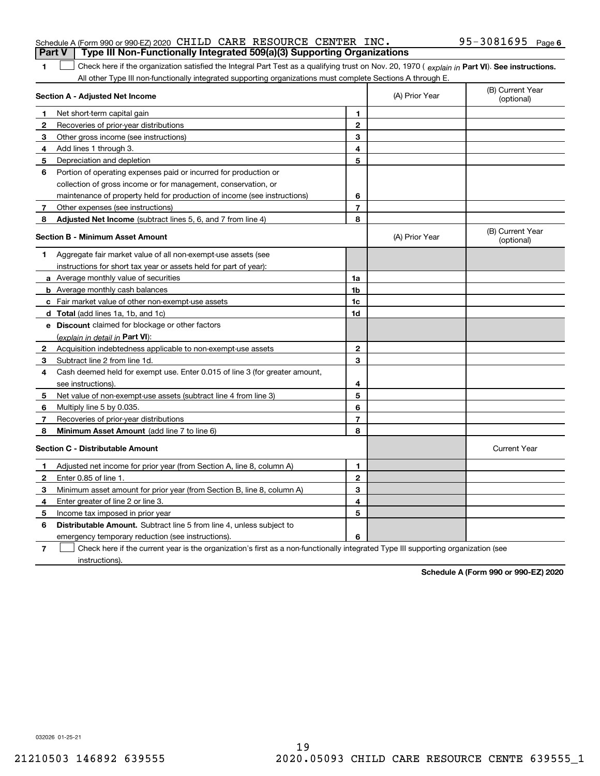| Type III Non-Functionally Integrated 509(a)(3) Supporting Organizations<br><b>Part V</b><br>Check here if the organization satisfied the Integral Part Test as a qualifying trust on Nov. 20, 1970 (explain in Part VI). See instructions. |                                                                                                                                                                                                                                                                                                                                                                                                                             |                |                                                                                                             |
|--------------------------------------------------------------------------------------------------------------------------------------------------------------------------------------------------------------------------------------------|-----------------------------------------------------------------------------------------------------------------------------------------------------------------------------------------------------------------------------------------------------------------------------------------------------------------------------------------------------------------------------------------------------------------------------|----------------|-------------------------------------------------------------------------------------------------------------|
|                                                                                                                                                                                                                                            |                                                                                                                                                                                                                                                                                                                                                                                                                             |                |                                                                                                             |
|                                                                                                                                                                                                                                            |                                                                                                                                                                                                                                                                                                                                                                                                                             |                |                                                                                                             |
| Section A - Adjusted Net Income                                                                                                                                                                                                            |                                                                                                                                                                                                                                                                                                                                                                                                                             | (A) Prior Year | (B) Current Year<br>(optional)                                                                              |
|                                                                                                                                                                                                                                            | 1                                                                                                                                                                                                                                                                                                                                                                                                                           |                |                                                                                                             |
|                                                                                                                                                                                                                                            |                                                                                                                                                                                                                                                                                                                                                                                                                             |                |                                                                                                             |
|                                                                                                                                                                                                                                            | 3                                                                                                                                                                                                                                                                                                                                                                                                                           |                |                                                                                                             |
|                                                                                                                                                                                                                                            | 4                                                                                                                                                                                                                                                                                                                                                                                                                           |                |                                                                                                             |
|                                                                                                                                                                                                                                            | 5                                                                                                                                                                                                                                                                                                                                                                                                                           |                |                                                                                                             |
|                                                                                                                                                                                                                                            |                                                                                                                                                                                                                                                                                                                                                                                                                             |                |                                                                                                             |
| collection of gross income or for management, conservation, or                                                                                                                                                                             |                                                                                                                                                                                                                                                                                                                                                                                                                             |                |                                                                                                             |
|                                                                                                                                                                                                                                            | 6                                                                                                                                                                                                                                                                                                                                                                                                                           |                |                                                                                                             |
|                                                                                                                                                                                                                                            | $\overline{7}$                                                                                                                                                                                                                                                                                                                                                                                                              |                |                                                                                                             |
|                                                                                                                                                                                                                                            | 8                                                                                                                                                                                                                                                                                                                                                                                                                           |                |                                                                                                             |
| <b>Section B - Minimum Asset Amount</b>                                                                                                                                                                                                    |                                                                                                                                                                                                                                                                                                                                                                                                                             | (A) Prior Year | (B) Current Year<br>(optional)                                                                              |
| Aggregate fair market value of all non-exempt-use assets (see                                                                                                                                                                              |                                                                                                                                                                                                                                                                                                                                                                                                                             |                |                                                                                                             |
| instructions for short tax year or assets held for part of year):                                                                                                                                                                          |                                                                                                                                                                                                                                                                                                                                                                                                                             |                |                                                                                                             |
| <b>a</b> Average monthly value of securities                                                                                                                                                                                               | 1a                                                                                                                                                                                                                                                                                                                                                                                                                          |                |                                                                                                             |
| <b>b</b> Average monthly cash balances                                                                                                                                                                                                     | 1b                                                                                                                                                                                                                                                                                                                                                                                                                          |                |                                                                                                             |
| c Fair market value of other non-exempt-use assets                                                                                                                                                                                         | $1c$                                                                                                                                                                                                                                                                                                                                                                                                                        |                |                                                                                                             |
| <b>d</b> Total (add lines 1a, 1b, and 1c)                                                                                                                                                                                                  | 1d                                                                                                                                                                                                                                                                                                                                                                                                                          |                |                                                                                                             |
| e Discount claimed for blockage or other factors                                                                                                                                                                                           |                                                                                                                                                                                                                                                                                                                                                                                                                             |                |                                                                                                             |
| (explain in detail in Part VI):                                                                                                                                                                                                            |                                                                                                                                                                                                                                                                                                                                                                                                                             |                |                                                                                                             |
| 2 Acquisition indebtedness applicable to non-exempt-use assets                                                                                                                                                                             | 2                                                                                                                                                                                                                                                                                                                                                                                                                           |                |                                                                                                             |
| Subtract line 2 from line 1d.                                                                                                                                                                                                              | 3                                                                                                                                                                                                                                                                                                                                                                                                                           |                |                                                                                                             |
| Cash deemed held for exempt use. Enter 0.015 of line 3 (for greater amount,                                                                                                                                                                |                                                                                                                                                                                                                                                                                                                                                                                                                             |                |                                                                                                             |
| see instructions)                                                                                                                                                                                                                          | 4                                                                                                                                                                                                                                                                                                                                                                                                                           |                |                                                                                                             |
| Net value of non-exempt-use assets (subtract line 4 from line 3)                                                                                                                                                                           | 5                                                                                                                                                                                                                                                                                                                                                                                                                           |                |                                                                                                             |
| Multiply line 5 by 0.035.                                                                                                                                                                                                                  | 6                                                                                                                                                                                                                                                                                                                                                                                                                           |                |                                                                                                             |
| Recoveries of prior-year distributions                                                                                                                                                                                                     | $\overline{7}$                                                                                                                                                                                                                                                                                                                                                                                                              |                |                                                                                                             |
| Minimum Asset Amount (add line 7 to line 6)                                                                                                                                                                                                | 8                                                                                                                                                                                                                                                                                                                                                                                                                           |                |                                                                                                             |
| <b>Section C - Distributable Amount</b>                                                                                                                                                                                                    |                                                                                                                                                                                                                                                                                                                                                                                                                             |                | <b>Current Year</b>                                                                                         |
| Adjusted net income for prior year (from Section A, line 8, column A)                                                                                                                                                                      | 1                                                                                                                                                                                                                                                                                                                                                                                                                           |                |                                                                                                             |
| Enter 0.85 of line 1.                                                                                                                                                                                                                      | $\mathbf{2}$                                                                                                                                                                                                                                                                                                                                                                                                                |                |                                                                                                             |
| Minimum asset amount for prior year (from Section B, line 8, column A)                                                                                                                                                                     | 3                                                                                                                                                                                                                                                                                                                                                                                                                           |                |                                                                                                             |
| Enter greater of line 2 or line 3.                                                                                                                                                                                                         | 4                                                                                                                                                                                                                                                                                                                                                                                                                           |                |                                                                                                             |
| Income tax imposed in prior year                                                                                                                                                                                                           | 5                                                                                                                                                                                                                                                                                                                                                                                                                           |                |                                                                                                             |
|                                                                                                                                                                                                                                            | Net short-term capital gain<br>Recoveries of prior-year distributions<br>Other gross income (see instructions)<br>Add lines 1 through 3.<br>Depreciation and depletion<br>Portion of operating expenses paid or incurred for production or<br>maintenance of property held for production of income (see instructions)<br>Other expenses (see instructions)<br>Adjusted Net Income (subtract lines 5, 6, and 7 from line 4) | $\mathbf 2$    | All other Type III non-functionally integrated supporting organizations must complete Sections A through E. |

**6** Distributable Amount. Subtract line 5 from line 4, unless subject to emergency temporary reduction (see instructions).

**7** Check here if the current year is the organization's first as a non-functionally integrated Type III supporting organization (see instructions).

**6**

**Schedule A (Form 990 or 990-EZ) 2020**

032026 01-25-21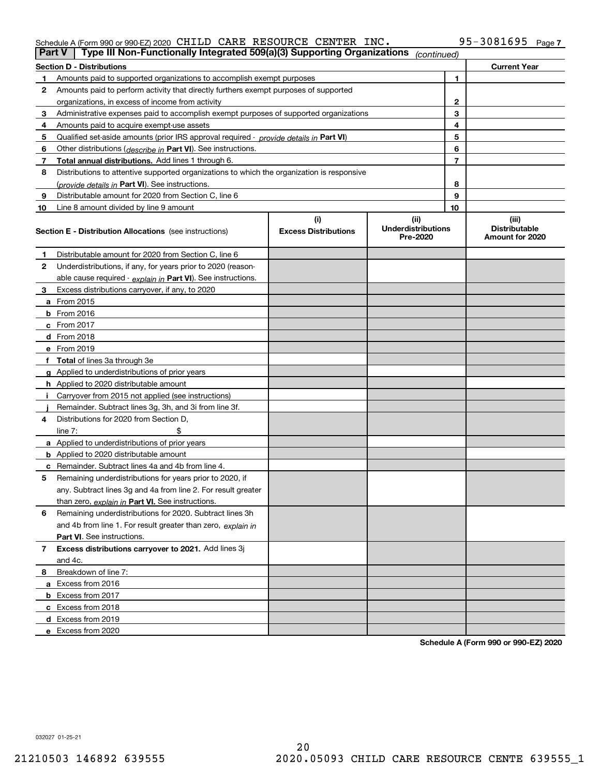## Schedule A (Form 990 or 990-EZ) 2020 <code>CHILD CARE RESOURCE CENTER INC</code> .  $95-3081695$  <code>Page</code>

| Part V         | Type III Non-Functionally Integrated 509(a)(3) Supporting Organizations                    |                             | (continued)                           |    |                                         |
|----------------|--------------------------------------------------------------------------------------------|-----------------------------|---------------------------------------|----|-----------------------------------------|
|                | <b>Section D - Distributions</b>                                                           |                             |                                       |    | <b>Current Year</b>                     |
| 1.             | Amounts paid to supported organizations to accomplish exempt purposes                      |                             |                                       | 1  |                                         |
| 2              | Amounts paid to perform activity that directly furthers exempt purposes of supported       |                             |                                       |    |                                         |
|                | organizations, in excess of income from activity                                           |                             | 2                                     |    |                                         |
| 3              | Administrative expenses paid to accomplish exempt purposes of supported organizations      |                             |                                       | 3  |                                         |
| 4              | Amounts paid to acquire exempt-use assets                                                  |                             |                                       | 4  |                                         |
| 5              | Qualified set-aside amounts (prior IRS approval required - provide details in Part VI)     |                             |                                       | 5  |                                         |
| 6              | Other distributions ( <i>describe in</i> Part VI). See instructions.                       |                             |                                       | 6  |                                         |
| 7              | Total annual distributions. Add lines 1 through 6.                                         |                             |                                       | 7  |                                         |
| 8              | Distributions to attentive supported organizations to which the organization is responsive |                             |                                       |    |                                         |
|                | (provide details in Part VI). See instructions.                                            |                             |                                       | 8  |                                         |
| 9              | Distributable amount for 2020 from Section C, line 6                                       |                             |                                       | 9  |                                         |
| 10             | Line 8 amount divided by line 9 amount                                                     |                             |                                       | 10 |                                         |
|                |                                                                                            | (i)                         | (ii)                                  |    | (iii)                                   |
|                | <b>Section E - Distribution Allocations</b> (see instructions)                             | <b>Excess Distributions</b> | <b>Underdistributions</b><br>Pre-2020 |    | <b>Distributable</b><br>Amount for 2020 |
| 1              | Distributable amount for 2020 from Section C, line 6                                       |                             |                                       |    |                                         |
| 2              | Underdistributions, if any, for years prior to 2020 (reason-                               |                             |                                       |    |                                         |
|                | able cause required - explain in Part VI). See instructions.                               |                             |                                       |    |                                         |
| 3              | Excess distributions carryover, if any, to 2020                                            |                             |                                       |    |                                         |
|                | a From 2015                                                                                |                             |                                       |    |                                         |
|                | <b>b</b> From 2016                                                                         |                             |                                       |    |                                         |
|                | $c$ From 2017                                                                              |                             |                                       |    |                                         |
|                | <b>d</b> From 2018                                                                         |                             |                                       |    |                                         |
|                | e From 2019                                                                                |                             |                                       |    |                                         |
|                | f Total of lines 3a through 3e                                                             |                             |                                       |    |                                         |
|                | g Applied to underdistributions of prior years                                             |                             |                                       |    |                                         |
|                | <b>h</b> Applied to 2020 distributable amount                                              |                             |                                       |    |                                         |
|                | Carryover from 2015 not applied (see instructions)                                         |                             |                                       |    |                                         |
|                | Remainder. Subtract lines 3g, 3h, and 3i from line 3f.                                     |                             |                                       |    |                                         |
| 4              | Distributions for 2020 from Section D,                                                     |                             |                                       |    |                                         |
|                | line $7:$                                                                                  |                             |                                       |    |                                         |
|                | a Applied to underdistributions of prior years                                             |                             |                                       |    |                                         |
|                | <b>b</b> Applied to 2020 distributable amount                                              |                             |                                       |    |                                         |
|                | c Remainder. Subtract lines 4a and 4b from line 4.                                         |                             |                                       |    |                                         |
| 5              | Remaining underdistributions for years prior to 2020, if                                   |                             |                                       |    |                                         |
|                | any. Subtract lines 3g and 4a from line 2. For result greater                              |                             |                                       |    |                                         |
|                | than zero, explain in Part VI. See instructions.                                           |                             |                                       |    |                                         |
| 6              | Remaining underdistributions for 2020. Subtract lines 3h                                   |                             |                                       |    |                                         |
|                | and 4b from line 1. For result greater than zero, explain in                               |                             |                                       |    |                                         |
|                | Part VI. See instructions.                                                                 |                             |                                       |    |                                         |
| $\overline{7}$ | Excess distributions carryover to 2021. Add lines 3j                                       |                             |                                       |    |                                         |
|                | and 4c.                                                                                    |                             |                                       |    |                                         |
| 8              | Breakdown of line 7:                                                                       |                             |                                       |    |                                         |
|                | a Excess from 2016                                                                         |                             |                                       |    |                                         |
|                | <b>b</b> Excess from 2017                                                                  |                             |                                       |    |                                         |
|                | c Excess from 2018                                                                         |                             |                                       |    |                                         |
|                | d Excess from 2019                                                                         |                             |                                       |    |                                         |
|                | e Excess from 2020                                                                         |                             |                                       |    |                                         |
|                |                                                                                            |                             |                                       |    |                                         |

**Schedule A (Form 990 or 990-EZ) 2020**

032027 01-25-21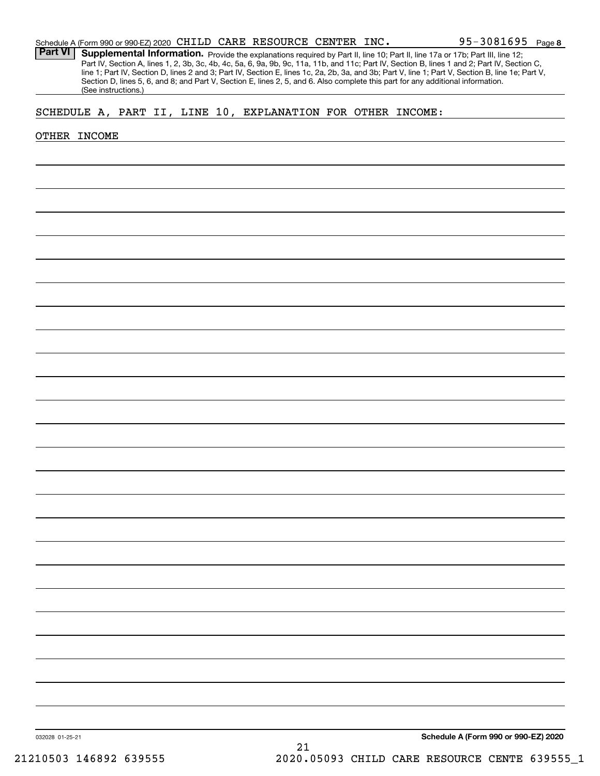Part VI | Supplemental Information. Provide the explanations required by Part II, line 10; Part II, line 17a or 17b; Part III, line 12; Part IV, Section A, lines 1, 2, 3b, 3c, 4b, 4c, 5a, 6, 9a, 9b, 9c, 11a, 11b, and 11c; Part IV, Section B, lines 1 and 2; Part IV, Section C, line 1; Part IV, Section D, lines 2 and 3; Part IV, Section E, lines 1c, 2a, 2b, 3a, and 3b; Part V, line 1; Part V, Section B, line 1e; Part V, Section D, lines 5, 6, and 8; and Part V, Section E, lines 2, 5, and 6. Also complete this part for any additional information. (See instructions.)

# SCHEDULE A, PART II, LINE 10, EXPLANATION FOR OTHER INCOME:

### OTHER INCOME

**Schedule A (Form 990 or 990-EZ) 2020**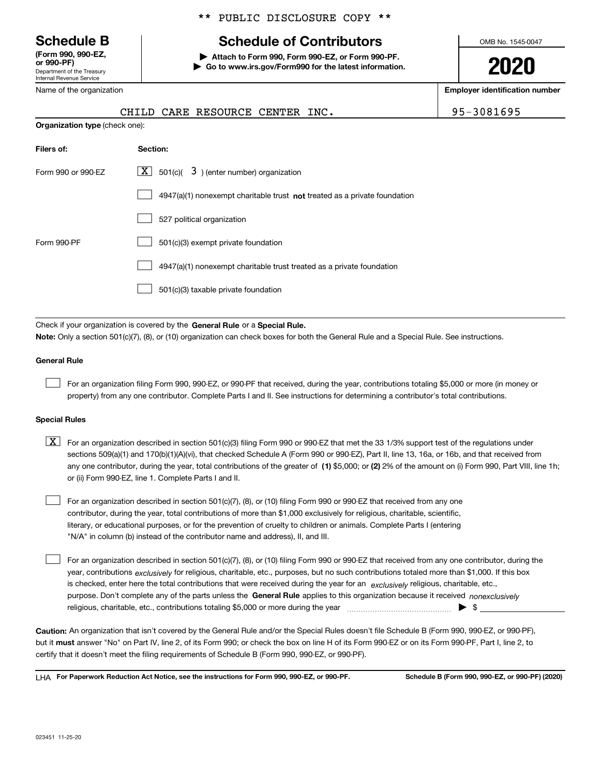Department of the Treasury Internal Revenue Service **(Form 990, 990-EZ, or 990-PF)**

Name of the organization

## \*\* PUBLIC DISCLOSURE COPY \*\*

# **Schedule B Schedule of Contributors**

**| Attach to Form 990, Form 990-EZ, or Form 990-PF. | Go to www.irs.gov/Form990 for the latest information.** OMB No. 1545-0047

**2020**

**Employer identification number**

|                                       | CHILD CARE RESOURCE CENTER INC.                                             | 95-3081695 |
|---------------------------------------|-----------------------------------------------------------------------------|------------|
| <b>Organization type (check one):</b> |                                                                             |            |
| Filers of:                            | Section:                                                                    |            |
| Form 990 or 990-EZ                    | $3$ ) (enter number) organization<br>$X$ 501(c)(                            |            |
|                                       | $4947(a)(1)$ nonexempt charitable trust not treated as a private foundation |            |
|                                       | 527 political organization                                                  |            |
| Form 990-PF                           | 501(c)(3) exempt private foundation                                         |            |
|                                       | 4947(a)(1) nonexempt charitable trust treated as a private foundation       |            |
|                                       | 501(c)(3) taxable private foundation                                        |            |

Check if your organization is covered by the **General Rule** or a **Special Rule. Note:**  Only a section 501(c)(7), (8), or (10) organization can check boxes for both the General Rule and a Special Rule. See instructions.

### **General Rule**

 $\mathcal{L}^{\text{max}}$ 

For an organization filing Form 990, 990-EZ, or 990-PF that received, during the year, contributions totaling \$5,000 or more (in money or property) from any one contributor. Complete Parts I and II. See instructions for determining a contributor's total contributions.

### **Special Rules**

any one contributor, during the year, total contributions of the greater of  $\,$  (1) \$5,000; or **(2)** 2% of the amount on (i) Form 990, Part VIII, line 1h;  $\boxed{\textbf{X}}$  For an organization described in section 501(c)(3) filing Form 990 or 990-EZ that met the 33 1/3% support test of the regulations under sections 509(a)(1) and 170(b)(1)(A)(vi), that checked Schedule A (Form 990 or 990-EZ), Part II, line 13, 16a, or 16b, and that received from or (ii) Form 990-EZ, line 1. Complete Parts I and II.

For an organization described in section 501(c)(7), (8), or (10) filing Form 990 or 990-EZ that received from any one contributor, during the year, total contributions of more than \$1,000 exclusively for religious, charitable, scientific, literary, or educational purposes, or for the prevention of cruelty to children or animals. Complete Parts I (entering "N/A" in column (b) instead of the contributor name and address), II, and III.  $\mathcal{L}^{\text{max}}$ 

purpose. Don't complete any of the parts unless the **General Rule** applies to this organization because it received *nonexclusively* year, contributions <sub>exclusively</sub> for religious, charitable, etc., purposes, but no such contributions totaled more than \$1,000. If this box is checked, enter here the total contributions that were received during the year for an  $\;$ exclusively religious, charitable, etc., For an organization described in section 501(c)(7), (8), or (10) filing Form 990 or 990-EZ that received from any one contributor, during the religious, charitable, etc., contributions totaling \$5,000 or more during the year  $\Box$ — $\Box$   $\Box$  $\mathcal{L}^{\text{max}}$ 

**Caution:**  An organization that isn't covered by the General Rule and/or the Special Rules doesn't file Schedule B (Form 990, 990-EZ, or 990-PF),  **must** but it answer "No" on Part IV, line 2, of its Form 990; or check the box on line H of its Form 990-EZ or on its Form 990-PF, Part I, line 2, to certify that it doesn't meet the filing requirements of Schedule B (Form 990, 990-EZ, or 990-PF).

**For Paperwork Reduction Act Notice, see the instructions for Form 990, 990-EZ, or 990-PF. Schedule B (Form 990, 990-EZ, or 990-PF) (2020)** LHA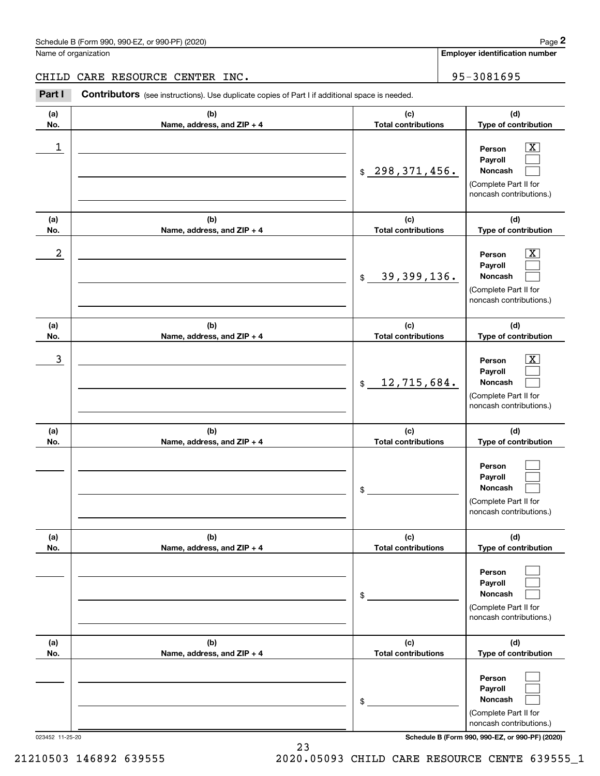Name of organization

**Employer identification number**

## CHILD CARE RESOURCE CENTER INC. | 95-3081695

(schedule B (Form 990, 990-EZ, or 990-PF) (2020)<br>
lame of organization<br> **2PART I** CARE RESOURCE CENTER INC<br> **2Part I Contributors** (see instructions). Use duplicate copies of Part I if additional space is needed.

| (a)<br>No. | (b)<br>Name, address, and ZIP + 4 | (c)<br><b>Total contributions</b>      | (d)<br>Type of contribution                                                                                      |
|------------|-----------------------------------|----------------------------------------|------------------------------------------------------------------------------------------------------------------|
| 1          |                                   | \$298,371,456.                         | $\overline{\text{X}}$<br>Person<br>Payroll<br>Noncash<br>(Complete Part II for<br>noncash contributions.)        |
| (a)<br>No. | (b)<br>Name, address, and ZIP + 4 | (c)<br><b>Total contributions</b>      | (d)<br>Type of contribution                                                                                      |
| 2          |                                   | 39, 399, 136.<br>$$\mathbb{S}$$        | $\overline{\text{X}}$<br>Person<br>Payroll<br>Noncash<br>(Complete Part II for<br>noncash contributions.)        |
| (a)<br>No. | (b)<br>Name, address, and ZIP + 4 | (c)<br><b>Total contributions</b>      | (d)<br>Type of contribution                                                                                      |
| 3          |                                   | 12,715,684.<br>$$\tilde{\phantom{a}}$$ | $\overline{\text{X}}$<br>Person<br>Payroll<br><b>Noncash</b><br>(Complete Part II for<br>noncash contributions.) |
| (a)<br>No. | (b)<br>Name, address, and ZIP + 4 | (c)<br><b>Total contributions</b>      | (d)<br>Type of contribution                                                                                      |
|            |                                   | \$                                     | Person<br>Payroll<br>Noncash<br>(Complete Part II for<br>noncash contributions.)                                 |
| (a)<br>No. | (b)<br>Name, address, and ZIP + 4 | (c)<br><b>Total contributions</b>      | (d)<br>Type of contribution                                                                                      |
|            |                                   | \$                                     | Person<br>Payroll<br>Noncash<br>(Complete Part II for<br>noncash contributions.)                                 |
| (a)<br>No. | (b)<br>Name, address, and ZIP + 4 | (c)<br><b>Total contributions</b>      | (d)<br>Type of contribution                                                                                      |
|            |                                   | \$                                     | Person<br>Payroll<br>Noncash<br>(Complete Part II for<br>noncash contributions.)                                 |

023452 11-25-20 **Schedule B (Form 990, 990-EZ, or 990-PF) (2020)**

21210503 146892 639555 2020.05093 CHILD CARE RESOURCE CENTE 639555\_1

23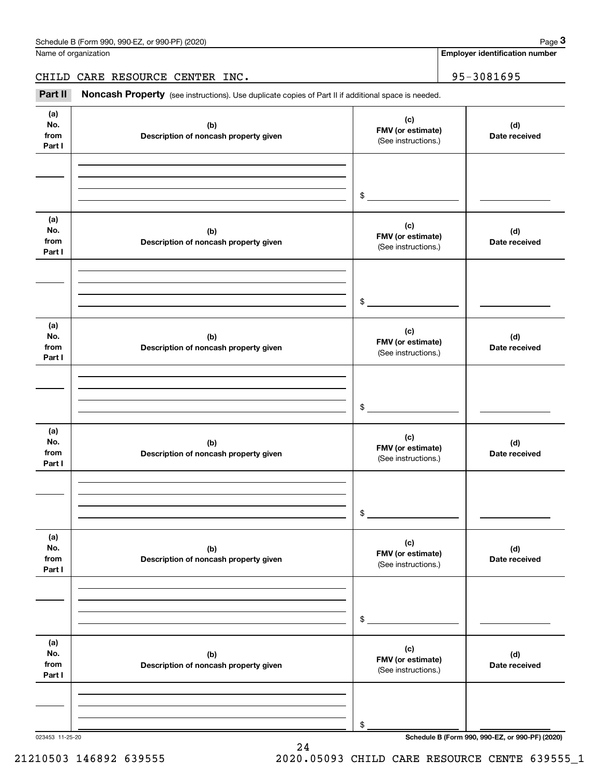Name of organization

**Employer identification number**

CHILD CARE RESOURCE CENTER INC. | 95-3081695

(see instructions). Use duplicate copies of Part II if additional space is needed.<br> **2Part II Noncash Property** (see instructions). Use duplicate copies of Part II if additional space is needed.<br>
3Part II **Noncash Proper** 

| (a)<br>No.<br>from<br>Part I | (b)<br>Description of noncash property given | (c)<br>FMV (or estimate)<br>(See instructions.) | (d)<br>Date received |
|------------------------------|----------------------------------------------|-------------------------------------------------|----------------------|
|                              |                                              |                                                 |                      |
|                              |                                              |                                                 |                      |
|                              |                                              | $\frac{1}{2}$                                   |                      |
|                              |                                              |                                                 |                      |
| (a)<br>No.                   | (b)                                          | (c)                                             | (d)                  |
| from                         | Description of noncash property given        | FMV (or estimate)<br>(See instructions.)        | Date received        |
| Part I                       |                                              |                                                 |                      |
|                              |                                              |                                                 |                      |
|                              |                                              |                                                 |                      |
|                              |                                              | $\frac{1}{2}$                                   |                      |
| (a)                          |                                              |                                                 |                      |
| No.                          | (b)                                          | (c)                                             | (d)                  |
| from                         | Description of noncash property given        | FMV (or estimate)<br>(See instructions.)        | Date received        |
| Part I                       |                                              |                                                 |                      |
|                              |                                              |                                                 |                      |
|                              |                                              |                                                 |                      |
|                              |                                              | $\frac{1}{2}$                                   |                      |
| (a)                          |                                              |                                                 |                      |
| No.                          | (b)                                          | (c)<br>FMV (or estimate)                        | (d)                  |
| from<br>Part I               | Description of noncash property given        | (See instructions.)                             | Date received        |
|                              |                                              |                                                 |                      |
|                              |                                              |                                                 |                      |
|                              |                                              |                                                 |                      |
|                              |                                              | $\mathsf{\$}$                                   |                      |
| (a)                          |                                              | (c)                                             |                      |
| No.<br>from                  | (b)                                          | FMV (or estimate)                               | (d)                  |
| Part I                       | Description of noncash property given        | (See instructions.)                             | Date received        |
|                              |                                              |                                                 |                      |
|                              |                                              |                                                 |                      |
|                              |                                              | \$                                              |                      |
|                              |                                              |                                                 |                      |
| (a)                          |                                              | (c)                                             |                      |
| No.<br>from                  | (b)<br>Description of noncash property given | FMV (or estimate)                               | (d)<br>Date received |
| Part I                       |                                              | (See instructions.)                             |                      |
|                              |                                              |                                                 |                      |
|                              |                                              |                                                 |                      |
|                              |                                              | $\$$                                            |                      |

24

023453 11-25-20 **Schedule B (Form 990, 990-EZ, or 990-PF) (2020)**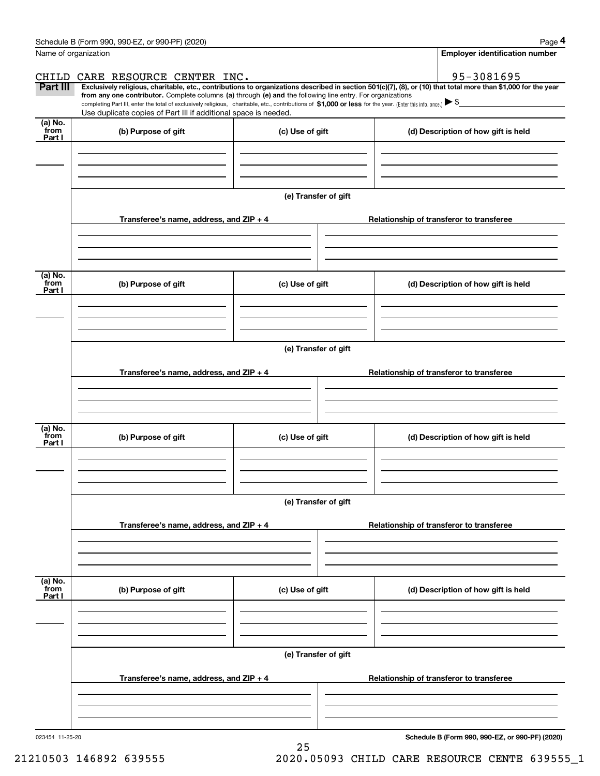|                           | Schedule B (Form 990, 990-EZ, or 990-PF) (2020)                                                                                                                                                                                                                              |                      |  |                                          | Page 4 |  |  |  |
|---------------------------|------------------------------------------------------------------------------------------------------------------------------------------------------------------------------------------------------------------------------------------------------------------------------|----------------------|--|------------------------------------------|--------|--|--|--|
| Name of organization      |                                                                                                                                                                                                                                                                              |                      |  | <b>Employer identification number</b>    |        |  |  |  |
| CHILD                     | CARE RESOURCE CENTER INC.                                                                                                                                                                                                                                                    |                      |  | 95-3081695                               |        |  |  |  |
| <b>Part III</b>           | Exclusively religious, charitable, etc., contributions to organizations described in section 501(c)(7), (8), or (10) that total more than \$1,000 for the year<br>from any one contributor. Complete columns (a) through (e) and the following line entry. For organizations |                      |  |                                          |        |  |  |  |
|                           | completing Part III, enter the total of exclusively religious, charitable, etc., contributions of \$1,000 or less for the year. (Enter this info. once.) $\blacktriangleright$ \$<br>Use duplicate copies of Part III if additional space is needed.                         |                      |  |                                          |        |  |  |  |
| (a) No.<br>from<br>Part I | (b) Purpose of gift                                                                                                                                                                                                                                                          | (c) Use of gift      |  | (d) Description of how gift is held      |        |  |  |  |
|                           |                                                                                                                                                                                                                                                                              |                      |  |                                          |        |  |  |  |
|                           |                                                                                                                                                                                                                                                                              |                      |  |                                          |        |  |  |  |
|                           |                                                                                                                                                                                                                                                                              | (e) Transfer of gift |  |                                          |        |  |  |  |
|                           | Transferee's name, address, and ZIP + 4                                                                                                                                                                                                                                      |                      |  | Relationship of transferor to transferee |        |  |  |  |
|                           |                                                                                                                                                                                                                                                                              |                      |  |                                          |        |  |  |  |
| (a) No.<br>from<br>Part I | (b) Purpose of gift                                                                                                                                                                                                                                                          | (c) Use of gift      |  | (d) Description of how gift is held      |        |  |  |  |
|                           |                                                                                                                                                                                                                                                                              |                      |  |                                          |        |  |  |  |
|                           |                                                                                                                                                                                                                                                                              |                      |  |                                          |        |  |  |  |
|                           | (e) Transfer of gift                                                                                                                                                                                                                                                         |                      |  |                                          |        |  |  |  |
|                           | Transferee's name, address, and ZIP + 4                                                                                                                                                                                                                                      |                      |  | Relationship of transferor to transferee |        |  |  |  |
|                           |                                                                                                                                                                                                                                                                              |                      |  |                                          |        |  |  |  |
| (a) No.<br>from<br>Part I | (b) Purpose of gift                                                                                                                                                                                                                                                          | (c) Use of gift      |  | (d) Description of how gift is held      |        |  |  |  |
|                           |                                                                                                                                                                                                                                                                              |                      |  |                                          |        |  |  |  |
|                           |                                                                                                                                                                                                                                                                              | (e) Transfer of gift |  |                                          |        |  |  |  |
|                           | Transferee's name, address, and $ZIP + 4$                                                                                                                                                                                                                                    |                      |  | Relationship of transferor to transferee |        |  |  |  |
|                           |                                                                                                                                                                                                                                                                              |                      |  |                                          |        |  |  |  |
| (a) No.<br>from           | (b) Purpose of gift                                                                                                                                                                                                                                                          | (c) Use of gift      |  | (d) Description of how gift is held      |        |  |  |  |
| Part I                    |                                                                                                                                                                                                                                                                              |                      |  |                                          |        |  |  |  |
|                           |                                                                                                                                                                                                                                                                              |                      |  |                                          |        |  |  |  |
|                           | (e) Transfer of gift                                                                                                                                                                                                                                                         |                      |  |                                          |        |  |  |  |
|                           | Transferee's name, address, and $ZIP + 4$                                                                                                                                                                                                                                    |                      |  | Relationship of transferor to transferee |        |  |  |  |
|                           |                                                                                                                                                                                                                                                                              |                      |  |                                          |        |  |  |  |
|                           |                                                                                                                                                                                                                                                                              |                      |  |                                          |        |  |  |  |
|                           |                                                                                                                                                                                                                                                                              |                      |  |                                          |        |  |  |  |

25

**Schedule B (Form 990, 990-EZ, or 990-PF) (2020)**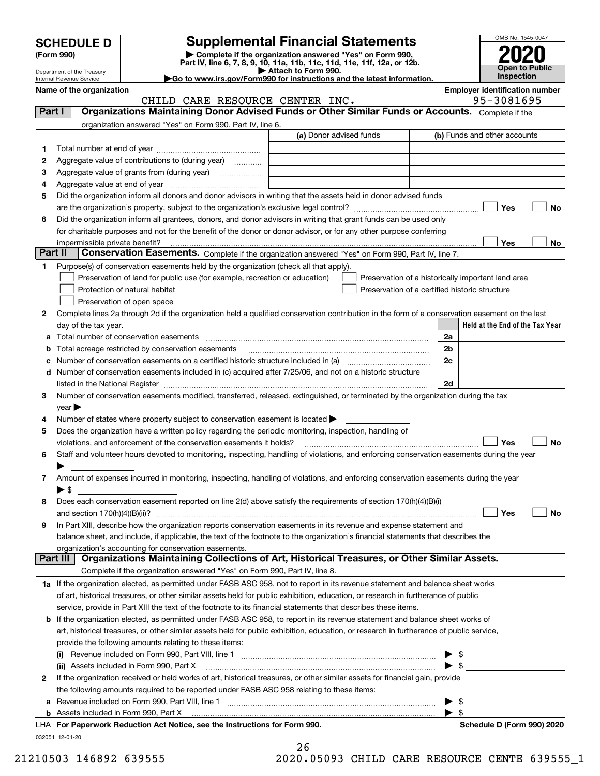| <b>SCHEDULE D</b> |  |
|-------------------|--|
|-------------------|--|

# **Supplemental Financial Statements**

(Form 990)<br>
Pepartment of the Treasury<br>
Department of the Treasury<br>
Department of the Treasury<br>
Department of the Treasury<br> **Co to www.irs.gov/Form990 for instructions and the latest information.**<br> **Co to www.irs.gov/Form9** 



Department of the Treasury Internal Revenue Service

**Name of the organization Employer identification number**

CHILD CARE RESOURCE CENTER INC. 495-3081695

| Part I  | <b>Organizations Maintaining Donor Advised Funds or Other Similar Funds or Accounts.</b> Complete if the                                       |                         |                                                                                                                                                                                                                                                                                                                                                                                                                                 |
|---------|------------------------------------------------------------------------------------------------------------------------------------------------|-------------------------|---------------------------------------------------------------------------------------------------------------------------------------------------------------------------------------------------------------------------------------------------------------------------------------------------------------------------------------------------------------------------------------------------------------------------------|
|         | organization answered "Yes" on Form 990, Part IV, line 6.                                                                                      |                         |                                                                                                                                                                                                                                                                                                                                                                                                                                 |
|         |                                                                                                                                                | (a) Donor advised funds | (b) Funds and other accounts                                                                                                                                                                                                                                                                                                                                                                                                    |
| 1.      |                                                                                                                                                |                         |                                                                                                                                                                                                                                                                                                                                                                                                                                 |
| 2       | Aggregate value of contributions to (during year)                                                                                              |                         |                                                                                                                                                                                                                                                                                                                                                                                                                                 |
| з       | Aggregate value of grants from (during year)                                                                                                   |                         |                                                                                                                                                                                                                                                                                                                                                                                                                                 |
| 4       |                                                                                                                                                |                         |                                                                                                                                                                                                                                                                                                                                                                                                                                 |
| 5       | Did the organization inform all donors and donor advisors in writing that the assets held in donor advised funds                               |                         |                                                                                                                                                                                                                                                                                                                                                                                                                                 |
|         |                                                                                                                                                |                         | Yes<br>No                                                                                                                                                                                                                                                                                                                                                                                                                       |
| 6       | Did the organization inform all grantees, donors, and donor advisors in writing that grant funds can be used only                              |                         |                                                                                                                                                                                                                                                                                                                                                                                                                                 |
|         | for charitable purposes and not for the benefit of the donor or donor advisor, or for any other purpose conferring                             |                         |                                                                                                                                                                                                                                                                                                                                                                                                                                 |
|         |                                                                                                                                                |                         | Yes<br>No                                                                                                                                                                                                                                                                                                                                                                                                                       |
| Part II | Conservation Easements. Complete if the organization answered "Yes" on Form 990, Part IV, line 7.                                              |                         |                                                                                                                                                                                                                                                                                                                                                                                                                                 |
| 1.      | Purpose(s) of conservation easements held by the organization (check all that apply).                                                          |                         |                                                                                                                                                                                                                                                                                                                                                                                                                                 |
|         | Preservation of land for public use (for example, recreation or education)                                                                     |                         | Preservation of a historically important land area                                                                                                                                                                                                                                                                                                                                                                              |
|         | Protection of natural habitat                                                                                                                  |                         | Preservation of a certified historic structure                                                                                                                                                                                                                                                                                                                                                                                  |
|         | Preservation of open space                                                                                                                     |                         |                                                                                                                                                                                                                                                                                                                                                                                                                                 |
| 2       | Complete lines 2a through 2d if the organization held a qualified conservation contribution in the form of a conservation easement on the last |                         |                                                                                                                                                                                                                                                                                                                                                                                                                                 |
|         | day of the tax year.                                                                                                                           |                         | Held at the End of the Tax Year                                                                                                                                                                                                                                                                                                                                                                                                 |
|         |                                                                                                                                                |                         | 2a                                                                                                                                                                                                                                                                                                                                                                                                                              |
|         | <b>b</b> Total acreage restricted by conservation easements                                                                                    |                         | 2b                                                                                                                                                                                                                                                                                                                                                                                                                              |
|         |                                                                                                                                                |                         | 2c                                                                                                                                                                                                                                                                                                                                                                                                                              |
|         | d Number of conservation easements included in (c) acquired after 7/25/06, and not on a historic structure                                     |                         |                                                                                                                                                                                                                                                                                                                                                                                                                                 |
|         |                                                                                                                                                |                         | 2d                                                                                                                                                                                                                                                                                                                                                                                                                              |
| 3       | Number of conservation easements modified, transferred, released, extinguished, or terminated by the organization during the tax               |                         |                                                                                                                                                                                                                                                                                                                                                                                                                                 |
|         | $year \blacktriangleright$                                                                                                                     |                         |                                                                                                                                                                                                                                                                                                                                                                                                                                 |
| 4       | Number of states where property subject to conservation easement is located $\blacktriangleright$                                              |                         |                                                                                                                                                                                                                                                                                                                                                                                                                                 |
| 5       | Does the organization have a written policy regarding the periodic monitoring, inspection, handling of                                         |                         |                                                                                                                                                                                                                                                                                                                                                                                                                                 |
|         | violations, and enforcement of the conservation easements it holds?                                                                            |                         | Yes<br><b>No</b>                                                                                                                                                                                                                                                                                                                                                                                                                |
| 6       | Staff and volunteer hours devoted to monitoring, inspecting, handling of violations, and enforcing conservation easements during the year      |                         |                                                                                                                                                                                                                                                                                                                                                                                                                                 |
|         | Amount of expenses incurred in monitoring, inspecting, handling of violations, and enforcing conservation easements during the year            |                         |                                                                                                                                                                                                                                                                                                                                                                                                                                 |
| 7       | $\blacktriangleright$ \$                                                                                                                       |                         |                                                                                                                                                                                                                                                                                                                                                                                                                                 |
| 8       | Does each conservation easement reported on line 2(d) above satisfy the requirements of section 170(h)(4)(B)(i)                                |                         |                                                                                                                                                                                                                                                                                                                                                                                                                                 |
|         |                                                                                                                                                |                         | Yes<br>No                                                                                                                                                                                                                                                                                                                                                                                                                       |
| 9       | In Part XIII, describe how the organization reports conservation easements in its revenue and expense statement and                            |                         |                                                                                                                                                                                                                                                                                                                                                                                                                                 |
|         | balance sheet, and include, if applicable, the text of the footnote to the organization's financial statements that describes the              |                         |                                                                                                                                                                                                                                                                                                                                                                                                                                 |
|         | organization's accounting for conservation easements.                                                                                          |                         |                                                                                                                                                                                                                                                                                                                                                                                                                                 |
|         | Organizations Maintaining Collections of Art, Historical Treasures, or Other Similar Assets.<br>Part III                                       |                         |                                                                                                                                                                                                                                                                                                                                                                                                                                 |
|         | Complete if the organization answered "Yes" on Form 990, Part IV, line 8.                                                                      |                         |                                                                                                                                                                                                                                                                                                                                                                                                                                 |
|         | 1a If the organization elected, as permitted under FASB ASC 958, not to report in its revenue statement and balance sheet works                |                         |                                                                                                                                                                                                                                                                                                                                                                                                                                 |
|         | of art, historical treasures, or other similar assets held for public exhibition, education, or research in furtherance of public              |                         |                                                                                                                                                                                                                                                                                                                                                                                                                                 |
|         | service, provide in Part XIII the text of the footnote to its financial statements that describes these items.                                 |                         |                                                                                                                                                                                                                                                                                                                                                                                                                                 |
|         | <b>b</b> If the organization elected, as permitted under FASB ASC 958, to report in its revenue statement and balance sheet works of           |                         |                                                                                                                                                                                                                                                                                                                                                                                                                                 |
|         | art, historical treasures, or other similar assets held for public exhibition, education, or research in furtherance of public service,        |                         |                                                                                                                                                                                                                                                                                                                                                                                                                                 |
|         | provide the following amounts relating to these items:                                                                                         |                         |                                                                                                                                                                                                                                                                                                                                                                                                                                 |
|         |                                                                                                                                                |                         | $\frac{1}{2}$                                                                                                                                                                                                                                                                                                                                                                                                                   |
|         | (ii) Assets included in Form 990, Part X                                                                                                       |                         | $\blacktriangleright$ \$<br><u> 1990 - Jan Barbara Barat, prima politik po</u>                                                                                                                                                                                                                                                                                                                                                  |
| 2       | If the organization received or held works of art, historical treasures, or other similar assets for financial gain, provide                   |                         |                                                                                                                                                                                                                                                                                                                                                                                                                                 |
|         | the following amounts required to be reported under FASB ASC 958 relating to these items:                                                      |                         |                                                                                                                                                                                                                                                                                                                                                                                                                                 |
|         | a Revenue included on Form 990, Part VIII, line 1 [2000] [2000] [2000] [2000] [2000] [2000] [2000] [2000] [2000                                |                         | $\frac{1}{\sqrt{1-\frac{1}{2}}}\frac{1}{\sqrt{1-\frac{1}{2}}}\frac{1}{\sqrt{1-\frac{1}{2}}}\frac{1}{\sqrt{1-\frac{1}{2}}}\frac{1}{\sqrt{1-\frac{1}{2}}}\frac{1}{\sqrt{1-\frac{1}{2}}}\frac{1}{\sqrt{1-\frac{1}{2}}}\frac{1}{\sqrt{1-\frac{1}{2}}}\frac{1}{\sqrt{1-\frac{1}{2}}}\frac{1}{\sqrt{1-\frac{1}{2}}}\frac{1}{\sqrt{1-\frac{1}{2}}}\frac{1}{\sqrt{1-\frac{1}{2}}}\frac{1}{\sqrt{1-\frac{1}{2}}}\frac{1}{\sqrt{1-\frac{$ |
|         | <b>b</b> Assets included in Form 990, Part X                                                                                                   |                         | $\blacktriangleright$ s                                                                                                                                                                                                                                                                                                                                                                                                         |
|         | LHA For Paperwork Reduction Act Notice, see the Instructions for Form 990.                                                                     |                         | Schedule D (Form 990) 2020                                                                                                                                                                                                                                                                                                                                                                                                      |
|         | 032051 12-01-20                                                                                                                                |                         |                                                                                                                                                                                                                                                                                                                                                                                                                                 |

| 26 |       |  |  |
|----|-------|--|--|
| `^ | 0.000 |  |  |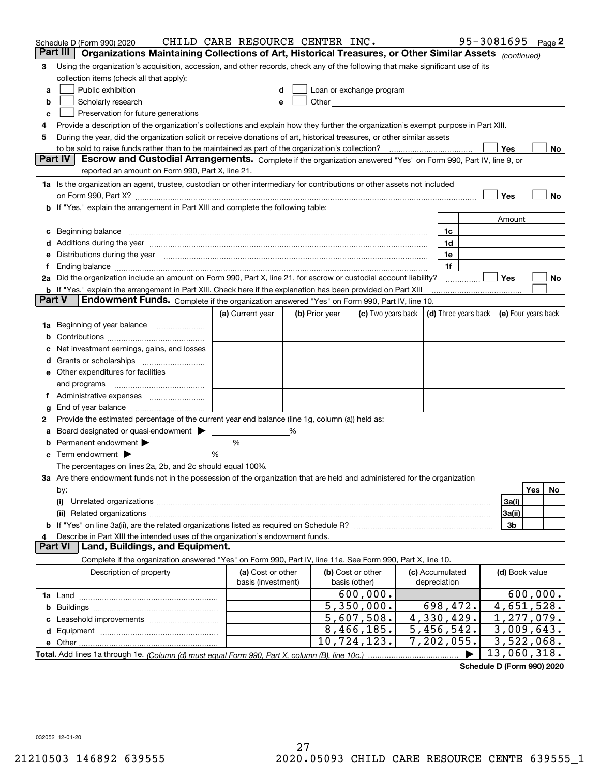| Part III<br>Organizations Maintaining Collections of Art, Historical Treasures, or Other Similar Assets (continued)                                                                                                                  |                            |  |  |  |  |  |  |  |  |
|--------------------------------------------------------------------------------------------------------------------------------------------------------------------------------------------------------------------------------------|----------------------------|--|--|--|--|--|--|--|--|
| Using the organization's acquisition, accession, and other records, check any of the following that make significant use of its<br>3                                                                                                 |                            |  |  |  |  |  |  |  |  |
| collection items (check all that apply):                                                                                                                                                                                             |                            |  |  |  |  |  |  |  |  |
| Public exhibition<br>Loan or exchange program<br>a                                                                                                                                                                                   |                            |  |  |  |  |  |  |  |  |
| Other <b>Committee Committee Committee Committee</b><br>Scholarly research<br>е                                                                                                                                                      |                            |  |  |  |  |  |  |  |  |
| Preservation for future generations<br>с                                                                                                                                                                                             |                            |  |  |  |  |  |  |  |  |
| Provide a description of the organization's collections and explain how they further the organization's exempt purpose in Part XIII.<br>4                                                                                            |                            |  |  |  |  |  |  |  |  |
| During the year, did the organization solicit or receive donations of art, historical treasures, or other similar assets<br>5                                                                                                        |                            |  |  |  |  |  |  |  |  |
| to be sold to raise funds rather than to be maintained as part of the organization's collection?                                                                                                                                     | Yes<br>No                  |  |  |  |  |  |  |  |  |
| <b>Part IV</b><br>Escrow and Custodial Arrangements. Complete if the organization answered "Yes" on Form 990, Part IV, line 9, or                                                                                                    |                            |  |  |  |  |  |  |  |  |
| reported an amount on Form 990, Part X, line 21.                                                                                                                                                                                     |                            |  |  |  |  |  |  |  |  |
| 1a Is the organization an agent, trustee, custodian or other intermediary for contributions or other assets not included                                                                                                             |                            |  |  |  |  |  |  |  |  |
| on Form 990, Part X? [11] matter contracts and contracts and contracts are contracted as a form 990, Part X?                                                                                                                         | Yes<br>No                  |  |  |  |  |  |  |  |  |
| b If "Yes," explain the arrangement in Part XIII and complete the following table:                                                                                                                                                   |                            |  |  |  |  |  |  |  |  |
|                                                                                                                                                                                                                                      | Amount                     |  |  |  |  |  |  |  |  |
| Beginning balance measurements and the contract measurement of the contract measurement of the contract measurement<br>1c<br>c                                                                                                       |                            |  |  |  |  |  |  |  |  |
| Additions during the year manufactured and an annual contract of the year manufactured and all the year manufactured and all the year manufactured and all the year manufactured and all the year manufactured and all the yea<br>1d |                            |  |  |  |  |  |  |  |  |
| Distributions during the year manufactured and continuum and continuum and continuum and continuum and continuum<br>1e                                                                                                               |                            |  |  |  |  |  |  |  |  |
| 1f<br>Ť.                                                                                                                                                                                                                             |                            |  |  |  |  |  |  |  |  |
| 2a Did the organization include an amount on Form 990, Part X, line 21, for escrow or custodial account liability?<br>.                                                                                                              | Yes<br>No                  |  |  |  |  |  |  |  |  |
| <b>b</b> If "Yes," explain the arrangement in Part XIII. Check here if the explanation has been provided on Part XIII<br>Part V<br>Endowment Funds. Complete if the organization answered "Yes" on Form 990, Part IV, line 10.       |                            |  |  |  |  |  |  |  |  |
| (d) Three years back<br>(a) Current year<br>(c) Two years back                                                                                                                                                                       |                            |  |  |  |  |  |  |  |  |
| (b) Prior year                                                                                                                                                                                                                       | (e) Four years back        |  |  |  |  |  |  |  |  |
| Beginning of year balance<br>1a                                                                                                                                                                                                      |                            |  |  |  |  |  |  |  |  |
| Net investment earnings, gains, and losses                                                                                                                                                                                           |                            |  |  |  |  |  |  |  |  |
| d                                                                                                                                                                                                                                    |                            |  |  |  |  |  |  |  |  |
| e Other expenditures for facilities                                                                                                                                                                                                  |                            |  |  |  |  |  |  |  |  |
| and programs                                                                                                                                                                                                                         |                            |  |  |  |  |  |  |  |  |
|                                                                                                                                                                                                                                      |                            |  |  |  |  |  |  |  |  |
| End of year balance<br>g                                                                                                                                                                                                             |                            |  |  |  |  |  |  |  |  |
| Provide the estimated percentage of the current year end balance (line 1g, column (a)) held as:<br>2                                                                                                                                 |                            |  |  |  |  |  |  |  |  |
| Board designated or quasi-endowment<br>℅<br>а                                                                                                                                                                                        |                            |  |  |  |  |  |  |  |  |
| Permanent endowment > <u>example</u><br>%                                                                                                                                                                                            |                            |  |  |  |  |  |  |  |  |
| %<br>Term endowment $\blacktriangleright$                                                                                                                                                                                            |                            |  |  |  |  |  |  |  |  |
| The percentages on lines 2a, 2b, and 2c should equal 100%.                                                                                                                                                                           |                            |  |  |  |  |  |  |  |  |
| 3a Are there endowment funds not in the possession of the organization that are held and administered for the organization                                                                                                           |                            |  |  |  |  |  |  |  |  |
| by:                                                                                                                                                                                                                                  | Yes<br>No.                 |  |  |  |  |  |  |  |  |
| (i)                                                                                                                                                                                                                                  | 3a(i)                      |  |  |  |  |  |  |  |  |
|                                                                                                                                                                                                                                      | 3a(ii)                     |  |  |  |  |  |  |  |  |
|                                                                                                                                                                                                                                      | 3b                         |  |  |  |  |  |  |  |  |
| Describe in Part XIII the intended uses of the organization's endowment funds.                                                                                                                                                       |                            |  |  |  |  |  |  |  |  |
| Land, Buildings, and Equipment.<br>Part VI                                                                                                                                                                                           |                            |  |  |  |  |  |  |  |  |
| Complete if the organization answered "Yes" on Form 990, Part IV, line 11a. See Form 990, Part X, line 10.                                                                                                                           |                            |  |  |  |  |  |  |  |  |
| Description of property<br>(a) Cost or other<br>(b) Cost or other<br>(c) Accumulated<br>basis (investment)<br>basis (other)<br>depreciation                                                                                          | (d) Book value             |  |  |  |  |  |  |  |  |
| 600,000.                                                                                                                                                                                                                             | 600,000.                   |  |  |  |  |  |  |  |  |
| $\overline{5,350,000}$ .<br>698,472.<br>b                                                                                                                                                                                            | 4,651,528.                 |  |  |  |  |  |  |  |  |
| 5,607,508.<br>4,330,429.                                                                                                                                                                                                             | $\overline{1}$ , 277, 079. |  |  |  |  |  |  |  |  |
| $\overline{5}$ , 456, 542.<br>8,466,185.                                                                                                                                                                                             | 3,009,643.                 |  |  |  |  |  |  |  |  |
| 10,724,123.<br>7,202,055.                                                                                                                                                                                                            | 3,522,068.                 |  |  |  |  |  |  |  |  |
|                                                                                                                                                                                                                                      | 13,060,318.                |  |  |  |  |  |  |  |  |

**Schedule D (Form 990) 2020**

032052 12-01-20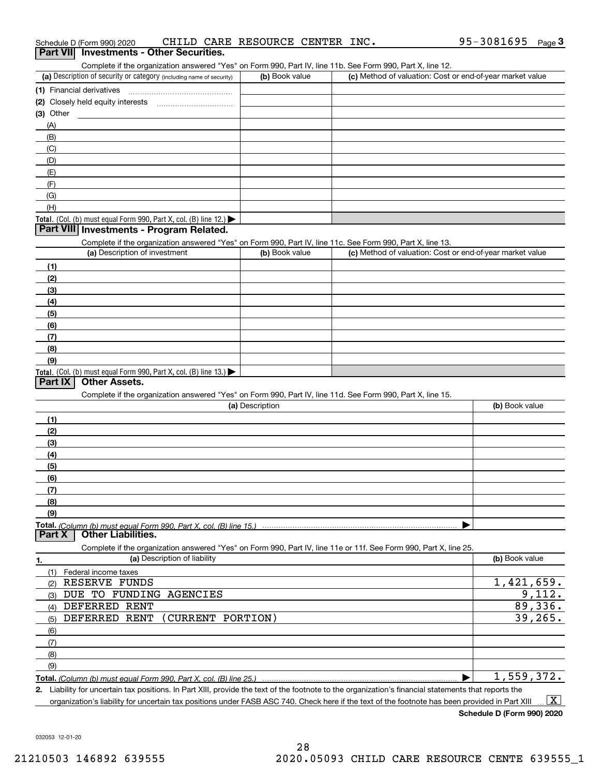| Schedule D (Form 990) 2020                      |  | CHILD CARE RESOURCE CENTER INC. |  | 95-3081695 | $P$ age $3$ |
|-------------------------------------------------|--|---------------------------------|--|------------|-------------|
| <b>Part VII</b> Investments - Other Securities. |  |                                 |  |            |             |

| Part VII Investments - Other Securities.                       |  |  |  |
|----------------------------------------------------------------|--|--|--|
| Complete if the expeniration enoughed "Veal on Form 000 Dart I |  |  |  |

Complete if the organization answered "Yes" on Form 990, Part IV, line 11b. See Form 990, Part X, line 12.

| (a) Description of security or category (including name of security)                          | (b) Book value | (c) Method of valuation: Cost or end-of-year market value |
|-----------------------------------------------------------------------------------------------|----------------|-----------------------------------------------------------|
| (1) Financial derivatives                                                                     |                |                                                           |
| (2) Closely held equity interests                                                             |                |                                                           |
| $(3)$ Other                                                                                   |                |                                                           |
| (A)                                                                                           |                |                                                           |
| (B)                                                                                           |                |                                                           |
| (C)                                                                                           |                |                                                           |
| (D)                                                                                           |                |                                                           |
| (E)                                                                                           |                |                                                           |
|                                                                                               |                |                                                           |
| (G)                                                                                           |                |                                                           |
| (H)                                                                                           |                |                                                           |
| <b>Total.</b> (Col. (b) must equal Form 990, Part X, col. (B) line 12.) $\blacktriangleright$ |                |                                                           |

### **Part VIII Investments - Program Related.**

Complete if the organization answered "Yes" on Form 990, Part IV, line 11c. See Form 990, Part X, line 13.

| (a) Description of investment                                    | (b) Book value | (c) Method of valuation: Cost or end-of-year market value |
|------------------------------------------------------------------|----------------|-----------------------------------------------------------|
| (1)                                                              |                |                                                           |
| (2)                                                              |                |                                                           |
| (3)                                                              |                |                                                           |
| (4)                                                              |                |                                                           |
| (5)                                                              |                |                                                           |
| (6)                                                              |                |                                                           |
| (7)                                                              |                |                                                           |
| (8)                                                              |                |                                                           |
| (9)                                                              |                |                                                           |
| Total. (Col. (b) must equal Form 990, Part X, col. (B) line 13.) |                |                                                           |

## **Part IX Other Assets.**

Complete if the organization answered "Yes" on Form 990, Part IV, line 11d. See Form 990, Part X, line 15.

| (a) Description                                                                                                   | (b) Book value |
|-------------------------------------------------------------------------------------------------------------------|----------------|
| (1)                                                                                                               |                |
| (2)                                                                                                               |                |
| (3)                                                                                                               |                |
| (4)                                                                                                               |                |
| (5)                                                                                                               |                |
| (6)                                                                                                               |                |
| (7)                                                                                                               |                |
| (8)                                                                                                               |                |
| (9)                                                                                                               |                |
|                                                                                                                   |                |
| <b>Other Liabilities.</b><br><b>Part X</b>                                                                        |                |
| Complete if the organization answered "Yes" on Form 990, Part IV, line 11e or 11f. See Form 990, Part X, line 25. |                |
| (a) Description of liability<br>1.                                                                                | (b) Book value |

| Federal income taxes                   |            |
|----------------------------------------|------------|
| RESERVE FUNDS<br>(2)                   | 1,421,659. |
| DUE TO FUNDING AGENCIES<br>(3)         | 9,112.     |
| DEFERRED RENT<br>(4)                   | 89,336.    |
| DEFERRED RENT (CURRENT PORTION)<br>(5) | 39, 265.   |
| (6)                                    |            |
| $\overline{\phantom{a}}$ (7)           |            |
| (8)                                    |            |
| (9)                                    |            |
|                                        | 1,559,372. |

**2.** Liability for uncertain tax positions. In Part XIII, provide the text of the footnote to the organization's financial statements that reports the

organization's liability for uncertain tax positions under FASB ASC 740. Check here if the text of the footnote has been provided in Part XIII  $\boxed{\text{X}}$ 

**Schedule D (Form 990) 2020**

032053 12-01-20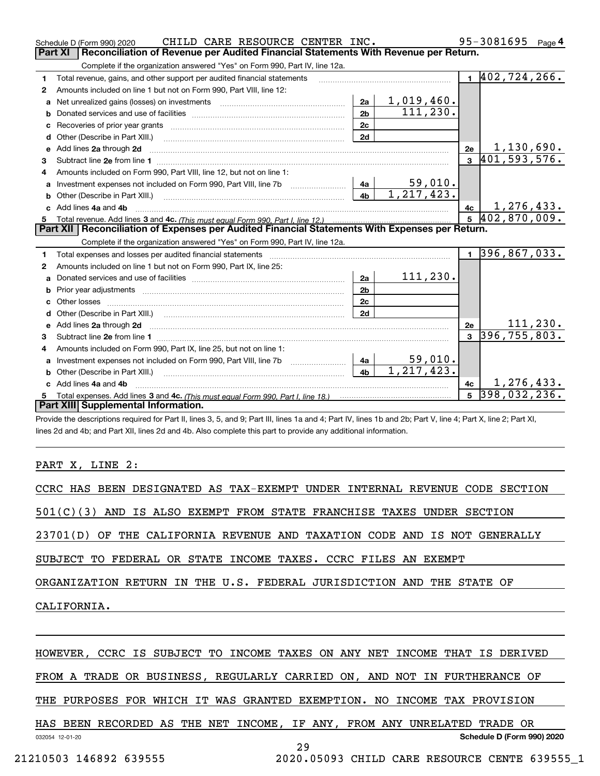|                                                                                                | CHILD CARE RESOURCE CENTER INC.<br>Schedule D (Form 990) 2020                                                                                                                                                                       |                |                         |                | 95-3081695                   | Page $4$  |  |  |
|------------------------------------------------------------------------------------------------|-------------------------------------------------------------------------------------------------------------------------------------------------------------------------------------------------------------------------------------|----------------|-------------------------|----------------|------------------------------|-----------|--|--|
| Part XI<br>Reconciliation of Revenue per Audited Financial Statements With Revenue per Return. |                                                                                                                                                                                                                                     |                |                         |                |                              |           |  |  |
|                                                                                                | Complete if the organization answered "Yes" on Form 990, Part IV, line 12a.                                                                                                                                                         |                |                         |                |                              |           |  |  |
| 1                                                                                              | Total revenue, gains, and other support per audited financial statements                                                                                                                                                            |                |                         |                | $1 \vert 402, 724, 266.$     |           |  |  |
| 2                                                                                              | Amounts included on line 1 but not on Form 990, Part VIII, line 12:                                                                                                                                                                 |                |                         |                |                              |           |  |  |
| a                                                                                              |                                                                                                                                                                                                                                     | 2a             | 1,019,460.              |                |                              |           |  |  |
| b                                                                                              |                                                                                                                                                                                                                                     | 2 <sub>b</sub> | 111, 230.               |                |                              |           |  |  |
| c                                                                                              |                                                                                                                                                                                                                                     | 2c             |                         |                |                              |           |  |  |
|                                                                                                |                                                                                                                                                                                                                                     | 2d             |                         |                |                              |           |  |  |
|                                                                                                | e Add lines 2a through 2d                                                                                                                                                                                                           |                |                         | 2e             | 1,130,690.                   |           |  |  |
| 3                                                                                              |                                                                                                                                                                                                                                     |                |                         |                | $3\overline{401,593,576}$ .  |           |  |  |
| 4                                                                                              | Amounts included on Form 990, Part VIII, line 12, but not on line 1:                                                                                                                                                                |                |                         |                |                              |           |  |  |
|                                                                                                | a Investment expenses not included on Form 990, Part VIII, line 7b [11, 111, 111, 111]                                                                                                                                              | 4a             | $59,010$ .              |                |                              |           |  |  |
|                                                                                                |                                                                                                                                                                                                                                     | 4 <sub>b</sub> | $\overline{1.217,423.}$ |                |                              |           |  |  |
|                                                                                                | c Add lines 4a and 4b                                                                                                                                                                                                               |                |                         | 4c             | 1, 276, 433.                 |           |  |  |
|                                                                                                |                                                                                                                                                                                                                                     |                |                         |                | $5\,$ 402,870,009.           |           |  |  |
|                                                                                                | Part XII   Reconciliation of Expenses per Audited Financial Statements With Expenses per Return.                                                                                                                                    |                |                         |                |                              |           |  |  |
|                                                                                                | Complete if the organization answered "Yes" on Form 990, Part IV, line 12a.                                                                                                                                                         |                |                         |                |                              |           |  |  |
| 1                                                                                              | Total expenses and losses per audited financial statements [11,11] [11] Total expenses and losses per audited financial statements [11] [11] Total expenses and losses per audited financial statements                             |                |                         | $\mathbf{1}$   | $\overline{396, 867, 033}$ . |           |  |  |
| 2                                                                                              | Amounts included on line 1 but not on Form 990, Part IX, line 25:                                                                                                                                                                   |                |                         |                |                              |           |  |  |
| a                                                                                              |                                                                                                                                                                                                                                     | 2a             | 111, 230.               |                |                              |           |  |  |
| b                                                                                              |                                                                                                                                                                                                                                     | 2 <sub>b</sub> |                         |                |                              |           |  |  |
|                                                                                                |                                                                                                                                                                                                                                     | 2c             |                         |                |                              |           |  |  |
| d                                                                                              |                                                                                                                                                                                                                                     | 2d             |                         |                |                              |           |  |  |
| e                                                                                              | Add lines 2a through 2d <b>contained a contained a contained a contained a</b> contained a contained a contained a contained a contained a contained a contained a contained a contained a contained a contained a contained a cont |                |                         | 2e             |                              | 111, 230. |  |  |
| 3                                                                                              |                                                                                                                                                                                                                                     |                |                         | $\mathbf{a}$   | 396, 755, 803.               |           |  |  |
| 4                                                                                              | Amounts included on Form 990, Part IX, line 25, but not on line 1:                                                                                                                                                                  |                |                         |                |                              |           |  |  |
| a                                                                                              | Investment expenses not included on Form 990, Part VIII, line 7b [11, 111, 111, 11]                                                                                                                                                 | 4a             | $59,010$ .              |                |                              |           |  |  |
|                                                                                                |                                                                                                                                                                                                                                     | 4 <sub>h</sub> | 1, 217, 423.            |                |                              |           |  |  |
|                                                                                                | Add lines 4a and 4b                                                                                                                                                                                                                 |                |                         | 4c             | 1,276,433.                   |           |  |  |
| 5.                                                                                             |                                                                                                                                                                                                                                     |                |                         | 5 <sup>5</sup> | 398,032,236.                 |           |  |  |
|                                                                                                | Part XIII Supplemental Information.                                                                                                                                                                                                 |                |                         |                |                              |           |  |  |
|                                                                                                | Provide the descriptions required for Part II, lines 3, 5, and 9; Part III, lines 1a and 4; Part IV, lines 1b and 2b; Part V, line 4; Part X, line 2; Part XI,                                                                      |                |                         |                |                              |           |  |  |

lines 2d and 4b; and Part XII, lines 2d and 4b. Also complete this part to provide any additional information.

### PART X, LINE 2:

| CCRC HAS BEEN DESIGNATED AS TAX-EXEMPT UNDER INTERNAL REVENUE CODE SECTION |
|----------------------------------------------------------------------------|
| 501(C)(3) AND IS ALSO EXEMPT FROM STATE FRANCHISE TAXES UNDER SECTION      |
| 23701(D) OF THE CALIFORNIA REVENUE AND TAXATION CODE AND IS NOT GENERALLY  |
| SUBJECT TO FEDERAL OR STATE INCOME TAXES. CCRC FILES AN EXEMPT             |
| ORGANIZATION RETURN IN THE U.S. FEDERAL JURISDICTION AND THE STATE OF      |
| CALIFORNIA.                                                                |
|                                                                            |
| HOWEVER, CCRC IS SUBJECT TO INCOME TAXES ON ANY NET INCOME THAT IS DERIVED |
| FROM A TRADE OR BUSINESS, REGULARLY CARRIED ON, AND NOT IN FURTHERANCE OF  |

THE PURPOSES FOR WHICH IT WAS GRANTED EXEMPTION. NO INCOME TAX PROVISION

032054 12-01-20 **Schedule D (Form 990) 2020** HAS BEEN RECORDED AS THE NET INCOME, IF ANY, FROM ANY UNRELATED TRADE OR 29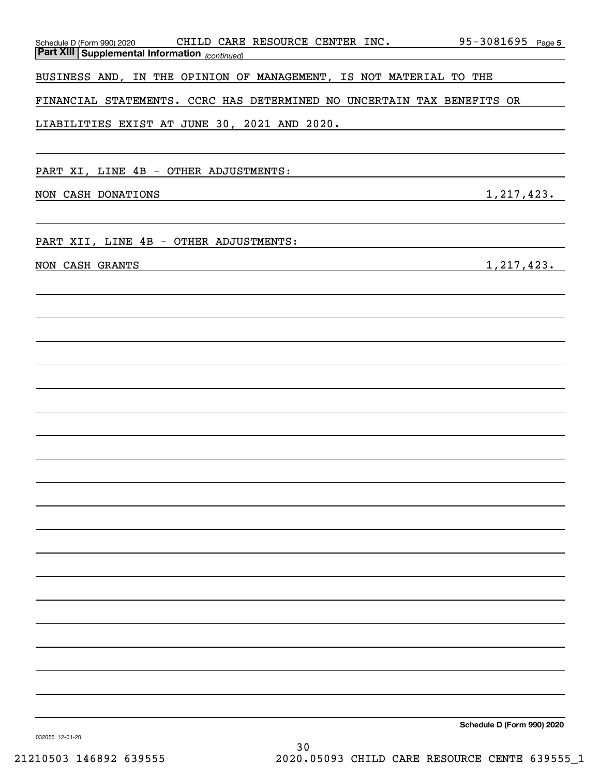| Schedule D (Form 990) 2020 CHILD CARE RESOURCE CENTER INC. 95-3081695 Page 5<br>Part XIII Supplemental Information (continued)         |                                       |
|----------------------------------------------------------------------------------------------------------------------------------------|---------------------------------------|
| BUSINESS AND, IN THE OPINION OF MANAGEMENT, IS NOT MATERIAL TO THE                                                                     |                                       |
| FINANCIAL STATEMENTS. CCRC HAS DETERMINED NO UNCERTAIN TAX BENEFITS OR                                                                 |                                       |
| LIABILITIES EXIST AT JUNE 30, 2021 AND 2020.                                                                                           |                                       |
|                                                                                                                                        |                                       |
| PART XI, LINE 4B - OTHER ADJUSTMENTS:                                                                                                  |                                       |
| NON CASH DONATIONS<br>and the control of the control of the control of the control of the control of the control of the control of the | 1, 217, 423.                          |
|                                                                                                                                        |                                       |
| PART XII, LINE 4B - OTHER ADJUSTMENTS:                                                                                                 | <u> 1980 - John Barn Barn, mars a</u> |
| NON CASH GRANTS                                                                                                                        | 1,217,423.                            |
|                                                                                                                                        |                                       |
|                                                                                                                                        |                                       |
|                                                                                                                                        |                                       |
|                                                                                                                                        |                                       |
|                                                                                                                                        |                                       |
|                                                                                                                                        |                                       |
|                                                                                                                                        |                                       |
|                                                                                                                                        |                                       |
|                                                                                                                                        |                                       |
|                                                                                                                                        |                                       |
|                                                                                                                                        |                                       |
|                                                                                                                                        |                                       |
|                                                                                                                                        |                                       |
|                                                                                                                                        |                                       |
|                                                                                                                                        |                                       |
|                                                                                                                                        |                                       |
|                                                                                                                                        |                                       |
|                                                                                                                                        | Schedule D (Form 990) 2020            |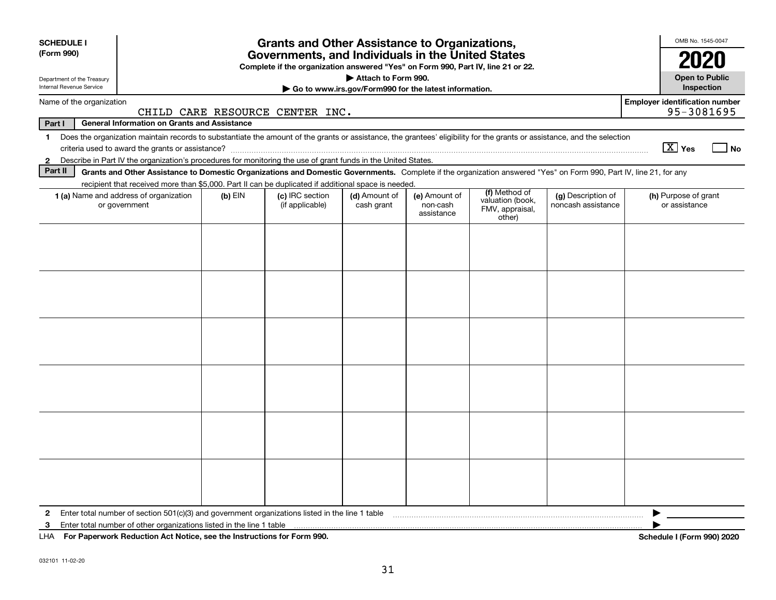| <b>SCHEDULE I</b><br>(Form 990)                                                                                                        | <b>Grants and Other Assistance to Organizations,</b><br>Governments, and Individuals in the United States<br>Complete if the organization answered "Yes" on Form 990, Part IV, line 21 or 22. |           |                                    |                             |                                         |                                               |                                          |                                            |  |
|----------------------------------------------------------------------------------------------------------------------------------------|-----------------------------------------------------------------------------------------------------------------------------------------------------------------------------------------------|-----------|------------------------------------|-----------------------------|-----------------------------------------|-----------------------------------------------|------------------------------------------|--------------------------------------------|--|
| Attach to Form 990.<br>Department of the Treasury<br>Internal Revenue Service<br>Go to www.irs.gov/Form990 for the latest information. |                                                                                                                                                                                               |           |                                    |                             |                                         |                                               |                                          | <b>Open to Public</b><br><b>Inspection</b> |  |
| <b>Employer identification number</b><br>Name of the organization<br>95-3081695<br>CHILD CARE RESOURCE CENTER INC.                     |                                                                                                                                                                                               |           |                                    |                             |                                         |                                               |                                          |                                            |  |
| Part I                                                                                                                                 | <b>General Information on Grants and Assistance</b>                                                                                                                                           |           |                                    |                             |                                         |                                               |                                          |                                            |  |
| $\mathbf{1}$                                                                                                                           | Does the organization maintain records to substantiate the amount of the grants or assistance, the grantees' eligibility for the grants or assistance, and the selection                      |           |                                    |                             |                                         |                                               |                                          | $\boxed{\text{X}}$ Yes<br>No               |  |
| $\mathbf{2}$                                                                                                                           | Describe in Part IV the organization's procedures for monitoring the use of grant funds in the United States.                                                                                 |           |                                    |                             |                                         |                                               |                                          |                                            |  |
| Part II                                                                                                                                | Grants and Other Assistance to Domestic Organizations and Domestic Governments. Complete if the organization answered "Yes" on Form 990, Part IV, line 21, for any                            |           |                                    |                             |                                         |                                               |                                          |                                            |  |
|                                                                                                                                        | recipient that received more than \$5,000. Part II can be duplicated if additional space is needed.                                                                                           |           |                                    |                             |                                         | (f) Method of                                 |                                          |                                            |  |
|                                                                                                                                        | 1 (a) Name and address of organization<br>or government                                                                                                                                       | $(b)$ EIN | (c) IRC section<br>(if applicable) | (d) Amount of<br>cash grant | (e) Amount of<br>non-cash<br>assistance | valuation (book,<br>FMV, appraisal,<br>other) | (g) Description of<br>noncash assistance | (h) Purpose of grant<br>or assistance      |  |
|                                                                                                                                        |                                                                                                                                                                                               |           |                                    |                             |                                         |                                               |                                          |                                            |  |
|                                                                                                                                        |                                                                                                                                                                                               |           |                                    |                             |                                         |                                               |                                          |                                            |  |
|                                                                                                                                        |                                                                                                                                                                                               |           |                                    |                             |                                         |                                               |                                          |                                            |  |
|                                                                                                                                        |                                                                                                                                                                                               |           |                                    |                             |                                         |                                               |                                          |                                            |  |
|                                                                                                                                        |                                                                                                                                                                                               |           |                                    |                             |                                         |                                               |                                          |                                            |  |
|                                                                                                                                        |                                                                                                                                                                                               |           |                                    |                             |                                         |                                               |                                          |                                            |  |
| $\mathbf{2}$                                                                                                                           | Enter total number of section 501(c)(3) and government organizations listed in the line 1 table                                                                                               |           |                                    |                             |                                         |                                               |                                          |                                            |  |
| 3                                                                                                                                      | Enter total number of other organizations listed in the line 1 table                                                                                                                          |           |                                    |                             |                                         |                                               |                                          |                                            |  |
|                                                                                                                                        | LHA For Paperwork Reduction Act Notice, see the Instructions for Form 990.                                                                                                                    |           |                                    |                             |                                         |                                               |                                          | Schedule I (Form 990) 2020                 |  |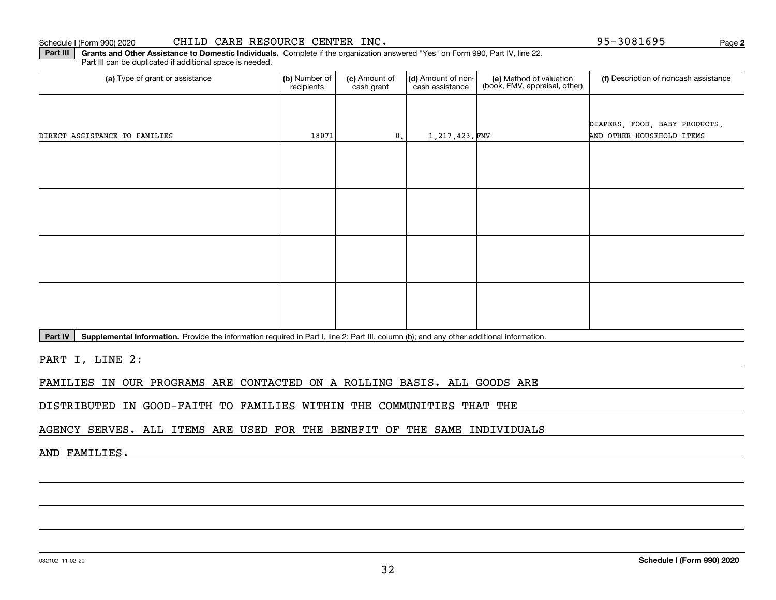## Schedule I (Form 990) 2020  $\tt CHILD-CARE RESOURCE CENTER INC.$   $\tt\to 95-3081695$   $\tt\to 95-3081695$   $\tt\to 95-3081695$

**Part III | Grants and Other Assistance to Domestic Individuals. Complete if the organization answered "Yes" on Form 990, Part IV, line 22.** Part III can be duplicated if additional space is needed.

| (a) Type of grant or assistance | (b) Number of<br>recipients | (c) Amount of<br>cash grant | (d) Amount of non-<br>cash assistance | (e) Method of valuation<br>(book, FMV, appraisal, other) | (f) Description of noncash assistance |
|---------------------------------|-----------------------------|-----------------------------|---------------------------------------|----------------------------------------------------------|---------------------------------------|
|                                 |                             |                             |                                       |                                                          |                                       |
|                                 |                             |                             |                                       |                                                          | DIAPERS, FOOD, BABY PRODUCTS,         |
| DIRECT ASSISTANCE TO FAMILIES   | 18071                       | 0.                          | 1,217,423.FMV                         |                                                          | AND OTHER HOUSEHOLD ITEMS             |
|                                 |                             |                             |                                       |                                                          |                                       |
|                                 |                             |                             |                                       |                                                          |                                       |
|                                 |                             |                             |                                       |                                                          |                                       |
|                                 |                             |                             |                                       |                                                          |                                       |
|                                 |                             |                             |                                       |                                                          |                                       |
|                                 |                             |                             |                                       |                                                          |                                       |
|                                 |                             |                             |                                       |                                                          |                                       |
|                                 |                             |                             |                                       |                                                          |                                       |
|                                 |                             |                             |                                       |                                                          |                                       |
|                                 |                             |                             |                                       |                                                          |                                       |
|                                 |                             |                             |                                       |                                                          |                                       |
|                                 |                             |                             |                                       |                                                          |                                       |
|                                 |                             |                             |                                       |                                                          |                                       |

Part IV | Supplemental Information. Provide the information required in Part I, line 2; Part III, column (b); and any other additional information.

PART I, LINE 2:

FAMILIES IN OUR PROGRAMS ARE CONTACTED ON A ROLLING BASIS. ALL GOODS ARE

DISTRIBUTED IN GOOD-FAITH TO FAMILIES WITHIN THE COMMUNITIES THAT THE

AGENCY SERVES. ALL ITEMS ARE USED FOR THE BENEFIT OF THE SAME INDIVIDUALS

AND FAMILIES.

**2**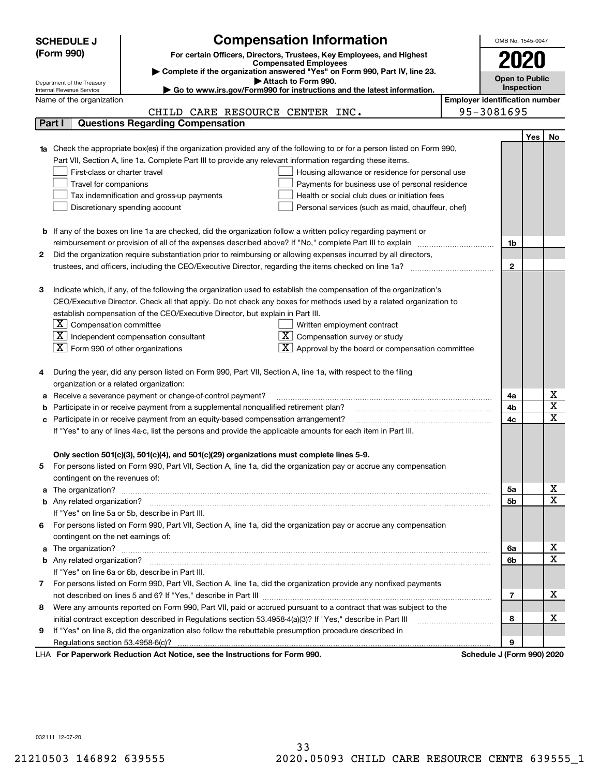|    | <b>SCHEDULE J</b>                                    | <b>Compensation Information</b>                                                                                                                                                                                                     |                                       | OMB No. 1545-0047     |            |                                     |
|----|------------------------------------------------------|-------------------------------------------------------------------------------------------------------------------------------------------------------------------------------------------------------------------------------------|---------------------------------------|-----------------------|------------|-------------------------------------|
|    | (Form 990)                                           | For certain Officers, Directors, Trustees, Key Employees, and Highest                                                                                                                                                               |                                       |                       |            |                                     |
|    |                                                      | <b>Compensated Employees</b>                                                                                                                                                                                                        |                                       |                       |            |                                     |
|    | Department of the Treasury                           | Complete if the organization answered "Yes" on Form 990, Part IV, line 23.<br>Attach to Form 990.                                                                                                                                   |                                       | <b>Open to Public</b> |            |                                     |
|    | Internal Revenue Service                             | Go to www.irs.gov/Form990 for instructions and the latest information.                                                                                                                                                              |                                       |                       | Inspection |                                     |
|    | Name of the organization                             |                                                                                                                                                                                                                                     | <b>Employer identification number</b> |                       |            |                                     |
|    |                                                      | CHILD CARE RESOURCE CENTER INC.                                                                                                                                                                                                     |                                       | 95-3081695            |            |                                     |
|    | Part I                                               | <b>Questions Regarding Compensation</b>                                                                                                                                                                                             |                                       |                       |            |                                     |
|    |                                                      |                                                                                                                                                                                                                                     |                                       |                       | Yes        | No                                  |
|    |                                                      | 1a Check the appropriate box(es) if the organization provided any of the following to or for a person listed on Form 990,                                                                                                           |                                       |                       |            |                                     |
|    |                                                      | Part VII, Section A, line 1a. Complete Part III to provide any relevant information regarding these items.                                                                                                                          |                                       |                       |            |                                     |
|    | First-class or charter travel                        | Housing allowance or residence for personal use                                                                                                                                                                                     |                                       |                       |            |                                     |
|    | Travel for companions                                | Payments for business use of personal residence                                                                                                                                                                                     |                                       |                       |            |                                     |
|    |                                                      | Tax indemnification and gross-up payments<br>Health or social club dues or initiation fees                                                                                                                                          |                                       |                       |            |                                     |
|    |                                                      | Discretionary spending account<br>Personal services (such as maid, chauffeur, chef)                                                                                                                                                 |                                       |                       |            |                                     |
|    |                                                      |                                                                                                                                                                                                                                     |                                       |                       |            |                                     |
|    |                                                      | <b>b</b> If any of the boxes on line 1a are checked, did the organization follow a written policy regarding payment or                                                                                                              |                                       |                       |            |                                     |
| 2  |                                                      | reimbursement or provision of all of the expenses described above? If "No," complete Part III to explain                                                                                                                            |                                       | 1b                    |            |                                     |
|    |                                                      | Did the organization require substantiation prior to reimbursing or allowing expenses incurred by all directors,                                                                                                                    |                                       | $\mathbf 2$           |            |                                     |
|    |                                                      |                                                                                                                                                                                                                                     |                                       |                       |            |                                     |
| З  |                                                      | Indicate which, if any, of the following the organization used to establish the compensation of the organization's                                                                                                                  |                                       |                       |            |                                     |
|    |                                                      | CEO/Executive Director. Check all that apply. Do not check any boxes for methods used by a related organization to                                                                                                                  |                                       |                       |            |                                     |
|    |                                                      | establish compensation of the CEO/Executive Director, but explain in Part III.                                                                                                                                                      |                                       |                       |            |                                     |
|    | $\lfloor \texttt{X} \rfloor$ Compensation committee  | Written employment contract                                                                                                                                                                                                         |                                       |                       |            |                                     |
|    |                                                      | $ \mathbf{X} $ Independent compensation consultant<br>$X$ Compensation survey or study                                                                                                                                              |                                       |                       |            |                                     |
|    | $\boxed{\textbf{X}}$ Form 990 of other organizations | Approval by the board or compensation committee                                                                                                                                                                                     |                                       |                       |            |                                     |
|    |                                                      |                                                                                                                                                                                                                                     |                                       |                       |            |                                     |
|    |                                                      | During the year, did any person listed on Form 990, Part VII, Section A, line 1a, with respect to the filing                                                                                                                        |                                       |                       |            |                                     |
|    | organization or a related organization:              |                                                                                                                                                                                                                                     |                                       |                       |            |                                     |
|    |                                                      | Receive a severance payment or change-of-control payment?                                                                                                                                                                           |                                       | 4a                    |            | х                                   |
|    |                                                      | Participate in or receive payment from a supplemental nonqualified retirement plan?                                                                                                                                                 |                                       | 4b                    |            | $\overline{\mathtt{x}}$             |
| c  |                                                      | Participate in or receive payment from an equity-based compensation arrangement?                                                                                                                                                    |                                       | 4c                    |            | $\overline{\mathbf{x}}$             |
|    |                                                      | If "Yes" to any of lines 4a-c, list the persons and provide the applicable amounts for each item in Part III.                                                                                                                       |                                       |                       |            |                                     |
|    |                                                      |                                                                                                                                                                                                                                     |                                       |                       |            |                                     |
|    |                                                      | Only section 501(c)(3), 501(c)(4), and 501(c)(29) organizations must complete lines 5-9.                                                                                                                                            |                                       |                       |            |                                     |
| 5  |                                                      | For persons listed on Form 990, Part VII, Section A, line 1a, did the organization pay or accrue any compensation                                                                                                                   |                                       |                       |            |                                     |
|    | contingent on the revenues of:                       |                                                                                                                                                                                                                                     |                                       |                       |            |                                     |
|    |                                                      | a The organization? <b>Entitation</b> 2008 Communication of the contract of the contract of the contract of the contract of the contract of the contract of the contract of the contract of the contract of the contract of the con |                                       | 5а                    |            | <u>x</u><br>$\overline{\mathbf{x}}$ |
|    |                                                      |                                                                                                                                                                                                                                     |                                       | 5b                    |            |                                     |
|    |                                                      | If "Yes" on line 5a or 5b, describe in Part III.                                                                                                                                                                                    |                                       |                       |            |                                     |
| 6. | contingent on the net earnings of:                   | For persons listed on Form 990, Part VII, Section A, line 1a, did the organization pay or accrue any compensation                                                                                                                   |                                       |                       |            |                                     |
|    |                                                      |                                                                                                                                                                                                                                     |                                       | 6a                    |            | <u>x</u>                            |
|    |                                                      |                                                                                                                                                                                                                                     |                                       | 6b                    |            | $\overline{\textbf{x}}$             |
|    |                                                      | If "Yes" on line 6a or 6b, describe in Part III.                                                                                                                                                                                    |                                       |                       |            |                                     |
|    |                                                      | 7 For persons listed on Form 990, Part VII, Section A, line 1a, did the organization provide any nonfixed payments                                                                                                                  |                                       |                       |            |                                     |
|    |                                                      |                                                                                                                                                                                                                                     |                                       | 7                     |            | х                                   |
| 8  |                                                      | Were any amounts reported on Form 990, Part VII, paid or accrued pursuant to a contract that was subject to the                                                                                                                     |                                       |                       |            |                                     |
|    |                                                      | initial contract exception described in Regulations section 53.4958-4(a)(3)? If "Yes," describe in Part III                                                                                                                         |                                       | 8                     |            | х                                   |
| 9  |                                                      | If "Yes" on line 8, did the organization also follow the rebuttable presumption procedure described in                                                                                                                              |                                       |                       |            |                                     |
|    |                                                      |                                                                                                                                                                                                                                     |                                       | 9                     |            |                                     |
|    |                                                      | duction Act Notice, and the Instructions for Form 000                                                                                                                                                                               |                                       |                       |            |                                     |

LHA For Paperwork Reduction Act Notice, see the Instructions for Form 990. Schedule J (Form 990) 2020

032111 12-07-20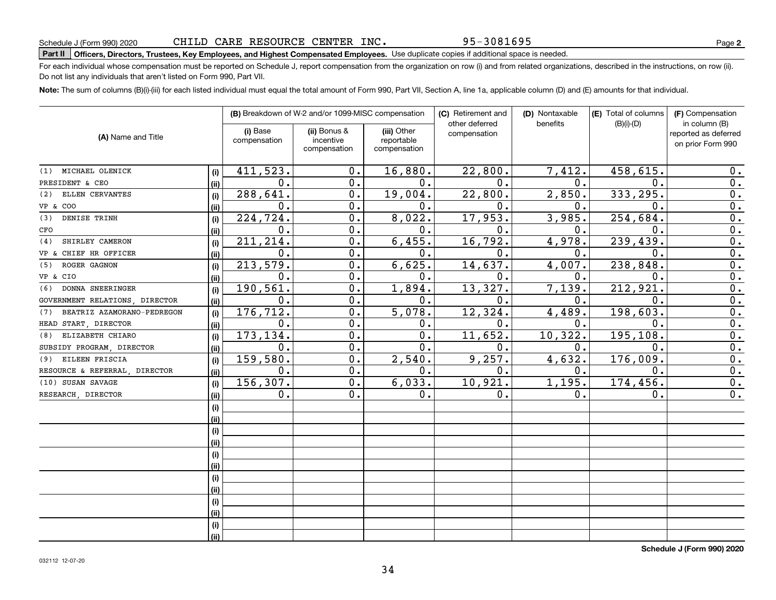032112 12-07-20

| (1) MICHAEL OLENICK            | (i)  | 411,523.      | 0.               | 16,880.          | 22,800.       | 7,412.        | 458,615.      | 0.               |
|--------------------------------|------|---------------|------------------|------------------|---------------|---------------|---------------|------------------|
| PRESIDENT & CEO                | (ii) | 0.            | 0.               | $0$ .            | 0.            | $\mathbf 0$ . | 0.            | 0.               |
| (2) ELLEN CERVANTES            | (i)  | 288,641.      | 0.               | 19,004.          | 22,800.       | 2,850.        | 333,295.      | 0.               |
| VP & COO                       | (i)  | 0.            | $0$ .            | 0.               | 0.            | О.            | 0.            | 0.               |
| DENISE TRINH<br>(3)            | (i)  | 224, 724.     | $\overline{0}$ . | 8,022.           | 17,953.       | 3,985.        | 254,684.      | $\overline{0}$ . |
| CFO                            | (ii) | 0.            | 0.               | 0.               | $\mathbf 0$ . | 0.            | 0.            | $\overline{0}$ . |
| (4) SHIRLEY CAMERON            | (i)  | 211, 214.     | 0.               | 6,455.           | 16,792.       | 4,978.        | 239,439.      | $\mathbf 0$ .    |
| VP & CHIEF HR OFFICER          | (ii) | 0.            | 0.               | 0.               | 0.            | 0.            | 0.            | $\overline{0}$ . |
| (5) ROGER GAGNON               | (i)  | 213,579.      | 0.               | 6,625.           | 14,637.       | 4,007.        | 238,848.      | $\overline{0}$ . |
| VP & CIO                       | (ii) | 0.            | 0.               | 0.               | 0.            | 0.            | 0.            | 0.               |
| (6) DONNA SNEERINGER           | (i)  | 190,561.      | 0.               | 1,894.           | 13,327.       | 7,139.        | 212,921.      | $\overline{0}$ . |
| GOVERNMENT RELATIONS, DIRECTOR | (i)  | 0.            | 0.               | 0.               | 0.            | 0.            | $0$ .         | $\overline{0}$ . |
| (7) BEATRIZ AZAMORANO-PEDREGON | (i)  | 176,712.      | $\mathbf 0$ .    | 5,078.           | 12,324.       | 4,489.        | 198,603.      | $\overline{0}$ . |
| HEAD START, DIRECTOR           | (ii) | $\mathbf 0$ . | 0.               | Ο.               | 0.            | 0.            | 0.            | 0.               |
| (8) ELIZABETH CHIARO           | (i)  | 173,134.      | 0.               | 0.               | 11,652.       | 10, 322.      | 195,108.      | $\overline{0}$ . |
| SUBSIDY PROGRAM, DIRECTOR      | (ii) | 0.            | 0.               | $0$ .            | 0.            | 0.            | 0.            | 0.               |
| (9) EILEEN FRISCIA             | (i)  | 159,580.      | 0.               | 2,540.           | 9,257.        | 4,632.        | 176,009.      | $\overline{0}$ . |
| RESOURCE & REFERRAL, DIRECTOR  | (i)  | 0.            | 0.               | $\mathfrak{o}$ . | 0.            | $\mathbf 0$ . | $\mathbf 0$ . | $\overline{0}$ . |
| (10) SUSAN SAVAGE              | (i)  | 156,307.      | 0.               | 6,033.           | 10,921.       | 1,195.        | 174,456.      | $\overline{0}$ . |
| RESEARCH, DIRECTOR             | (ii) | 0.            | 0.               | 0.               | 0.            | Ο.            | 0.            | $\mathbf 0$ .    |
|                                | (i)  |               |                  |                  |               |               |               |                  |
|                                | (ii) |               |                  |                  |               |               |               |                  |
|                                | (i)  |               |                  |                  |               |               |               |                  |
|                                | (i)  |               |                  |                  |               |               |               |                  |
|                                | (i)  |               |                  |                  |               |               |               |                  |
|                                | (i)  |               |                  |                  |               |               |               |                  |
|                                | (i)  |               |                  |                  |               |               |               |                  |
|                                | (ii) |               |                  |                  |               |               |               |                  |
|                                | (i)  |               |                  |                  |               |               |               |                  |
|                                | (ii) |               |                  |                  |               |               |               |                  |

### For each individual whose compensation must be reported on Schedule J, report compensation from the organization on row (i) and from related organizations, described in the instructions, on row (ii). Do not list any individuals that aren't listed on Form 990, Part VII.

**(i)** Base **| (ii)** Bonus & **| (iii)** 

incentivecompensation

(i) Base compensation

**Note:**  The sum of columns (B)(i)-(iii) for each listed individual must equal the total amount of Form 990, Part VII, Section A, line 1a, applicable column (D) and (E) amounts for that individual.

(iii) Other reportablecompensation

**(B)** Breakdown of W-2 and/or 1099-MISC compensation | **(C)** Retirement and | **(D)** Nontaxable |**(E)** Total of columns | **(F)** 

other deferred compensation

95-3081695

(D) Nontaxable benefits

 $|E|$  Total of columns (B)(i)-(D)

**Part II Officers, Directors, Trustees, Key Employees, and Highest Compensated Employees.**  Schedule J (Form 990) 2020 Page Use duplicate copies if additional space is needed. CHILD CARE RESOURCE CENTER INC.

**(A)**  Name and Title

**(i) (ii)**

**Schedule J (Form 990) 2020**

**2**

(F) Compensation in column (B) reported as deferred on prior Form 990

34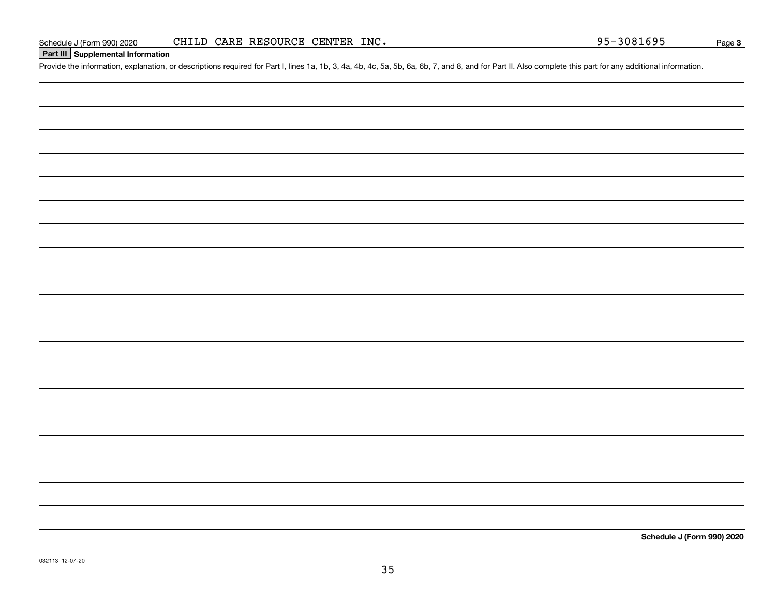### **Part III Supplemental Information**

Schedule J (Form 990) 2020 CHILD CARE RESOURCE CENTER INC.<br>Part III Supplemental Information<br>Provide the information, explanation, or descriptions required for Part I, lines 1a, 1b, 3, 4a, 4b, 4c, 5a, 5b, 6a, 6b, 7, and 8,

**Schedule J (Form 990) 2020**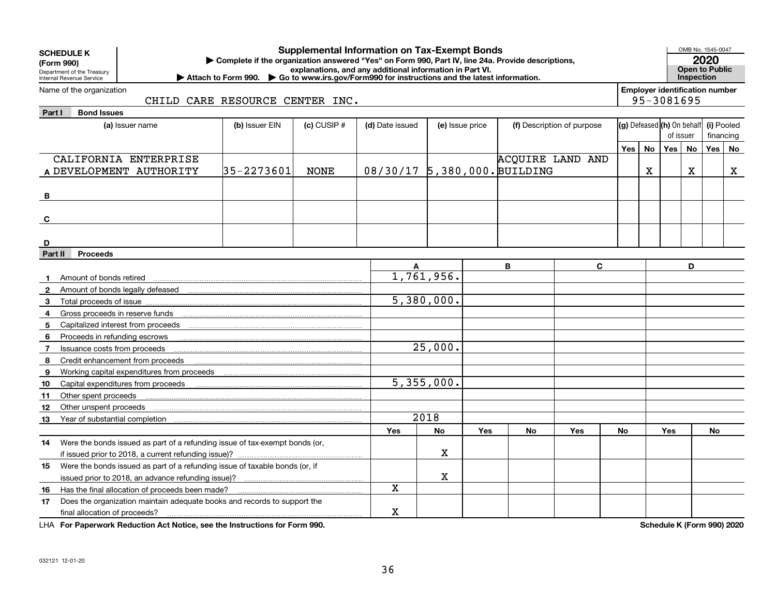|              | <b>Supplemental Information on Tax-Exempt Bonds</b><br><b>SCHEDULE K</b><br>Complete if the organization answered "Yes" on Form 990, Part IV, line 24a. Provide descriptions,<br>(Form 990)<br>explanations, and any additional information in Part VI.<br>Department of the Treasury<br>Attach to Form 990. Co to www.irs.gov/Form990 for instructions and the latest information.<br>Internal Revenue Service |                |                 |                              |                 |     |                         |                            |     | OMB No. 1545-0047<br>Open to Public<br>Inspection | 2020       |                                          |           |             |
|--------------|-----------------------------------------------------------------------------------------------------------------------------------------------------------------------------------------------------------------------------------------------------------------------------------------------------------------------------------------------------------------------------------------------------------------|----------------|-----------------|------------------------------|-----------------|-----|-------------------------|----------------------------|-----|---------------------------------------------------|------------|------------------------------------------|-----------|-------------|
|              | <b>Employer identification number</b><br>Name of the organization<br>95-3081695<br>CHILD CARE RESOURCE CENTER INC.                                                                                                                                                                                                                                                                                              |                |                 |                              |                 |     |                         |                            |     |                                                   |            |                                          |           |             |
| Part I       | <b>Bond Issues</b>                                                                                                                                                                                                                                                                                                                                                                                              |                |                 |                              |                 |     |                         |                            |     |                                                   |            |                                          |           |             |
|              | (a) Issuer name                                                                                                                                                                                                                                                                                                                                                                                                 | (b) Issuer EIN | $(c)$ CUSIP $#$ | (d) Date issued              | (e) Issue price |     |                         | (f) Description of purpose |     |                                                   |            | (g) Defeased (h) On behalf<br>(i) Pooled |           |             |
|              |                                                                                                                                                                                                                                                                                                                                                                                                                 |                |                 |                              |                 |     |                         |                            |     |                                                   | of issuer  |                                          | financing |             |
|              |                                                                                                                                                                                                                                                                                                                                                                                                                 |                |                 |                              |                 |     |                         |                            | Yes | No                                                | Yes No     |                                          | Yes       | l No        |
|              | CALIFORNIA ENTERPRISE                                                                                                                                                                                                                                                                                                                                                                                           |                |                 |                              |                 |     | <b>ACOUIRE LAND AND</b> |                            |     |                                                   |            |                                          |           |             |
|              | A DEVELOPMENT AUTHORITY                                                                                                                                                                                                                                                                                                                                                                                         | $35 - 2273601$ | <b>NONE</b>     | 08/30/17 5,380,000. BUILDING |                 |     |                         |                            |     | X                                                 |            | X                                        |           | $\mathbf X$ |
| В            |                                                                                                                                                                                                                                                                                                                                                                                                                 |                |                 |                              |                 |     |                         |                            |     |                                                   |            |                                          |           |             |
| C            |                                                                                                                                                                                                                                                                                                                                                                                                                 |                |                 |                              |                 |     |                         |                            |     |                                                   |            |                                          |           |             |
|              |                                                                                                                                                                                                                                                                                                                                                                                                                 |                |                 |                              |                 |     |                         |                            |     |                                                   |            |                                          |           |             |
| D            |                                                                                                                                                                                                                                                                                                                                                                                                                 |                |                 |                              |                 |     |                         |                            |     |                                                   |            |                                          |           |             |
| Part II      | <b>Proceeds</b>                                                                                                                                                                                                                                                                                                                                                                                                 |                |                 |                              |                 |     |                         |                            |     |                                                   |            |                                          |           |             |
|              |                                                                                                                                                                                                                                                                                                                                                                                                                 |                |                 |                              |                 |     | B                       | $\mathbf{C}$               |     |                                                   |            | D                                        |           |             |
| $\mathbf 1$  | Amount of bonds retired                                                                                                                                                                                                                                                                                                                                                                                         |                |                 |                              | 1,761,956.      |     |                         |                            |     |                                                   |            |                                          |           |             |
| $\mathbf{2}$ |                                                                                                                                                                                                                                                                                                                                                                                                                 |                |                 |                              |                 |     |                         |                            |     |                                                   |            |                                          |           |             |
| 3            | Total proceeds of issue                                                                                                                                                                                                                                                                                                                                                                                         |                |                 |                              | 5,380,000.      |     |                         |                            |     |                                                   |            |                                          |           |             |
| 4            |                                                                                                                                                                                                                                                                                                                                                                                                                 |                |                 |                              |                 |     |                         |                            |     |                                                   |            |                                          |           |             |
| 5            | Capitalized interest from proceeds                                                                                                                                                                                                                                                                                                                                                                              |                |                 |                              |                 |     |                         |                            |     |                                                   |            |                                          |           |             |
| 6            | Proceeds in refunding escrows                                                                                                                                                                                                                                                                                                                                                                                   |                |                 |                              |                 |     |                         |                            |     |                                                   |            |                                          |           |             |
| 7            | Issuance costs from proceeds                                                                                                                                                                                                                                                                                                                                                                                    |                |                 |                              | 25,000.         |     |                         |                            |     |                                                   |            |                                          |           |             |
| 8            | Credit enhancement from proceeds                                                                                                                                                                                                                                                                                                                                                                                |                |                 |                              |                 |     |                         |                            |     |                                                   |            |                                          |           |             |
| 9            |                                                                                                                                                                                                                                                                                                                                                                                                                 |                |                 |                              |                 |     |                         |                            |     |                                                   |            |                                          |           |             |
| 10           | Capital expenditures from proceeds                                                                                                                                                                                                                                                                                                                                                                              |                |                 |                              | 5,355,000.      |     |                         |                            |     |                                                   |            |                                          |           |             |
| 11           | Other spent proceeds                                                                                                                                                                                                                                                                                                                                                                                            |                |                 |                              |                 |     |                         |                            |     |                                                   |            |                                          |           |             |
| 12           | Other unspent proceeds                                                                                                                                                                                                                                                                                                                                                                                          |                |                 |                              |                 |     |                         |                            |     |                                                   |            |                                          |           |             |
| 13           | Year of substantial completion                                                                                                                                                                                                                                                                                                                                                                                  |                |                 |                              | 2018            |     |                         |                            |     |                                                   |            |                                          |           |             |
|              |                                                                                                                                                                                                                                                                                                                                                                                                                 |                |                 | Yes                          | <b>No</b>       | Yes | No                      | Yes                        | No  |                                                   | <b>Yes</b> |                                          | No        |             |
| 14           | Were the bonds issued as part of a refunding issue of tax-exempt bonds (or,                                                                                                                                                                                                                                                                                                                                     |                |                 |                              |                 |     |                         |                            |     |                                                   |            |                                          |           |             |
|              |                                                                                                                                                                                                                                                                                                                                                                                                                 |                |                 |                              | x               |     |                         |                            |     |                                                   |            |                                          |           |             |
| 15           | Were the bonds issued as part of a refunding issue of taxable bonds (or, if                                                                                                                                                                                                                                                                                                                                     |                |                 |                              |                 |     |                         |                            |     |                                                   |            |                                          |           |             |
|              | issued prior to 2018, an advance refunding issue)?                                                                                                                                                                                                                                                                                                                                                              |                |                 |                              | x.              |     |                         |                            |     |                                                   |            |                                          |           |             |
| 16           | Has the final allocation of proceeds been made?                                                                                                                                                                                                                                                                                                                                                                 |                |                 | X                            |                 |     |                         |                            |     |                                                   |            |                                          |           |             |
| 17           | Does the organization maintain adequate books and records to support the                                                                                                                                                                                                                                                                                                                                        |                |                 |                              |                 |     |                         |                            |     |                                                   |            |                                          |           |             |
|              | final allocation of proceeds?                                                                                                                                                                                                                                                                                                                                                                                   |                |                 | x                            |                 |     |                         |                            |     |                                                   |            |                                          |           |             |

**For Paperwork Reduction Act Notice, see the Instructions for Form 990. Schedule K (Form 990) 2020** LHA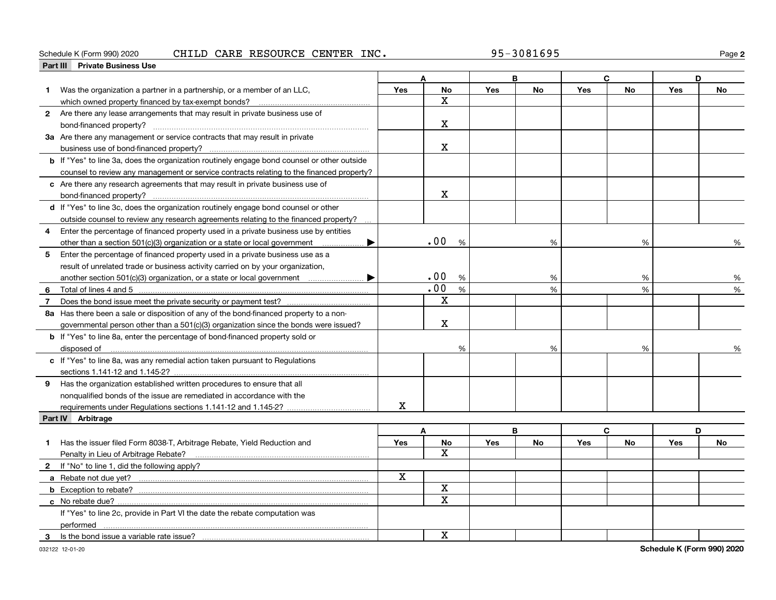### Schedule K (Form 990) 2020 CHILD CARE RESOURCE CENTER INC • 95-3081695 Page

**2**

|              | <b>Private Business Use</b><br>Part III                                                     |     |              |            |           |            |           |            |           |
|--------------|---------------------------------------------------------------------------------------------|-----|--------------|------------|-----------|------------|-----------|------------|-----------|
|              |                                                                                             |     |              |            | B         |            | C         | D          |           |
|              | Was the organization a partner in a partnership, or a member of an LLC,                     | Yes | No           | <b>Yes</b> | <b>No</b> | <b>Yes</b> | <b>No</b> | <b>Yes</b> | <b>No</b> |
|              |                                                                                             |     | X.           |            |           |            |           |            |           |
|              | 2 Are there any lease arrangements that may result in private business use of               |     |              |            |           |            |           |            |           |
|              |                                                                                             |     | x            |            |           |            |           |            |           |
|              | 3a Are there any management or service contracts that may result in private                 |     |              |            |           |            |           |            |           |
|              |                                                                                             |     | $\mathbf X$  |            |           |            |           |            |           |
|              | b If "Yes" to line 3a, does the organization routinely engage bond counsel or other outside |     |              |            |           |            |           |            |           |
|              | counsel to review any management or service contracts relating to the financed property?    |     |              |            |           |            |           |            |           |
|              | c Are there any research agreements that may result in private business use of              |     |              |            |           |            |           |            |           |
|              |                                                                                             |     | $\mathbf{x}$ |            |           |            |           |            |           |
|              | d If "Yes" to line 3c, does the organization routinely engage bond counsel or other         |     |              |            |           |            |           |            |           |
|              | outside counsel to review any research agreements relating to the financed property?        |     |              |            |           |            |           |            |           |
|              | Enter the percentage of financed property used in a private business use by entities        |     |              |            |           |            |           |            |           |
|              | other than a section 501(c)(3) organization or a state or local government                  |     | .00<br>%     |            | %         |            | %         |            | %         |
|              | 5 Enter the percentage of financed property used in a private business use as a             |     |              |            |           |            |           |            |           |
|              | result of unrelated trade or business activity carried on by your organization,             |     |              |            |           |            |           |            |           |
|              | another section 501(c)(3) organization, or a state or local government                      |     | .00<br>%     |            | %         |            | %         |            | %         |
| 6            |                                                                                             |     | .00<br>%     |            | %         |            | %         |            | %         |
| $\mathbf{7}$ |                                                                                             |     | X            |            |           |            |           |            |           |
|              | 8a Has there been a sale or disposition of any of the bond-financed property to a non-      |     |              |            |           |            |           |            |           |
|              | governmental person other than a 501(c)(3) organization since the bonds were issued?        |     | $\mathbf X$  |            |           |            |           |            |           |
|              | <b>b</b> If "Yes" to line 8a, enter the percentage of bond-financed property sold or        |     |              |            |           |            |           |            |           |
|              | disposed of <u>www.communications.communications.communications.com</u>                     |     | %            |            | %         |            | %         |            |           |
|              | c If "Yes" to line 8a, was any remedial action taken pursuant to Regulations                |     |              |            |           |            |           |            |           |
|              |                                                                                             |     |              |            |           |            |           |            |           |
|              | 9 Has the organization established written procedures to ensure that all                    |     |              |            |           |            |           |            |           |
|              | nonqualified bonds of the issue are remediated in accordance with the                       |     |              |            |           |            |           |            |           |
|              |                                                                                             | x   |              |            |           |            |           |            |           |
|              | Part IV Arbitrage                                                                           |     |              |            |           |            |           |            |           |
|              |                                                                                             |     | A            |            | B         | C.         |           | D          |           |
| 1.           | Has the issuer filed Form 8038-T, Arbitrage Rebate, Yield Reduction and                     | Yes | No           | Yes        | <b>No</b> | Yes        | <b>No</b> | <b>Yes</b> | <b>No</b> |
|              | Penalty in Lieu of Arbitrage Rebate?                                                        |     | $\mathbf{x}$ |            |           |            |           |            |           |
|              | 2 If "No" to line 1, did the following apply?                                               |     |              |            |           |            |           |            |           |
|              |                                                                                             | x   |              |            |           |            |           |            |           |
|              |                                                                                             |     | X            |            |           |            |           |            |           |
|              | c No rebate due?.                                                                           |     | X            |            |           |            |           |            |           |
|              | If "Yes" to line 2c, provide in Part VI the date the rebate computation was                 |     |              |            |           |            |           |            |           |
|              | performed                                                                                   |     |              |            |           |            |           |            |           |
|              | 3 Is the bond issue a variable rate issue?                                                  |     | x            |            |           |            |           |            |           |
|              |                                                                                             |     |              |            |           |            |           |            |           |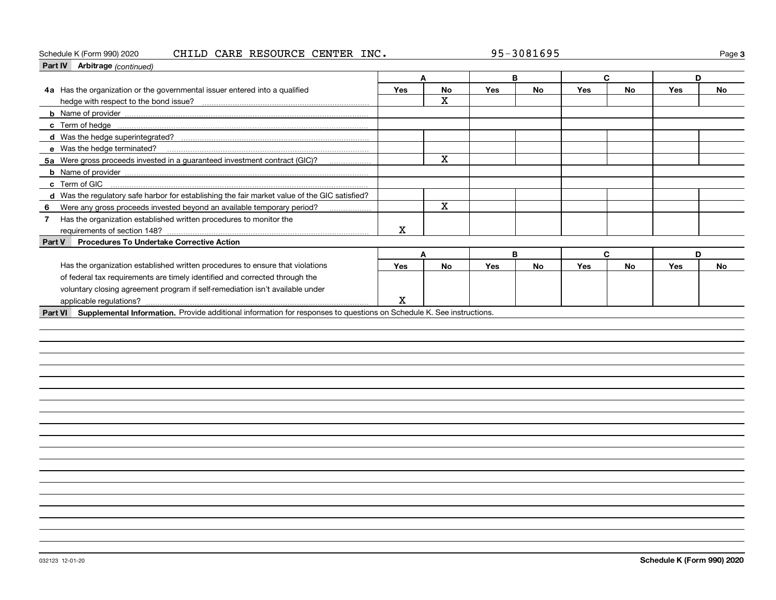### Schedule K (Form 990) 2020 CHILD CARE RESOURCE CENTER INC • 95-3081695 Page

| Part IV Arbitrage (continued)                                                                                                          |     |              |     |           |     |           |            |           |
|----------------------------------------------------------------------------------------------------------------------------------------|-----|--------------|-----|-----------|-----|-----------|------------|-----------|
|                                                                                                                                        |     | A            |     | B         |     | C         |            | D         |
| 4a Has the organization or the governmental issuer entered into a qualified                                                            | Yes | <b>No</b>    | Yes | <b>No</b> | Yes | <b>No</b> | <b>Yes</b> | <b>No</b> |
|                                                                                                                                        |     | $\mathbf{x}$ |     |           |     |           |            |           |
|                                                                                                                                        |     |              |     |           |     |           |            |           |
|                                                                                                                                        |     |              |     |           |     |           |            |           |
|                                                                                                                                        |     |              |     |           |     |           |            |           |
| e Was the hedge terminated?                                                                                                            |     |              |     |           |     |           |            |           |
| 5a Were gross proceeds invested in a guaranteed investment contract (GIC)?                                                             |     | $\mathbf x$  |     |           |     |           |            |           |
|                                                                                                                                        |     |              |     |           |     |           |            |           |
| c Term of GIC                                                                                                                          |     |              |     |           |     |           |            |           |
| d Was the regulatory safe harbor for establishing the fair market value of the GIC satisfied?                                          |     |              |     |           |     |           |            |           |
| Were any gross proceeds invested beyond an available temporary period?<br>6<br>.                                                       |     | X            |     |           |     |           |            |           |
| Has the organization established written procedures to monitor the<br>$\overline{7}$                                                   |     |              |     |           |     |           |            |           |
|                                                                                                                                        | х   |              |     |           |     |           |            |           |
| <b>Procedures To Undertake Corrective Action</b><br>Part V                                                                             |     |              |     |           |     |           |            |           |
|                                                                                                                                        |     | A            |     | B         |     | C         |            | D         |
| Has the organization established written procedures to ensure that violations                                                          | Yes | <b>No</b>    | Yes | <b>No</b> | Yes | <b>No</b> | <b>Yes</b> | <b>No</b> |
| of federal tax requirements are timely identified and corrected through the                                                            |     |              |     |           |     |           |            |           |
| voluntary closing agreement program if self-remediation isn't available under                                                          |     |              |     |           |     |           |            |           |
| applicable regulations?                                                                                                                | X   |              |     |           |     |           |            |           |
| Supplemental Information. Provide additional information for responses to questions on Schedule K. See instructions.<br><b>Part VI</b> |     |              |     |           |     |           |            |           |
|                                                                                                                                        |     |              |     |           |     |           |            |           |
|                                                                                                                                        |     |              |     |           |     |           |            |           |
|                                                                                                                                        |     |              |     |           |     |           |            |           |
|                                                                                                                                        |     |              |     |           |     |           |            |           |
|                                                                                                                                        |     |              |     |           |     |           |            |           |
|                                                                                                                                        |     |              |     |           |     |           |            |           |
|                                                                                                                                        |     |              |     |           |     |           |            |           |
|                                                                                                                                        |     |              |     |           |     |           |            |           |
|                                                                                                                                        |     |              |     |           |     |           |            |           |
|                                                                                                                                        |     |              |     |           |     |           |            |           |
|                                                                                                                                        |     |              |     |           |     |           |            |           |
|                                                                                                                                        |     |              |     |           |     |           |            |           |
|                                                                                                                                        |     |              |     |           |     |           |            |           |
|                                                                                                                                        |     |              |     |           |     |           |            |           |
|                                                                                                                                        |     |              |     |           |     |           |            |           |

**3**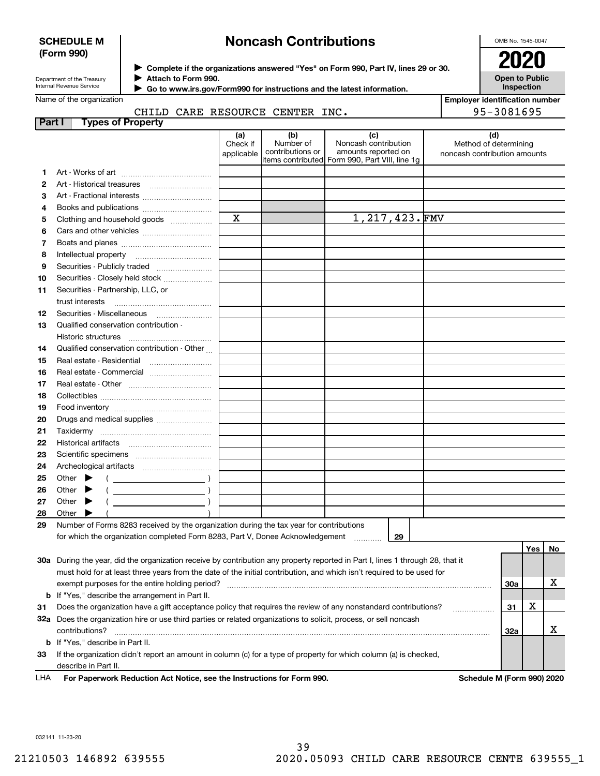### **SCHEDULE M (Form 990)**

# **Noncash Contributions**

OMB No. 1545-0047

**Open to Public Inspection**

**Employer identification number**

95-3081695

| Department of the Treasury |
|----------------------------|
| Internal Revenue Service   |

**Complete if the organizations answered "Yes" on Form 990, Part IV, lines 29 or 30.** <sup>J</sup>**2020**

**Attach to Form 990.** J

 **Go to www.irs.gov/Form990 for instructions and the latest information.** J

### Name of the organization

## CHILD CARE RESOURCE CENTER INC.

| <b>Part I</b> | <b>Types of Property</b>                                                                                                       |                        |                               |                                                |                                                       |     |     |    |
|---------------|--------------------------------------------------------------------------------------------------------------------------------|------------------------|-------------------------------|------------------------------------------------|-------------------------------------------------------|-----|-----|----|
|               |                                                                                                                                | (a)                    | (b)                           | (c)                                            | (d)                                                   |     |     |    |
|               |                                                                                                                                | Check if<br>applicable | Number of<br>contributions or | Noncash contribution<br>amounts reported on    | Method of determining<br>noncash contribution amounts |     |     |    |
|               |                                                                                                                                |                        |                               | items contributed Form 990, Part VIII, line 1g |                                                       |     |     |    |
| 1.            |                                                                                                                                |                        |                               |                                                |                                                       |     |     |    |
| 2             |                                                                                                                                |                        |                               |                                                |                                                       |     |     |    |
| з             | Art - Fractional interests                                                                                                     |                        |                               |                                                |                                                       |     |     |    |
| 4             | Books and publications                                                                                                         |                        |                               |                                                |                                                       |     |     |    |
| 5             | Clothing and household goods                                                                                                   | $\mathbf X$            |                               | 1,217,423.FMV                                  |                                                       |     |     |    |
| 6             |                                                                                                                                |                        |                               |                                                |                                                       |     |     |    |
| 7             |                                                                                                                                |                        |                               |                                                |                                                       |     |     |    |
| 8             |                                                                                                                                |                        |                               |                                                |                                                       |     |     |    |
| 9             | Securities - Publicly traded                                                                                                   |                        |                               |                                                |                                                       |     |     |    |
| 10            | Securities - Closely held stock                                                                                                |                        |                               |                                                |                                                       |     |     |    |
| 11            | Securities - Partnership, LLC, or                                                                                              |                        |                               |                                                |                                                       |     |     |    |
|               | trust interests                                                                                                                |                        |                               |                                                |                                                       |     |     |    |
| 12            | Securities - Miscellaneous                                                                                                     |                        |                               |                                                |                                                       |     |     |    |
| 13            | Qualified conservation contribution -                                                                                          |                        |                               |                                                |                                                       |     |     |    |
|               | <b>Historic structures</b>                                                                                                     |                        |                               |                                                |                                                       |     |     |    |
| 14            | Qualified conservation contribution - Other                                                                                    |                        |                               |                                                |                                                       |     |     |    |
| 15            | Real estate - Residential                                                                                                      |                        |                               |                                                |                                                       |     |     |    |
| 16            | Real estate - Commercial                                                                                                       |                        |                               |                                                |                                                       |     |     |    |
| 17            |                                                                                                                                |                        |                               |                                                |                                                       |     |     |    |
| 18            |                                                                                                                                |                        |                               |                                                |                                                       |     |     |    |
| 19            |                                                                                                                                |                        |                               |                                                |                                                       |     |     |    |
| 20            | Drugs and medical supplies                                                                                                     |                        |                               |                                                |                                                       |     |     |    |
| 21            | Taxidermy                                                                                                                      |                        |                               |                                                |                                                       |     |     |    |
| 22            |                                                                                                                                |                        |                               |                                                |                                                       |     |     |    |
| 23            |                                                                                                                                |                        |                               |                                                |                                                       |     |     |    |
| 24            |                                                                                                                                |                        |                               |                                                |                                                       |     |     |    |
| 25            | Other $\blacktriangleright$                                                                                                    |                        |                               |                                                |                                                       |     |     |    |
| 26            | Other $\blacktriangleright$                                                                                                    |                        |                               |                                                |                                                       |     |     |    |
| 27            | Other $\blacktriangleright$                                                                                                    |                        |                               |                                                |                                                       |     |     |    |
| 28            | Other $\blacktriangleright$                                                                                                    |                        |                               |                                                |                                                       |     |     |    |
| 29            | Number of Forms 8283 received by the organization during the tax year for contributions                                        |                        |                               |                                                |                                                       |     |     |    |
|               | for which the organization completed Form 8283, Part V, Donee Acknowledgement                                                  |                        |                               | 29                                             |                                                       |     |     |    |
|               |                                                                                                                                |                        |                               |                                                |                                                       |     | Yes | No |
|               | 30a During the year, did the organization receive by contribution any property reported in Part I, lines 1 through 28, that it |                        |                               |                                                |                                                       |     |     |    |
|               | must hold for at least three years from the date of the initial contribution, and which isn't required to be used for          |                        |                               |                                                |                                                       |     |     | х  |
|               | exempt purposes for the entire holding period?<br>If "Yes," describe the arrangement in Part II.                               |                        |                               |                                                |                                                       | 30a |     |    |
| b<br>31       | Does the organization have a gift acceptance policy that requires the review of any nonstandard contributions?                 |                        |                               |                                                |                                                       | 31  | х   |    |
|               | 32a Does the organization hire or use third parties or related organizations to solicit, process, or sell noncash              |                        |                               |                                                |                                                       |     |     |    |
|               | contributions?                                                                                                                 |                        |                               |                                                |                                                       | 32a |     | x  |
|               | <b>b</b> If "Yes," describe in Part II.                                                                                        |                        |                               |                                                |                                                       |     |     |    |
|               |                                                                                                                                |                        |                               |                                                |                                                       |     |     |    |

**33**If the organization didn't report an amount in column (c) for a type of property for which column (a) is checked, describe in Part II.

**For Paperwork Reduction Act Notice, see the Instructions for Form 990. Schedule M (Form 990) 2020** LHA

032141 11-23-20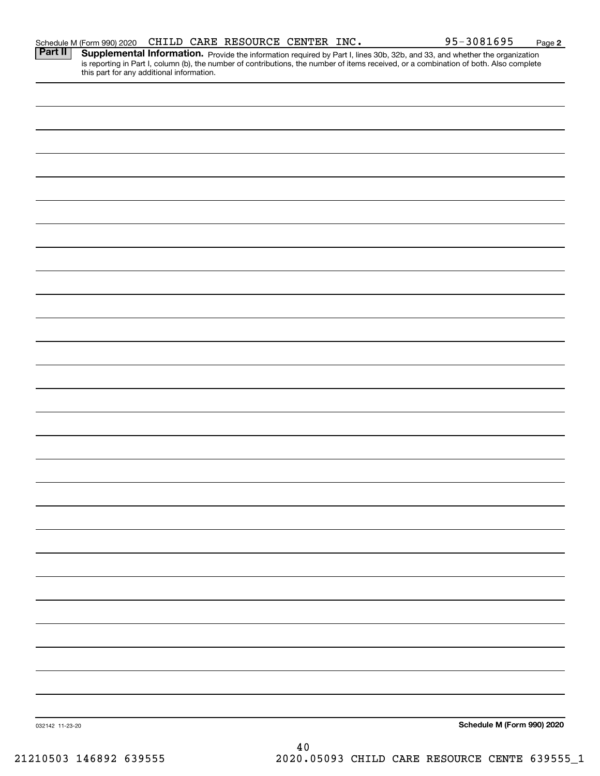| Part II         | <b>Supplemental Information.</b> Provide the information required by Part I, lines 30b, 32b, and 33, and whether the organization is reporting in Part I, column (b), the number of contributions, the number of items received, or |    |                            |
|-----------------|-------------------------------------------------------------------------------------------------------------------------------------------------------------------------------------------------------------------------------------|----|----------------------------|
|                 |                                                                                                                                                                                                                                     |    |                            |
|                 |                                                                                                                                                                                                                                     |    |                            |
|                 |                                                                                                                                                                                                                                     |    |                            |
|                 |                                                                                                                                                                                                                                     |    |                            |
|                 |                                                                                                                                                                                                                                     |    |                            |
|                 |                                                                                                                                                                                                                                     |    |                            |
|                 |                                                                                                                                                                                                                                     |    |                            |
|                 |                                                                                                                                                                                                                                     |    |                            |
|                 |                                                                                                                                                                                                                                     |    |                            |
|                 |                                                                                                                                                                                                                                     |    |                            |
|                 |                                                                                                                                                                                                                                     |    |                            |
|                 |                                                                                                                                                                                                                                     |    |                            |
|                 |                                                                                                                                                                                                                                     |    |                            |
|                 |                                                                                                                                                                                                                                     |    |                            |
|                 |                                                                                                                                                                                                                                     |    |                            |
|                 |                                                                                                                                                                                                                                     |    |                            |
|                 |                                                                                                                                                                                                                                     |    |                            |
|                 |                                                                                                                                                                                                                                     |    |                            |
|                 |                                                                                                                                                                                                                                     |    |                            |
|                 |                                                                                                                                                                                                                                     |    |                            |
|                 |                                                                                                                                                                                                                                     |    |                            |
|                 |                                                                                                                                                                                                                                     |    |                            |
|                 |                                                                                                                                                                                                                                     |    |                            |
|                 |                                                                                                                                                                                                                                     |    |                            |
|                 |                                                                                                                                                                                                                                     |    |                            |
|                 |                                                                                                                                                                                                                                     |    |                            |
|                 |                                                                                                                                                                                                                                     |    |                            |
|                 |                                                                                                                                                                                                                                     |    |                            |
|                 |                                                                                                                                                                                                                                     |    |                            |
|                 |                                                                                                                                                                                                                                     |    |                            |
|                 |                                                                                                                                                                                                                                     |    |                            |
| 032142 11-23-20 |                                                                                                                                                                                                                                     |    | Schedule M (Form 990) 2020 |
|                 |                                                                                                                                                                                                                                     | 40 |                            |

Schedule M (Form 990) 2020 Page CHILD CARE RESOURCE CENTER INC. 95-3081695

21210503 146892 639555 2020.05093 CHILD CARE RESOURCE CENTE 639555\_1

**2**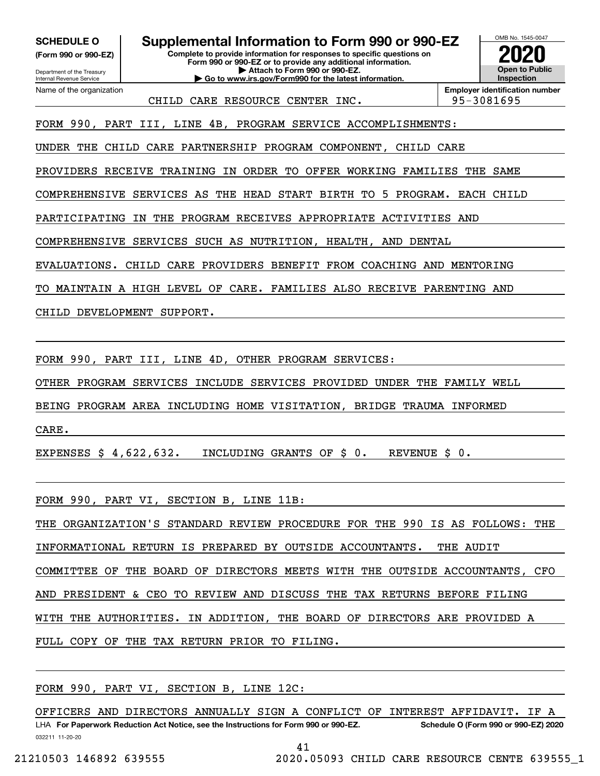**(Form 990 or 990-EZ)**

Department of the Treasury Internal Revenue Service Name of the organization

**SCHEDULE O Supplemental Information to Form 990 or 990-EZ**

**Complete to provide information for responses to specific questions on Form 990 or 990-EZ or to provide any additional information. | Attach to Form 990 or 990-EZ. | Go to www.irs.gov/Form990 for the latest information.**



CHILD CARE RESOURCE CENTER INC.  $\vert$  95-3081695

**Employer identification number**

FORM 990, PART III, LINE 4B, PROGRAM SERVICE ACCOMPLISHMENTS:

UNDER THE CHILD CARE PARTNERSHIP PROGRAM COMPONENT, CHILD CARE

PROVIDERS RECEIVE TRAINING IN ORDER TO OFFER WORKING FAMILIES THE SAME

COMPREHENSIVE SERVICES AS THE HEAD START BIRTH TO 5 PROGRAM. EACH CHILD

PARTICIPATING IN THE PROGRAM RECEIVES APPROPRIATE ACTIVITIES AND

COMPREHENSIVE SERVICES SUCH AS NUTRITION, HEALTH, AND DENTAL

EVALUATIONS. CHILD CARE PROVIDERS BENEFIT FROM COACHING AND MENTORING

TO MAINTAIN A HIGH LEVEL OF CARE. FAMILIES ALSO RECEIVE PARENTING AND

CHILD DEVELOPMENT SUPPORT.

FORM 990, PART III, LINE 4D, OTHER PROGRAM SERVICES:

OTHER PROGRAM SERVICES INCLUDE SERVICES PROVIDED UNDER THE FAMILY WELL

BEING PROGRAM AREA INCLUDING HOME VISITATION, BRIDGE TRAUMA INFORMED

CARE.

EXPENSES \$ 4,622,632. INCLUDING GRANTS OF \$ 0. REVENUE \$ 0.

FORM 990, PART VI, SECTION B, LINE 11B:

THE ORGANIZATION'S STANDARD REVIEW PROCEDURE FOR THE 990 IS AS FOLLOWS: THE

INFORMATIONAL RETURN IS PREPARED BY OUTSIDE ACCOUNTANTS. THE AUDIT

COMMITTEE OF THE BOARD OF DIRECTORS MEETS WITH THE OUTSIDE ACCOUNTANTS, CFO

AND PRESIDENT & CEO TO REVIEW AND DISCUSS THE TAX RETURNS BEFORE FILING

WITH THE AUTHORITIES. IN ADDITION, THE BOARD OF DIRECTORS ARE PROVIDED A

FULL COPY OF THE TAX RETURN PRIOR TO FILING.

FORM 990, PART VI, SECTION B, LINE 12C:

032211 11-20-20 LHA For Paperwork Reduction Act Notice, see the Instructions for Form 990 or 990-EZ. Schedule O (Form 990 or 990-EZ) 2020 OFFICERS AND DIRECTORS ANNUALLY SIGN A CONFLICT OF INTEREST AFFIDAVIT. IF A

41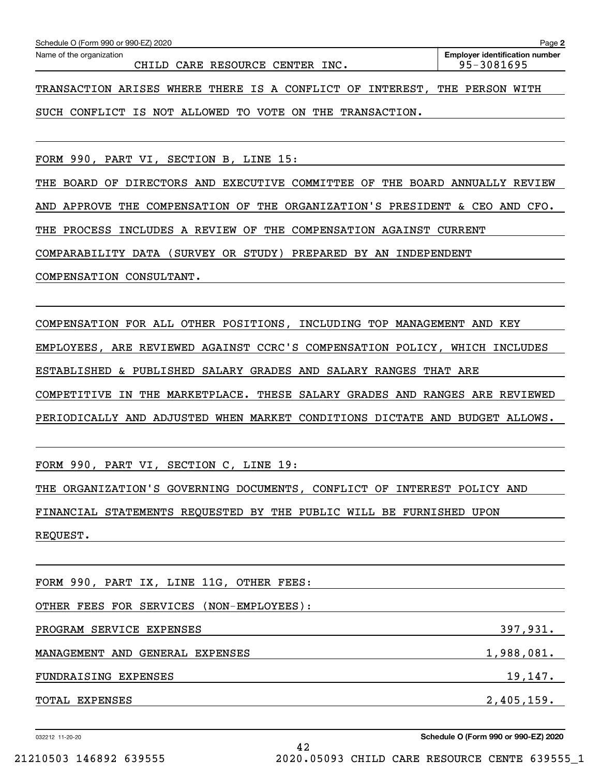CHILD CARE RESOURCE CENTER INC. 195-3081695

TRANSACTION ARISES WHERE THERE IS A CONFLICT OF INTEREST, THE PERSON WITH

SUCH CONFLICT IS NOT ALLOWED TO VOTE ON THE TRANSACTION.

FORM 990, PART VI, SECTION B, LINE 15:

THE BOARD OF DIRECTORS AND EXECUTIVE COMMITTEE OF THE BOARD ANNUALLY REVIEW AND APPROVE THE COMPENSATION OF THE ORGANIZATION'S PRESIDENT & CEO AND CFO. THE PROCESS INCLUDES A REVIEW OF THE COMPENSATION AGAINST CURRENT COMPARABILITY DATA (SURVEY OR STUDY) PREPARED BY AN INDEPENDENT

COMPENSATION CONSULTANT.

COMPENSATION FOR ALL OTHER POSITIONS, INCLUDING TOP MANAGEMENT AND KEY EMPLOYEES, ARE REVIEWED AGAINST CCRC'S COMPENSATION POLICY, WHICH INCLUDES ESTABLISHED & PUBLISHED SALARY GRADES AND SALARY RANGES THAT ARE COMPETITIVE IN THE MARKETPLACE. THESE SALARY GRADES AND RANGES ARE REVIEWED PERIODICALLY AND ADJUSTED WHEN MARKET CONDITIONS DICTATE AND BUDGET ALLOWS.

FORM 990, PART VI, SECTION C, LINE 19:

THE ORGANIZATION'S GOVERNING DOCUMENTS, CONFLICT OF INTEREST POLICY AND FINANCIAL STATEMENTS REQUESTED BY THE PUBLIC WILL BE FURNISHED UPON REQUEST.

| FORM 990, PART IX, LINE 11G, OTHER FEES: |            |
|------------------------------------------|------------|
| OTHER FEES FOR SERVICES (NON-EMPLOYEES): |            |
| PROGRAM SERVICE EXPENSES                 | 397,931.   |
| MANAGEMENT AND GENERAL EXPENSES          | 1,988,081. |
| FUNDRAISING EXPENSES                     | 19, 147.   |
| TOTAL EXPENSES                           | 2,405,159. |

42

032212 11-20-20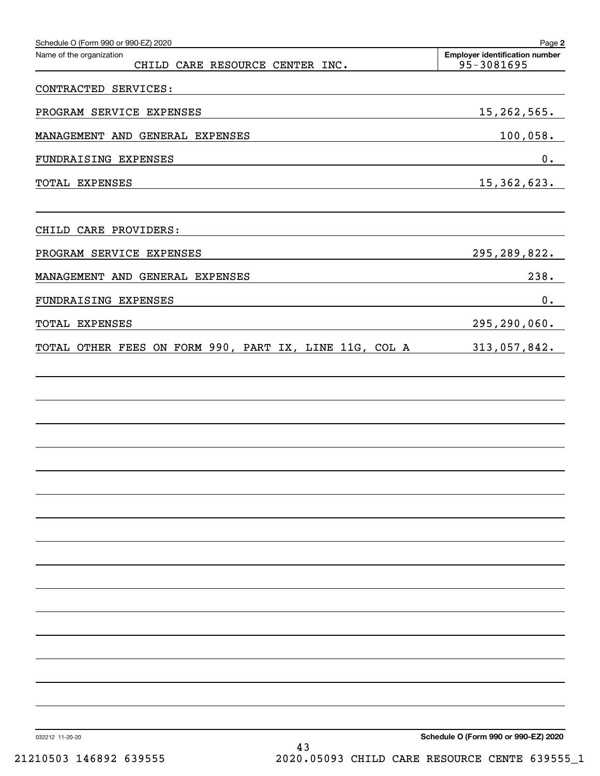| Schedule O (Form 990 or 990-EZ) 2020<br>Name of the organization<br>CHILD CARE RESOURCE CENTER INC. | Page 2<br><b>Employer identification number</b><br>95-3081695 |
|-----------------------------------------------------------------------------------------------------|---------------------------------------------------------------|
| CONTRACTED SERVICES:                                                                                |                                                               |
| PROGRAM SERVICE EXPENSES                                                                            | 15, 262, 565.                                                 |
| MANAGEMENT AND GENERAL EXPENSES                                                                     | 100,058.                                                      |
| FUNDRAISING EXPENSES                                                                                | 0.                                                            |
| TOTAL EXPENSES                                                                                      | 15, 362, 623.                                                 |
|                                                                                                     |                                                               |
| CHILD CARE PROVIDERS:                                                                               |                                                               |
| PROGRAM SERVICE EXPENSES                                                                            | 295, 289, 822.                                                |
| MANAGEMENT AND GENERAL EXPENSES                                                                     | 238.                                                          |
| FUNDRAISING EXPENSES                                                                                | 0.                                                            |
| TOTAL EXPENSES                                                                                      | 295, 290, 060.                                                |
| TOTAL OTHER FEES ON FORM 990, PART IX, LINE 11G, COL A                                              | 313,057,842.                                                  |
|                                                                                                     |                                                               |
|                                                                                                     |                                                               |
|                                                                                                     |                                                               |
|                                                                                                     |                                                               |
|                                                                                                     |                                                               |
|                                                                                                     |                                                               |
|                                                                                                     |                                                               |
|                                                                                                     |                                                               |
|                                                                                                     |                                                               |
|                                                                                                     |                                                               |
|                                                                                                     |                                                               |
|                                                                                                     |                                                               |
|                                                                                                     |                                                               |
|                                                                                                     |                                                               |
|                                                                                                     |                                                               |
|                                                                                                     |                                                               |
|                                                                                                     | Cahadule O (Faum 000 av 000 EZ) 0000                          |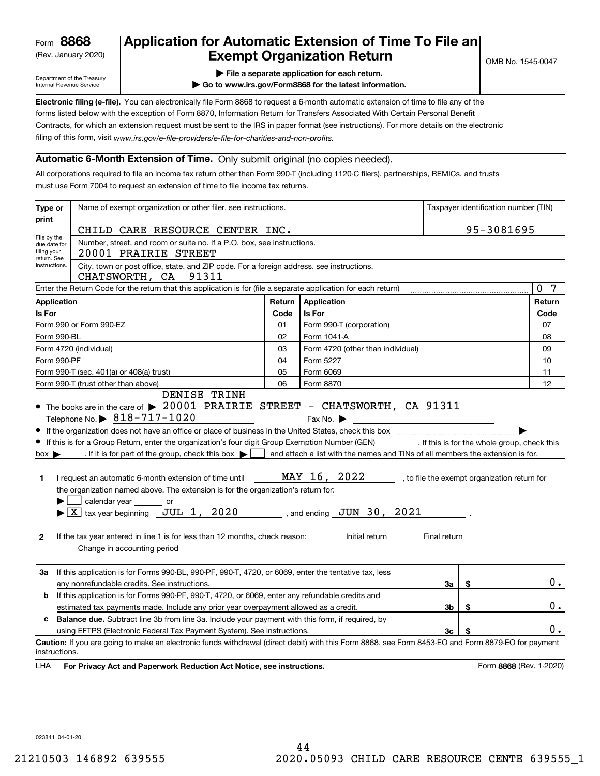(Rev. January 2020)

# **Application for Automatic Extension of Time To File an Exempt Organization Return**

Department of the Treasury Internal Revenue Service

**| File a separate application for each return.**

**| Go to www.irs.gov/Form8868 for the latest information.**

**Electronic filing (e-file).**  You can electronically file Form 8868 to request a 6-month automatic extension of time to file any of the filing of this form, visit www.irs.gov/e-file-providers/e-file-for-charities-and-non-profits. forms listed below with the exception of Form 8870, Information Return for Transfers Associated With Certain Personal Benefit Contracts, for which an extension request must be sent to the IRS in paper format (see instructions). For more details on the electronic

### **Automatic 6-Month Extension of Time.** Only submit original (no copies needed).

All corporations required to file an income tax return other than Form 990-T (including 1120-C filers), partnerships, REMICs, and trusts must use Form 7004 to request an extension of time to file income tax returns.

| Type or                                                                                              | Name of exempt organization or other filer, see instructions.                                                                                                                                                                                                                                                                                                                                                                                                                                                                                                                                                                           |        | Taxpayer identification number (TIN)                                                                                                                                                                |              |    |                                              |  |
|------------------------------------------------------------------------------------------------------|-----------------------------------------------------------------------------------------------------------------------------------------------------------------------------------------------------------------------------------------------------------------------------------------------------------------------------------------------------------------------------------------------------------------------------------------------------------------------------------------------------------------------------------------------------------------------------------------------------------------------------------------|--------|-----------------------------------------------------------------------------------------------------------------------------------------------------------------------------------------------------|--------------|----|----------------------------------------------|--|
| print                                                                                                | CHILD CARE RESOURCE CENTER INC.                                                                                                                                                                                                                                                                                                                                                                                                                                                                                                                                                                                                         |        | 95-3081695                                                                                                                                                                                          |              |    |                                              |  |
| File by the<br>due date for<br>filing your                                                           | Number, street, and room or suite no. If a P.O. box, see instructions.<br>20001 PRAIRIE STREET                                                                                                                                                                                                                                                                                                                                                                                                                                                                                                                                          |        |                                                                                                                                                                                                     |              |    |                                              |  |
| return. See<br>instructions.                                                                         | City, town or post office, state, and ZIP code. For a foreign address, see instructions.<br>91311<br>CHATSWORTH, CA                                                                                                                                                                                                                                                                                                                                                                                                                                                                                                                     |        |                                                                                                                                                                                                     |              |    |                                              |  |
|                                                                                                      | Enter the Return Code for the return that this application is for (file a separate application for each return)                                                                                                                                                                                                                                                                                                                                                                                                                                                                                                                         |        |                                                                                                                                                                                                     |              |    | 0<br>7                                       |  |
| <b>Application</b>                                                                                   |                                                                                                                                                                                                                                                                                                                                                                                                                                                                                                                                                                                                                                         | Return | Application                                                                                                                                                                                         |              |    | Return                                       |  |
| Is For<br>Code<br>Is For                                                                             |                                                                                                                                                                                                                                                                                                                                                                                                                                                                                                                                                                                                                                         |        |                                                                                                                                                                                                     |              |    | Code                                         |  |
|                                                                                                      | Form 990 or Form 990-EZ                                                                                                                                                                                                                                                                                                                                                                                                                                                                                                                                                                                                                 | 01     | Form 990-T (corporation)                                                                                                                                                                            |              |    | 07                                           |  |
| Form 990-BL                                                                                          |                                                                                                                                                                                                                                                                                                                                                                                                                                                                                                                                                                                                                                         | 02     | Form 1041-A                                                                                                                                                                                         |              |    | 08                                           |  |
|                                                                                                      | Form 4720 (individual)                                                                                                                                                                                                                                                                                                                                                                                                                                                                                                                                                                                                                  | 03     | Form 4720 (other than individual)                                                                                                                                                                   |              |    | 09                                           |  |
| Form 990-PF                                                                                          |                                                                                                                                                                                                                                                                                                                                                                                                                                                                                                                                                                                                                                         | 04     | Form 5227                                                                                                                                                                                           |              |    | 10                                           |  |
|                                                                                                      | Form 990-T (sec. 401(a) or 408(a) trust)                                                                                                                                                                                                                                                                                                                                                                                                                                                                                                                                                                                                | 05     | Form 6069                                                                                                                                                                                           |              |    | 11                                           |  |
|                                                                                                      | Form 990-T (trust other than above)<br>DENISE TRINH                                                                                                                                                                                                                                                                                                                                                                                                                                                                                                                                                                                     | 06     | Form 8870                                                                                                                                                                                           |              |    | 12                                           |  |
| $box \blacktriangleright$<br>1<br>$\mathbf{2}$                                                       | Telephone No. $\triangleright$ 818-717-1020<br>If this is for a Group Return, enter the organization's four digit Group Exemption Number (GEN) [If this is for the whole group, check this<br>. If it is for part of the group, check this box $\blacktriangleright$<br>I request an automatic 6-month extension of time until<br>the organization named above. The extension is for the organization's return for:<br>$\Box$ calendar year or<br>$\blacktriangleright$ $\boxed{\text{X}}$ tax year beginning JUL 1, 2020<br>If the tax year entered in line 1 is for less than 12 months, check reason:<br>Change in accounting period |        | Fax No. $\blacktriangleright$<br>and attach a list with the names and TINs of all members the extension is for.<br>MAY 16, 2022<br>, and ending $\,$ JUN $\,$ 30 , $\,$ 2021 $\,$<br>Initial return | Final return |    | , to file the exempt organization return for |  |
| За                                                                                                   | If this application is for Forms 990-BL, 990-PF, 990-T, 4720, or 6069, enter the tentative tax, less<br>any nonrefundable credits. See instructions.                                                                                                                                                                                                                                                                                                                                                                                                                                                                                    |        |                                                                                                                                                                                                     | За           | \$ | 0.                                           |  |
| If this application is for Forms 990-PF, 990-T, 4720, or 6069, enter any refundable credits and<br>b |                                                                                                                                                                                                                                                                                                                                                                                                                                                                                                                                                                                                                                         |        |                                                                                                                                                                                                     |              |    |                                              |  |
| 3b<br>\$<br>estimated tax payments made. Include any prior year overpayment allowed as a credit.     |                                                                                                                                                                                                                                                                                                                                                                                                                                                                                                                                                                                                                                         |        |                                                                                                                                                                                                     |              |    | 0.                                           |  |
| c                                                                                                    | <b>Balance due.</b> Subtract line 3b from line 3a. Include your payment with this form, if required, by                                                                                                                                                                                                                                                                                                                                                                                                                                                                                                                                 |        |                                                                                                                                                                                                     |              |    |                                              |  |
|                                                                                                      | using EFTPS (Electronic Federal Tax Payment System). See instructions.                                                                                                                                                                                                                                                                                                                                                                                                                                                                                                                                                                  |        |                                                                                                                                                                                                     | Зc           |    | 0.                                           |  |
| instructions.                                                                                        | Caution: If you are going to make an electronic funds withdrawal (direct debit) with this Form 8868, see Form 8453-EO and Form 8879-EO for payment                                                                                                                                                                                                                                                                                                                                                                                                                                                                                      |        |                                                                                                                                                                                                     |              |    |                                              |  |

**HA** For Privacy Act and Paperwork Reduction Act Notice, see instructions. **But a struction of the Constantion Constant** Form 8868 (Rev. 1-2020) LHA

023841 04-01-20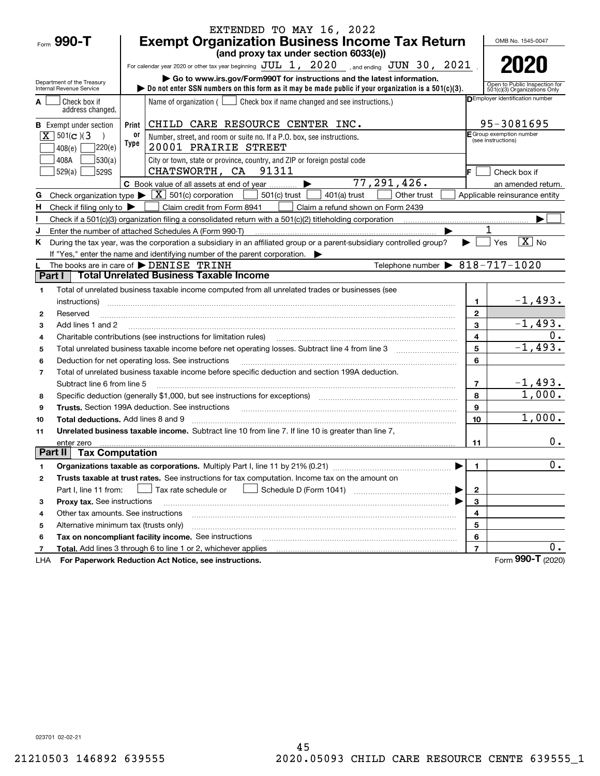|                                                    |                        | EXTENDED TO MAY 16, 2022                                                                                                                                                                                                       |                              |                                                               |
|----------------------------------------------------|------------------------|--------------------------------------------------------------------------------------------------------------------------------------------------------------------------------------------------------------------------------|------------------------------|---------------------------------------------------------------|
| Form 990-T                                         |                        | <b>Exempt Organization Business Income Tax Return</b>                                                                                                                                                                          |                              | OMB No. 1545-0047                                             |
|                                                    |                        | (and proxy tax under section 6033(e))                                                                                                                                                                                          |                              |                                                               |
|                                                    |                        | For calendar year 2020 or other tax year beginning JUL 1, 2020 , and ending JUN 30, 2021                                                                                                                                       |                              |                                                               |
| Department of the Treasury                         |                        | Go to www.irs.gov/Form990T for instructions and the latest information.                                                                                                                                                        |                              |                                                               |
| Internal Revenue Service                           |                        | $\triangleright$ Do not enter SSN numbers on this form as it may be made public if your organization is a 501(c)(3).                                                                                                           |                              | Open to Public Inspection for<br>501(c)(3) Organizations Only |
| Check box if<br>А<br>address changed.              |                        | Name of organization $($ $\Box$ Check box if name changed and see instructions.)                                                                                                                                               |                              | <b>DEmployer identification number</b>                        |
| <b>B</b> Exempt under section                      | Print                  | CHILD CARE RESOURCE CENTER INC.                                                                                                                                                                                                |                              | 95-3081695                                                    |
| $X \ 501(c)$ (3                                    | 0ľ                     | Number, street, and room or suite no. If a P.O. box, see instructions.                                                                                                                                                         |                              | E Group exemption number<br>(see instructions)                |
| 408(e)                                             | Type<br>]220(e)        | 20001 PRAIRIE STREET                                                                                                                                                                                                           |                              |                                                               |
| 408A                                               | 530(a)                 | City or town, state or province, country, and ZIP or foreign postal code                                                                                                                                                       |                              |                                                               |
| 529(a)<br>529S                                     |                        | CHATSWORTH, CA 91311                                                                                                                                                                                                           | IF.                          | Check box if                                                  |
|                                                    |                        | 77,291,426.<br>C Book value of all assets at end of year                                                                                                                                                                       |                              | an amended return.                                            |
| Check organization type $\blacktriangleright$<br>G |                        | $\boxed{\textbf{X}}$ 501(c) corporation<br>$501(c)$ trust<br>Other trust<br>$401(a)$ trust                                                                                                                                     |                              | Applicable reinsurance entity                                 |
| н<br>Check if filing only to $\blacktriangleright$ |                        | Claim credit from Form 8941<br>Claim a refund shown on Form 2439                                                                                                                                                               |                              |                                                               |
|                                                    |                        | Check if a 501 $(c)(3)$ organization filing a consolidated return with a 501 $(c)(2)$ titleholding corporation                                                                                                                 |                              |                                                               |
| J                                                  |                        | Enter the number of attached Schedules A (Form 990-T)                                                                                                                                                                          |                              |                                                               |
| Κ                                                  |                        | During the tax year, was the corporation a subsidiary in an affiliated group or a parent-subsidiary controlled group?                                                                                                          |                              | $\boxed{\text{X}}$ No<br>Yes                                  |
|                                                    |                        | If "Yes," enter the name and identifying number of the parent corporation.                                                                                                                                                     |                              |                                                               |
| Part I                                             |                        | Telephone number $\triangleright$ 818-717-1020<br>The books are in care of DENISE TRINH<br><b>Total Unrelated Business Taxable Income</b>                                                                                      |                              |                                                               |
|                                                    |                        |                                                                                                                                                                                                                                |                              |                                                               |
| 1                                                  |                        | Total of unrelated business taxable income computed from all unrelated trades or businesses (see                                                                                                                               |                              | $-1,493.$                                                     |
| instructions)                                      |                        |                                                                                                                                                                                                                                | $\mathbf{1}$<br>$\mathbf{2}$ |                                                               |
| Reserved<br>2                                      |                        |                                                                                                                                                                                                                                | 3                            | $-1,493.$                                                     |
| Add lines 1 and 2<br>3                             |                        | Charitable contributions (see instructions for limitation rules)                                                                                                                                                               | 4                            | 0.                                                            |
| 4<br>5                                             |                        |                                                                                                                                                                                                                                | 5                            | $-1,493.$                                                     |
| 6                                                  |                        | Deduction for net operating loss. See instructions                                                                                                                                                                             | 6                            |                                                               |
| $\overline{\phantom{a}}$                           |                        | Total of unrelated business taxable income before specific deduction and section 199A deduction.                                                                                                                               |                              |                                                               |
| Subtract line 6 from line 5                        |                        |                                                                                                                                                                                                                                | $\overline{7}$               | $-1,493.$                                                     |
| 8                                                  |                        | Specific deduction (generally \$1,000, but see instructions for exceptions) manufactured in the substitution of                                                                                                                | 8                            | 1,000.                                                        |
| 9                                                  |                        | Trusts. Section 199A deduction. See instructions [11] material content content and the intervention of the intervention of the intervention of the intervention of the intervention of the intervention of the intervention of | 9                            |                                                               |
| <b>Total deductions.</b> Add lines 8 and 9<br>10   |                        |                                                                                                                                                                                                                                | 10                           | 1,000.                                                        |
| 11                                                 |                        | Unrelated business taxable income. Subtract line 10 from line 7. If line 10 is greater than line 7,                                                                                                                            |                              |                                                               |
| enter zero                                         |                        |                                                                                                                                                                                                                                | 11                           | $0$ .                                                         |
| Part II                                            | <b>Tax Computation</b> |                                                                                                                                                                                                                                |                              |                                                               |
| 1                                                  |                        |                                                                                                                                                                                                                                | 1                            | $\mathbf 0$ .                                                 |
| 2                                                  |                        | Trusts taxable at trust rates. See instructions for tax computation. Income tax on the amount on                                                                                                                               |                              |                                                               |
| Part I, line 11 from:                              |                        | Schedule D (Form 1041)<br>Tax rate schedule or                                                                                                                                                                                 | $\mathbf{2}$                 |                                                               |
| Proxy tax. See instructions<br>з                   |                        |                                                                                                                                                                                                                                | 3                            |                                                               |
| Other tax amounts. See instructions<br>4           |                        |                                                                                                                                                                                                                                | 4                            |                                                               |
| Alternative minimum tax (trusts only)<br>5         |                        |                                                                                                                                                                                                                                | 5                            |                                                               |
| 6                                                  |                        | Tax on noncompliant facility income. See instructions                                                                                                                                                                          | 6                            |                                                               |
| 7                                                  |                        | Total. Add lines 3 through 6 to line 1 or 2, whichever applies                                                                                                                                                                 | $\overline{7}$               | $0$ .                                                         |
| LHA                                                |                        | For Paperwork Reduction Act Notice, see instructions.                                                                                                                                                                          |                              | Form 990-T (2020)                                             |

023701 02-02-21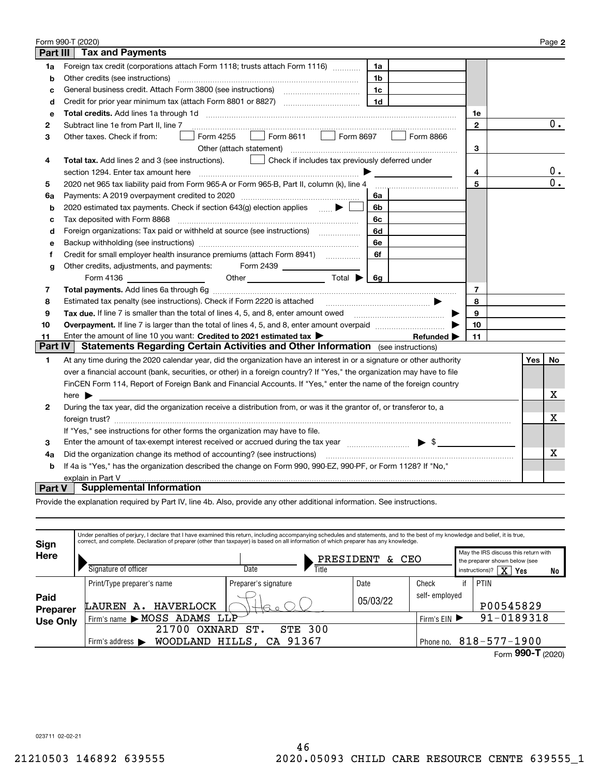|                | Form 990-T (2020)                                                                                                                                                                 |              |     | Page 2           |
|----------------|-----------------------------------------------------------------------------------------------------------------------------------------------------------------------------------|--------------|-----|------------------|
| Part III       | <b>Tax and Payments</b>                                                                                                                                                           |              |     |                  |
| 1a             | Foreign tax credit (corporations attach Form 1118; trusts attach Form 1116)<br>1a                                                                                                 |              |     |                  |
| b              | Other credits (see instructions)<br>1b                                                                                                                                            |              |     |                  |
| с              | 1 <sub>c</sub>                                                                                                                                                                    |              |     |                  |
| d              | 1 <sub>d</sub>                                                                                                                                                                    |              |     |                  |
| е              |                                                                                                                                                                                   | 1e           |     |                  |
| $\mathbf{2}$   | Subtract line 1e from Part II, line 7                                                                                                                                             | $\mathbf{2}$ |     | 0.               |
| 3              | $\Box$ Form 8611 $\Box$ Form 8697<br>Form 4255<br>Other taxes. Check if from:<br>Form 8866<br>$\mathbf{1}$                                                                        |              |     |                  |
|                | Other (attach statement)                                                                                                                                                          | 3            |     |                  |
| 4              | Check if includes tax previously deferred under<br>Total tax. Add lines 2 and 3 (see instructions).                                                                               |              |     |                  |
|                | section 1294. Enter tax amount here                                                                                                                                               | 4            |     | 0.               |
| 5              | 2020 net 965 tax liability paid from Form 965-A or Form 965-B, Part II, column (k), line 4                                                                                        | 5            |     | $\overline{0}$ . |
| 6a             | Payments: A 2019 overpayment credited to 2020 [11] [11] maximum materials and Payments: A 2019 overpayment credited to 2020 [11] maximum materials and Payments: A<br>6a          |              |     |                  |
| b              | 2020 estimated tax payments. Check if section 643(g) election applies $\qquad \qquad \bullet$<br>6b                                                                               |              |     |                  |
| с              | Tax deposited with Form 8868<br>6c                                                                                                                                                |              |     |                  |
| d              | Foreign organizations: Tax paid or withheld at source (see instructions) [<br>6d                                                                                                  |              |     |                  |
| е              | 6e                                                                                                                                                                                |              |     |                  |
| f              | Credit for small employer health insurance premiums (attach Form 8941)<br>6f                                                                                                      |              |     |                  |
| g              | Other credits, adjustments, and payments:<br>Form 2439                                                                                                                            |              |     |                  |
|                | Other Total $\bigcirc$ Gg                                                                                                                                                         |              |     |                  |
| 7              |                                                                                                                                                                                   | 7            |     |                  |
| 8              |                                                                                                                                                                                   | 8            |     |                  |
| 9              | Tax due. If line 7 is smaller than the total of lines 4, 5, and 8, enter amount owed <i>manumerane in the 7</i> is smaller than the total of lines 4, 5, and 8, enter amount owed | 9            |     |                  |
| 10             | Overpayment. If line 7 is larger than the total of lines 4, 5, and 8, enter amount overpaid <i>manumumum</i>                                                                      | 10           |     |                  |
| 11             | Enter the amount of line 10 you want: Credited to 2021 estimated tax ><br>Refunded $\blacktriangleright$                                                                          | 11           |     |                  |
| <b>Part IV</b> | Statements Regarding Certain Activities and Other Information (see instructions)                                                                                                  |              |     |                  |
| 1              | At any time during the 2020 calendar year, did the organization have an interest in or a signature or other authority                                                             |              | Yes | No               |
|                | over a financial account (bank, securities, or other) in a foreign country? If "Yes," the organization may have to file                                                           |              |     |                  |
|                | FinCEN Form 114, Report of Foreign Bank and Financial Accounts. If "Yes," enter the name of the foreign country                                                                   |              |     |                  |
|                | here $\blacktriangleright$                                                                                                                                                        |              |     | х                |
| $\mathbf{2}$   | During the tax year, did the organization receive a distribution from, or was it the grantor of, or transferor to, a                                                              |              |     |                  |
|                |                                                                                                                                                                                   |              |     | X                |
|                | If "Yes," see instructions for other forms the organization may have to file.                                                                                                     |              |     |                  |
| 3              | Enter the amount of tax-exempt interest received or accrued during the tax year manufactured $\frac{1}{2}$                                                                        |              |     |                  |
| 4a             | Did the organization change its method of accounting? (see instructions)                                                                                                          |              |     | Х                |
| b              | If 4a is "Yes," has the organization described the change on Form 990, 990-EZ, 990-PF, or Form 1128? If "No,"                                                                     |              |     |                  |
|                | explain in Part V                                                                                                                                                                 |              |     |                  |
| Part V         | <b>Supplemental Information</b>                                                                                                                                                   |              |     |                  |

Provide the explanation required by Part IV, line 4b. Also, provide any other additional information. See instructions.

| Sign                    | Under penalties of perjury, I declare that I have examined this return, including accompanying schedules and statements, and to the best of my knowledge and belief, it is true,<br>correct, and complete. Declaration of preparer (other than taxpayer) is based on all information of which preparer has any knowledge. |                       |                    |               |                                                                       |
|-------------------------|---------------------------------------------------------------------------------------------------------------------------------------------------------------------------------------------------------------------------------------------------------------------------------------------------------------------------|-----------------------|--------------------|---------------|-----------------------------------------------------------------------|
| Here                    |                                                                                                                                                                                                                                                                                                                           | PRESIDENT             | CEO<br>&.          |               | May the IRS discuss this return with<br>the preparer shown below (see |
|                         | Signature of officer                                                                                                                                                                                                                                                                                                      | Date<br>Title         |                    |               | $\overline{\mathbf{X}}$<br>instructions)?<br>Yes<br>No                |
|                         | Print/Type preparer's name                                                                                                                                                                                                                                                                                                | Preparer's signature  | Date               | Check         | PTIN<br>if                                                            |
| Paid<br><b>Preparer</b> | HAVERLOCK<br>LAUREN<br>А.                                                                                                                                                                                                                                                                                                 |                       | 05/03/22           | self-emploved | P00545829                                                             |
| <b>Use Only</b>         | Firm's name MOSS ADAMS                                                                                                                                                                                                                                                                                                    | LLP                   |                    | Firm's $EIN$  | 91-0189318                                                            |
|                         | 21700<br>OXNARD                                                                                                                                                                                                                                                                                                           | <b>STE 300</b><br>ST. |                    |               |                                                                       |
|                         | HILLS, CA 91367<br><b>WOODLAND</b><br>Firm's address $\blacktriangleright$                                                                                                                                                                                                                                                | Phone no.             | $818 - 577 - 1900$ |               |                                                                       |
|                         |                                                                                                                                                                                                                                                                                                                           |                       |                    |               | 000T                                                                  |

Form (2020)  **990-T**

023711 02-02-21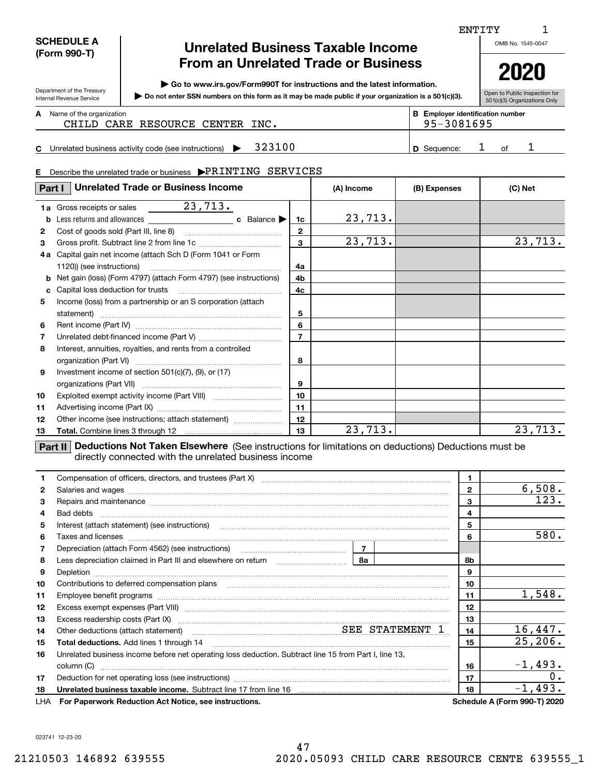| <b>SCHEDULE A</b> |
|-------------------|
| (Form 990-T)      |

Department of the Treasury Internal Revenue Service

# **Unrelated Business Taxable Income From an Unrelated Trade or Business**

**| Go to www.irs.gov/Form990T for instructions and the latest information.**

**Do not enter SSN numbers on this form as it may be made public if your organization is a 501(c)(3). |** 

Open to Public Inspection for **2020**

**A**

501(c)(3) Organizations Only

### Name of the organization **mumber and the organization number contracts the organization number BEEnployer identification number** CHILD CARE RESOURCE CENTER INC. | 95-3081695

**CD** Sequence: 1 of 1 Unrelated business activity code (see instructions)  $\blacktriangleright$  323100 **D** Sequence: 1 of

### **E**Describe the unrelated trade or business  $\bigtriangledown \text{PRINTING}$  SERVICES

| Part I | <b>Unrelated Trade or Business Income</b>                                  |                | (A) Income | (B) Expenses | (C) Net                                   |
|--------|----------------------------------------------------------------------------|----------------|------------|--------------|-------------------------------------------|
|        |                                                                            |                |            |              |                                           |
| b      | c Balance $\blacktriangleright$                                            | 1c             | 23,713.    |              |                                           |
| 2      | Cost of goods sold (Part III, line 8)                                      | $\mathbf{2}$   |            |              |                                           |
| 3      |                                                                            | 3              | 23,713.    |              | 23,713.                                   |
| 4a     | Capital gain net income (attach Sch D (Form 1041 or Form                   |                |            |              |                                           |
|        |                                                                            | 4a             |            |              |                                           |
|        | <b>b</b> Net gain (loss) (Form 4797) (attach Form 4797) (see instructions) | 4b             |            |              |                                           |
| c      |                                                                            | 4c             |            |              |                                           |
| 5      | Income (loss) from a partnership or an S corporation (attach               |                |            |              |                                           |
|        | statement)                                                                 | 5              |            |              |                                           |
| 6      |                                                                            | 6              |            |              |                                           |
| 7      |                                                                            | $\overline{7}$ |            |              |                                           |
| 8      | Interest, annuities, royalties, and rents from a controlled                |                |            |              |                                           |
|        |                                                                            | 8              |            |              |                                           |
| 9      | Investment income of section $501(c)(7)$ , (9), or (17)                    |                |            |              |                                           |
|        |                                                                            | 9              |            |              |                                           |
| 10     |                                                                            | 10             |            |              |                                           |
| 11     |                                                                            | 11             |            |              |                                           |
| 12     | Other income (see instructions; attach statement)                          | 12             |            |              |                                           |
| 13     |                                                                            | 13             | 23, 713.   |              | 23,713.                                   |
|        |                                                                            |                |            |              | $\sim$ $\sim$ $\sim$ $\sim$ $\sim$ $\sim$ |

**Part II Deductions Not Taken Elsewhere** (See instructions for limitations on deductions) Deductions must be directly connected with the unrelated business income

| 1.           | Compensation of officers, directors, and trustees (Part X) [11] [2010] [2010] [2010] [2010] [2010] [2010] [2010] [3010] [2010] [2010] [3010] [2010] [3010] [3010] [3010] [3010] [3010] [3010] [3010] [3010] [3010] [3010] [301       |              | 1.     |                                     |
|--------------|--------------------------------------------------------------------------------------------------------------------------------------------------------------------------------------------------------------------------------------|--------------|--------|-------------------------------------|
| $\mathbf{2}$ | Salaries and wages <b>construction and construction of the set of the set of the set of the set of the set of the set of the set of the set of the set of the set of the set of the set of the set of the set of the set of the </b> | $\mathbf{2}$ | 6,508. |                                     |
| 3            | Repairs and maintenance measurements and maintenance measurements and maintenance measurements and maintenance                                                                                                                       |              | 3      | 123.                                |
| 4            |                                                                                                                                                                                                                                      |              | 4      |                                     |
| 5            | Interest (attach statement) (see instructions) <b>manufactures</b> (attach statement) (see instructions)                                                                                                                             |              | 5      |                                     |
| 6            |                                                                                                                                                                                                                                      |              | 6      | 580.                                |
| 7            |                                                                                                                                                                                                                                      |              |        |                                     |
| 8            |                                                                                                                                                                                                                                      |              | 8b     |                                     |
| 9            |                                                                                                                                                                                                                                      |              | 9      |                                     |
| 10           |                                                                                                                                                                                                                                      |              | 10     |                                     |
| 11           |                                                                                                                                                                                                                                      |              | 11     | 1,548.                              |
| 12           |                                                                                                                                                                                                                                      |              | 12     |                                     |
| 13           |                                                                                                                                                                                                                                      |              | 13     |                                     |
| 14           | Other deductions (attach statement) manufactured manufactured SEE STATEMENT 1                                                                                                                                                        |              | 14     | 16,447.                             |
| 15           | <b>Total deductions.</b> Add lines 1 through 14                                                                                                                                                                                      |              | 15     | 25, 206.                            |
| 16           | Unrelated business income before net operating loss deduction. Subtract line 15 from Part I, line 13,                                                                                                                                |              |        |                                     |
|              | column (C)                                                                                                                                                                                                                           |              | 16     | $-1,493.$                           |
| 17           |                                                                                                                                                                                                                                      |              | 17     | $\overline{\phantom{a}}$ 0.         |
| 18           | Unrelated business taxable income. Subtract line 17 from line 16 [11] manusure contracts to the income that the                                                                                                                      |              | 18     | $-1,493.$                           |
| LHA          | For Paperwork Reduction Act Notice, see instructions.                                                                                                                                                                                |              |        | <b>Schedule A (Form 990-T) 2020</b> |

023741 12-23-20

ENTITY

OMB No. 1545-0047

1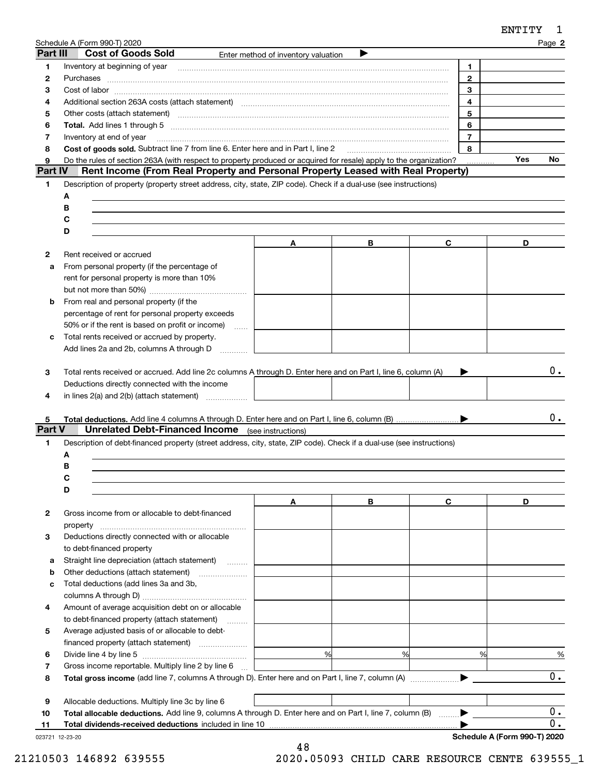| Part III      | Schedule A (Form 990-T) 2020<br><b>Cost of Goods Sold</b>                                                                                                                                                                     | Enter method of inventory valuation |   |                         | Page 2 |                                      |
|---------------|-------------------------------------------------------------------------------------------------------------------------------------------------------------------------------------------------------------------------------|-------------------------------------|---|-------------------------|--------|--------------------------------------|
|               |                                                                                                                                                                                                                               |                                     |   |                         |        |                                      |
| 1             | Inventory at beginning of year manufactured and an intervention of the state of the state of the state of the                                                                                                                 |                                     |   | 1<br>$\overline{2}$     |        |                                      |
| 2             | Purchases                                                                                                                                                                                                                     |                                     |   | 3                       |        |                                      |
| 3             |                                                                                                                                                                                                                               |                                     |   | $\overline{\mathbf{4}}$ |        |                                      |
| 4             | Additional section 263A costs (attach statement) material content and according to the Additional section 263A                                                                                                                |                                     |   |                         |        |                                      |
| 5             | Other costs (attach statement) material contracts and a statement of the statement of the statement of the statement of the statement of the statement of the statement of the statement of the statement of the statement of |                                     |   | 5                       |        |                                      |
| 6             |                                                                                                                                                                                                                               |                                     |   | 6                       |        |                                      |
| 7             | Inventory at end of year                                                                                                                                                                                                      |                                     |   | $\overline{7}$          |        |                                      |
| 8             | Cost of goods sold. Subtract line 7 from line 6. Enter here and in Part I, line 2 [11, 1111] Cost of goods sold. Subtract line 7 from line 6. Enter here and in Part I, line 2                                                |                                     |   | 8                       |        |                                      |
| 9             | Do the rules of section 263A (with respect to property produced or acquired for resale) apply to the organization?                                                                                                            |                                     |   |                         | Yes    | No.                                  |
| Part IV       | Rent Income (From Real Property and Personal Property Leased with Real Property)                                                                                                                                              |                                     |   |                         |        |                                      |
| 1             | Description of property (property street address, city, state, ZIP code). Check if a dual-use (see instructions)                                                                                                              |                                     |   |                         |        |                                      |
|               | A                                                                                                                                                                                                                             |                                     |   |                         |        |                                      |
|               | в                                                                                                                                                                                                                             |                                     |   |                         |        |                                      |
|               | C                                                                                                                                                                                                                             |                                     |   |                         |        |                                      |
|               | D                                                                                                                                                                                                                             |                                     |   |                         |        |                                      |
|               |                                                                                                                                                                                                                               | A                                   | В | C                       | D      |                                      |
| 2             | Rent received or accrued                                                                                                                                                                                                      |                                     |   |                         |        |                                      |
| a             | From personal property (if the percentage of                                                                                                                                                                                  |                                     |   |                         |        |                                      |
|               | rent for personal property is more than 10%                                                                                                                                                                                   |                                     |   |                         |        |                                      |
|               |                                                                                                                                                                                                                               |                                     |   |                         |        |                                      |
| b             | From real and personal property (if the                                                                                                                                                                                       |                                     |   |                         |        |                                      |
|               | percentage of rent for personal property exceeds                                                                                                                                                                              |                                     |   |                         |        |                                      |
|               | 50% or if the rent is based on profit or income)                                                                                                                                                                              | <b>Service</b>                      |   |                         |        |                                      |
| c             | Total rents received or accrued by property.                                                                                                                                                                                  |                                     |   |                         |        |                                      |
|               | Add lines 2a and 2b, columns A through D                                                                                                                                                                                      |                                     |   |                         |        |                                      |
|               |                                                                                                                                                                                                                               |                                     |   |                         |        |                                      |
|               |                                                                                                                                                                                                                               |                                     |   |                         |        |                                      |
| 3             |                                                                                                                                                                                                                               |                                     |   |                         |        |                                      |
|               | Total rents received or accrued. Add line 2c columns A through D. Enter here and on Part I, line 6, column (A)                                                                                                                |                                     |   |                         |        |                                      |
|               | Deductions directly connected with the income                                                                                                                                                                                 |                                     |   |                         |        | 0.                                   |
| 4             |                                                                                                                                                                                                                               |                                     |   |                         |        |                                      |
|               |                                                                                                                                                                                                                               |                                     |   |                         |        |                                      |
| 5.            |                                                                                                                                                                                                                               |                                     |   |                         |        |                                      |
|               | <b>Unrelated Debt-Financed Income</b> (see instructions)                                                                                                                                                                      |                                     |   |                         |        |                                      |
| 1             | Description of debt-financed property (street address, city, state, ZIP code). Check if a dual-use (see instructions)                                                                                                         |                                     |   |                         |        |                                      |
|               | А                                                                                                                                                                                                                             |                                     |   |                         |        |                                      |
|               | в                                                                                                                                                                                                                             |                                     |   |                         |        |                                      |
|               |                                                                                                                                                                                                                               |                                     |   |                         |        |                                      |
|               | D                                                                                                                                                                                                                             |                                     |   |                         |        |                                      |
|               |                                                                                                                                                                                                                               | Α                                   | В | C                       | D      |                                      |
| 2             | Gross income from or allocable to debt-financed                                                                                                                                                                               |                                     |   |                         |        |                                      |
|               | property                                                                                                                                                                                                                      |                                     |   |                         |        |                                      |
| 3             | Deductions directly connected with or allocable                                                                                                                                                                               |                                     |   |                         |        |                                      |
|               | to debt-financed property                                                                                                                                                                                                     |                                     |   |                         |        |                                      |
| а             | Straight line depreciation (attach statement)                                                                                                                                                                                 |                                     |   |                         |        |                                      |
| b             |                                                                                                                                                                                                                               |                                     |   |                         |        |                                      |
| c             | Total deductions (add lines 3a and 3b,                                                                                                                                                                                        |                                     |   |                         |        |                                      |
| Part V        |                                                                                                                                                                                                                               |                                     |   |                         |        |                                      |
| 4             |                                                                                                                                                                                                                               |                                     |   |                         |        |                                      |
|               | Amount of average acquisition debt on or allocable                                                                                                                                                                            |                                     |   |                         |        |                                      |
|               | to debt-financed property (attach statement)                                                                                                                                                                                  |                                     |   |                         |        |                                      |
| 5             | Average adjusted basis of or allocable to debt-                                                                                                                                                                               |                                     |   |                         |        |                                      |
|               |                                                                                                                                                                                                                               |                                     |   |                         |        |                                      |
| 6             |                                                                                                                                                                                                                               | %                                   | % | %                       |        |                                      |
|               | Gross income reportable. Multiply line 2 by line 6                                                                                                                                                                            |                                     |   |                         |        |                                      |
|               | <b>Total gross income</b> (add line 7, columns A through D). Enter here and on Part I, line 7, column (A)                                                                                                                     |                                     |   |                         |        |                                      |
| 7<br>8        |                                                                                                                                                                                                                               |                                     |   |                         |        |                                      |
|               | Allocable deductions. Multiply line 3c by line 6                                                                                                                                                                              |                                     |   |                         |        |                                      |
| 9<br>10<br>11 | Total allocable deductions. Add line 9, columns A through D. Enter here and on Part I, line 7, column (B) ▶                                                                                                                   |                                     |   |                         |        | 0.<br>%<br>0.<br>0.<br>$\mathbf 0$ . |

023721 12-23-20

48 21210503 146892 639555 2020.05093 CHILD CARE RESOURCE CENTE 639555\_1

ENTITY <sup>1</sup>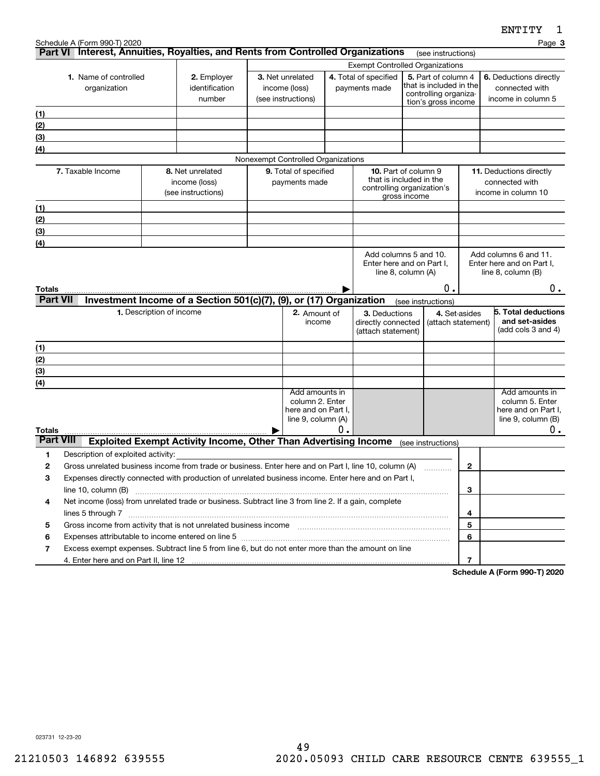|                                       | Schedule A (Form 990-T) 2020<br>Part VI Interest, Annuities, Royalties, and Rents from Controlled Organizations                                                                                                                |                                         |                                                                        |  |                                                                                  |    |                                                                                                |                    |                                                                |                | Page 3                                                                              |    |
|---------------------------------------|--------------------------------------------------------------------------------------------------------------------------------------------------------------------------------------------------------------------------------|-----------------------------------------|------------------------------------------------------------------------|--|----------------------------------------------------------------------------------|----|------------------------------------------------------------------------------------------------|--------------------|----------------------------------------------------------------|----------------|-------------------------------------------------------------------------------------|----|
|                                       |                                                                                                                                                                                                                                |                                         |                                                                        |  |                                                                                  |    |                                                                                                |                    | (see instructions)                                             |                |                                                                                     |    |
| 1. Name of controlled<br>organization |                                                                                                                                                                                                                                | 2. Employer<br>identification<br>number | 3. Net unrelated<br>income (loss)<br>(see instructions)                |  | <b>Exempt Controlled Organizations</b><br>4. Total of specified<br>payments made |    | 5. Part of column 4<br>that is included in the<br>controlling organiza-<br>tion's gross income |                    | 6. Deductions directly<br>connected with<br>income in column 5 |                |                                                                                     |    |
| (1)                                   |                                                                                                                                                                                                                                |                                         |                                                                        |  |                                                                                  |    |                                                                                                |                    |                                                                |                |                                                                                     |    |
| (2)                                   |                                                                                                                                                                                                                                |                                         |                                                                        |  |                                                                                  |    |                                                                                                |                    |                                                                |                |                                                                                     |    |
| (3)                                   |                                                                                                                                                                                                                                |                                         |                                                                        |  |                                                                                  |    |                                                                                                |                    |                                                                |                |                                                                                     |    |
| (4)                                   |                                                                                                                                                                                                                                |                                         |                                                                        |  |                                                                                  |    |                                                                                                |                    |                                                                |                |                                                                                     |    |
|                                       |                                                                                                                                                                                                                                |                                         |                                                                        |  | Nonexempt Controlled Organizations                                               |    |                                                                                                |                    |                                                                |                |                                                                                     |    |
|                                       | 7. Taxable Income                                                                                                                                                                                                              |                                         | 8. Net unrelated<br>income (loss)<br>(see instructions)                |  | 9. Total of specified<br>payments made                                           |    | 10. Part of column 9<br>that is included in the<br>controlling organization's                  | gross income       |                                                                |                | 11. Deductions directly<br>connected with<br>income in column 10                    |    |
| (1)                                   |                                                                                                                                                                                                                                |                                         |                                                                        |  |                                                                                  |    |                                                                                                |                    |                                                                |                |                                                                                     |    |
| (2)                                   |                                                                                                                                                                                                                                |                                         |                                                                        |  |                                                                                  |    |                                                                                                |                    |                                                                |                |                                                                                     |    |
| (3)                                   |                                                                                                                                                                                                                                |                                         |                                                                        |  |                                                                                  |    |                                                                                                |                    |                                                                |                |                                                                                     |    |
| (4)                                   |                                                                                                                                                                                                                                |                                         |                                                                        |  |                                                                                  |    |                                                                                                |                    |                                                                |                |                                                                                     |    |
|                                       |                                                                                                                                                                                                                                |                                         |                                                                        |  |                                                                                  |    | Add columns 5 and 10.<br>Enter here and on Part I,                                             | line 8, column (A) |                                                                |                | Add columns 6 and 11.<br>Enter here and on Part I,<br>line $8$ , column $(B)$       |    |
| Totals                                |                                                                                                                                                                                                                                |                                         |                                                                        |  |                                                                                  |    |                                                                                                |                    | 0.                                                             |                |                                                                                     | 0. |
| <b>Part VII</b>                       |                                                                                                                                                                                                                                |                                         | Investment Income of a Section 501(c)(7), (9), or (17) Organization    |  |                                                                                  |    |                                                                                                |                    | (see instructions)                                             |                |                                                                                     |    |
|                                       |                                                                                                                                                                                                                                | 1. Description of income                |                                                                        |  | 2. Amount of<br>income                                                           |    | 3. Deductions<br>directly connected<br>(attach statement)                                      |                    | 4. Set-asides<br>(attach statement)                            |                | 5. Total deductions<br>and set-asides<br>(add cols 3 and 4)                         |    |
| (1)                                   |                                                                                                                                                                                                                                |                                         |                                                                        |  |                                                                                  |    |                                                                                                |                    |                                                                |                |                                                                                     |    |
| (2)                                   |                                                                                                                                                                                                                                |                                         |                                                                        |  |                                                                                  |    |                                                                                                |                    |                                                                |                |                                                                                     |    |
| (3)                                   |                                                                                                                                                                                                                                |                                         |                                                                        |  |                                                                                  |    |                                                                                                |                    |                                                                |                |                                                                                     |    |
| (4)                                   |                                                                                                                                                                                                                                |                                         |                                                                        |  | Add amounts in                                                                   |    |                                                                                                |                    |                                                                |                |                                                                                     |    |
|                                       |                                                                                                                                                                                                                                |                                         |                                                                        |  | column 2. Enter<br>here and on Part I,<br>line 9, column (A)                     |    |                                                                                                |                    |                                                                |                | Add amounts in<br>column 5. Enter<br>here and on Part I,<br>line $9$ , column $(B)$ |    |
| <b>Totals</b><br><b>Part VIII</b>     |                                                                                                                                                                                                                                |                                         |                                                                        |  |                                                                                  | О. |                                                                                                |                    |                                                                |                |                                                                                     | 0. |
|                                       |                                                                                                                                                                                                                                |                                         | <b>Exploited Exempt Activity Income, Other Than Advertising Income</b> |  |                                                                                  |    |                                                                                                |                    | (see instructions)                                             |                |                                                                                     |    |
| 1<br>2                                | Description of exploited activity:<br>Gross unrelated business income from trade or business. Enter here and on Part I, line 10, column (A)                                                                                    |                                         |                                                                        |  |                                                                                  |    |                                                                                                |                    |                                                                | $\mathbf{2}$   |                                                                                     |    |
| 3                                     | Expenses directly connected with production of unrelated business income. Enter here and on Part I,                                                                                                                            |                                         |                                                                        |  |                                                                                  |    |                                                                                                |                    |                                                                |                |                                                                                     |    |
|                                       | line 10, column (B)                                                                                                                                                                                                            |                                         |                                                                        |  |                                                                                  |    |                                                                                                |                    |                                                                | 3              |                                                                                     |    |
| 4                                     | Net income (loss) from unrelated trade or business. Subtract line 3 from line 2. If a gain, complete                                                                                                                           |                                         |                                                                        |  |                                                                                  |    |                                                                                                |                    |                                                                |                |                                                                                     |    |
|                                       |                                                                                                                                                                                                                                |                                         |                                                                        |  |                                                                                  |    |                                                                                                |                    |                                                                | 4              |                                                                                     |    |
| 5                                     | Gross income from activity that is not unrelated business income [11] manument in the summan measure from activity that is not unrelated business income [11] manument in the summan summan summan summan summan summan summan |                                         |                                                                        |  |                                                                                  |    |                                                                                                |                    |                                                                | 5              |                                                                                     |    |
| 6                                     | Expenses attributable to income entered on line 5 [111] [12] manufacture in the state in the state in the state in the state in the state in the state in the state in the state in the state in the state in the state in the |                                         |                                                                        |  |                                                                                  |    |                                                                                                |                    |                                                                | 6              |                                                                                     |    |
| 7                                     | Excess exempt expenses. Subtract line 5 from line 6, but do not enter more than the amount on line                                                                                                                             |                                         |                                                                        |  |                                                                                  |    |                                                                                                |                    |                                                                |                |                                                                                     |    |
|                                       |                                                                                                                                                                                                                                |                                         |                                                                        |  |                                                                                  |    |                                                                                                |                    |                                                                | $\overline{7}$ |                                                                                     |    |
|                                       |                                                                                                                                                                                                                                |                                         |                                                                        |  |                                                                                  |    |                                                                                                |                    |                                                                |                | Schodule A (Form 000 T) 2020                                                        |    |

**Schedule A (Form 990-T) 2020**

023731 12-23-20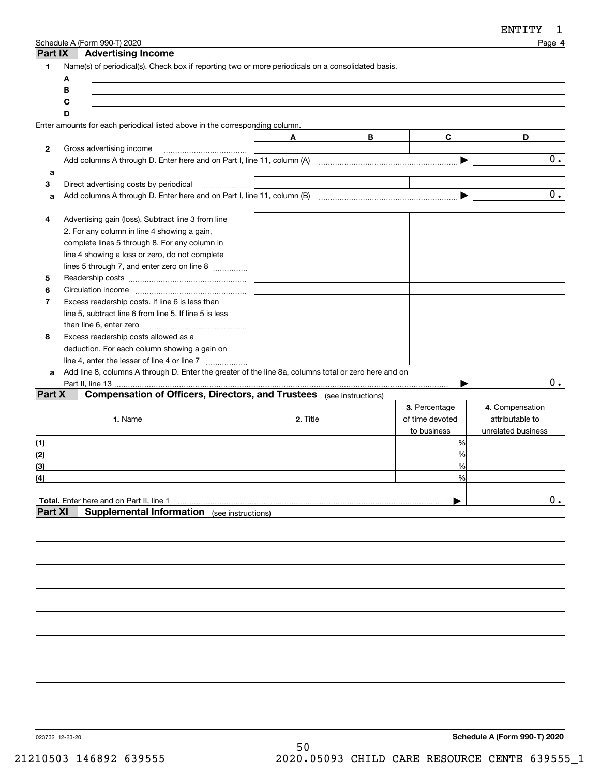| Part IX        | Schedule A (Form 990-T) 2020 | <b>Advertising Income</b>                                                                            |          |   |                 | Page 4             |
|----------------|------------------------------|------------------------------------------------------------------------------------------------------|----------|---|-----------------|--------------------|
| 1.             |                              | Name(s) of periodical(s). Check box if reporting two or more periodicals on a consolidated basis.    |          |   |                 |                    |
|                | A                            |                                                                                                      |          |   |                 |                    |
|                | В                            |                                                                                                      |          |   |                 |                    |
|                | С                            |                                                                                                      |          |   |                 |                    |
|                | D                            |                                                                                                      |          |   |                 |                    |
|                |                              | Enter amounts for each periodical listed above in the corresponding column.                          |          |   |                 |                    |
|                |                              |                                                                                                      | A        | B | C               | D                  |
| 2              |                              | Gross advertising income                                                                             |          |   |                 |                    |
|                |                              | Add columns A through D. Enter here and on Part I, line 11, column (A)                               |          |   |                 | $\overline{0}$ .   |
| а              |                              |                                                                                                      |          |   |                 |                    |
| 3              |                              |                                                                                                      |          |   |                 |                    |
| a              |                              |                                                                                                      |          |   | ▶               | 0.                 |
|                |                              |                                                                                                      |          |   |                 |                    |
| 4              |                              | Advertising gain (loss). Subtract line 3 from line                                                   |          |   |                 |                    |
|                |                              | 2. For any column in line 4 showing a gain,                                                          |          |   |                 |                    |
|                |                              | complete lines 5 through 8. For any column in                                                        |          |   |                 |                    |
|                |                              | line 4 showing a loss or zero, do not complete                                                       |          |   |                 |                    |
|                |                              | lines 5 through 7, and enter zero on line 8                                                          |          |   |                 |                    |
| 5              |                              |                                                                                                      |          |   |                 |                    |
| 6              |                              |                                                                                                      |          |   |                 |                    |
| 7              |                              | Excess readership costs. If line 6 is less than                                                      |          |   |                 |                    |
|                |                              | line 5, subtract line 6 from line 5. If line 5 is less                                               |          |   |                 |                    |
|                |                              |                                                                                                      |          |   |                 |                    |
| 8              |                              | Excess readership costs allowed as a                                                                 |          |   |                 |                    |
|                |                              | deduction. For each column showing a gain on                                                         |          |   |                 |                    |
|                |                              |                                                                                                      |          |   |                 |                    |
| a              |                              | Add line 8, columns A through D. Enter the greater of the line 8a, columns total or zero here and on |          |   |                 |                    |
|                |                              |                                                                                                      |          |   |                 | $0$ .              |
| Part X         |                              | Compensation of Officers, Directors, and Trustees (see instructions)                                 |          |   |                 |                    |
|                |                              |                                                                                                      |          |   | 3. Percentage   | 4. Compensation    |
|                |                              | 1. Name                                                                                              | 2. Title |   | of time devoted | attributable to    |
|                |                              |                                                                                                      |          |   | to business     | unrelated business |
| (1)            |                              |                                                                                                      |          |   | %               |                    |
| (2)            |                              |                                                                                                      |          |   | %               |                    |
| (3)            |                              |                                                                                                      |          |   | %               |                    |
| (4)            |                              |                                                                                                      |          |   | %               |                    |
|                |                              |                                                                                                      |          |   |                 |                    |
|                |                              | Total. Enter here and on Part II, line 1                                                             |          |   |                 | 0.                 |
| <b>Part XI</b> |                              | <b>Supplemental Information</b> (see instructions)                                                   |          |   |                 |                    |
|                |                              |                                                                                                      |          |   |                 |                    |
|                |                              |                                                                                                      |          |   |                 |                    |

023732 12-23-20

**Schedule A (Form 990-T) 2020** 50 21210503 146892 639555 2020.05093 CHILD CARE RESOURCE CENTE 639555\_1